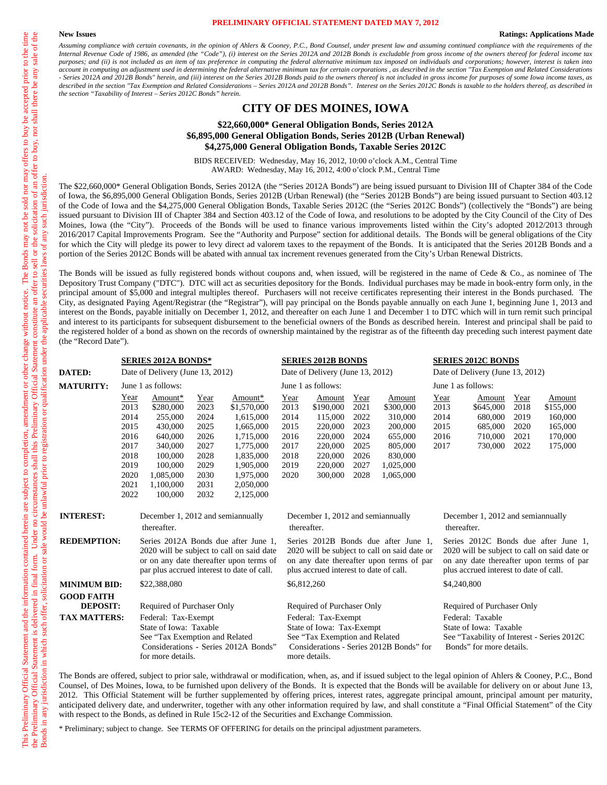#### **PRELIMINARY OFFICIAL STATEMENT DATED MAY 7, 2012**

#### **New Issues Ratings: Applications Made**

*Assuming compliance with certain covenants, in the opinion of Ahlers & Cooney, P.C., Bond Counsel, under present law and assuming continued compliance with the requirements of the Internal Revenue Code of 1986, as amended (the "Code"), (i) interest on the Series 2012A and 2012B Bonds is excludable from gross income of the owners thereof for federal income tax purposes; and (ii) is not included as an item of tax preference in computing the federal alternative minimum tax imposed on individuals and corporations; however, interest is taken into*  account in computing an adjustment used in determining the federal alternative minimum tax for certain corporations, as described in the section "Tax Exemption and Related Considerations *- Series 2012A and 2012B Bonds" herein, and (iii) interest on the Series 2012B Bonds paid to the owners thereof is not included in gross income for purposes of some Iowa income taxes, as*  described in the section "Tax Exemption and Related Considerations - Series 2012A and 2012B Bonds". Interest on the Series 2012C Bonds is taxable to the holders thereof, as described in *the section "Taxability of Interest – Series 2012C Bonds" herein.* 

#### **CITY OF DES MOINES, IOWA**

#### **\$22,660,000\* General Obligation Bonds, Series 2012A \$6,895,000 General Obligation Bonds, Series 2012B (Urban Renewal) \$4,275,000 General Obligation Bonds, Taxable Series 2012C**

BIDS RECEIVED: Wednesday, May 16, 2012, 10:00 o'clock A.M., Central Time AWARD: Wednesday, May 16, 2012, 4:00 o'clock P.M., Central Time

The \$22,660,000\* General Obligation Bonds, Series 2012A (the "Series 2012A Bonds") are being issued pursuant to Division III of Chapter 384 of the Code of Iowa, the \$6,895,000 General Obligation Bonds, Series 2012B (Urban Renewal) (the "Series 2012B Bonds") are being issued pursuant to Section 403.12 of the Code of Iowa and the \$4,275,000 General Obligation Bonds, Taxable Series 2012C (the "Series 2012C Bonds") (collectively the "Bonds") are being issued pursuant to Division III of Chapter 384 and Section 403.12 of the Code of Iowa, and resolutions to be adopted by the City Council of the City of Des Moines, Iowa (the "City"). Proceeds of the Bonds will be used to finance various improvements listed within the City's adopted 2012/2013 through 2016/2017 Capital Improvements Program. See the "Authority and Purpose" section for additional details. The Bonds will be general obligations of the City for which the City will pledge its power to levy direct ad valorem taxes to the repayment of the Bonds. It is anticipated that the Series 2012B Bonds and a portion of the Series 2012C Bonds will be abated with annual tax increment revenues generated from the City's Urban Renewal Districts.

The Bonds will be issued as fully registered bonds without coupons and, when issued, will be registered in the name of Cede & Co., as nominee of The Depository Trust Company ("DTC"). DTC will act as securities depository for the Bonds. Individual purchases may be made in book-entry form only, in the principal amount of \$5,000 and integral multiples thereof. Purchasers will not receive certificates representing their interest in the Bonds purchased. The City, as designated Paying Agent/Registrar (the "Registrar"), will pay principal on the Bonds payable annually on each June 1, beginning June 1, 2013 and interest on the Bonds, payable initially on December 1, 2012, and thereafter on each June 1 and December 1 to DTC which will in turn remit such principal and interest to its participants for subsequent disbursement to the beneficial owners of the Bonds as described herein. Interest and principal shall be paid to the registered holder of a bond as shown on the records of ownership maintained by the registrar as of the fifteenth day preceding such interest payment date (the "Record Date").

|                     |      | <b>SERIES 2012A BONDS*</b>                                                                           |      |                                                                                                                                                                            |      | <b>SERIES 2012B BONDS</b>                                                                           |      |                                                                                                                                  |      | <b>SERIES 2012C BONDS</b>                                                                                                                                                  |      |           |
|---------------------|------|------------------------------------------------------------------------------------------------------|------|----------------------------------------------------------------------------------------------------------------------------------------------------------------------------|------|-----------------------------------------------------------------------------------------------------|------|----------------------------------------------------------------------------------------------------------------------------------|------|----------------------------------------------------------------------------------------------------------------------------------------------------------------------------|------|-----------|
| <b>DATED:</b>       |      | Date of Delivery (June 13, 2012)                                                                     |      |                                                                                                                                                                            |      | Date of Delivery (June 13, 2012)                                                                    |      |                                                                                                                                  |      | Date of Delivery (June 13, 2012)                                                                                                                                           |      |           |
| <b>MATURITY:</b>    |      | June 1 as follows:                                                                                   |      |                                                                                                                                                                            |      | June 1 as follows:                                                                                  |      |                                                                                                                                  |      | June 1 as follows:                                                                                                                                                         |      |           |
|                     | Year | Amount*                                                                                              | Year | Amount*                                                                                                                                                                    | Year | Amount                                                                                              | Year | Amount                                                                                                                           | Year | Amount                                                                                                                                                                     | Year | Amount    |
|                     | 2013 | \$280,000                                                                                            | 2023 | \$1,570,000                                                                                                                                                                | 2013 | \$190,000                                                                                           | 2021 | \$300,000                                                                                                                        | 2013 | \$645,000                                                                                                                                                                  | 2018 | \$155,000 |
|                     | 2014 | 255,000                                                                                              | 2024 | 1,615,000                                                                                                                                                                  | 2014 | 115,000                                                                                             | 2022 | 310,000                                                                                                                          | 2014 | 680,000                                                                                                                                                                    | 2019 | 160,000   |
|                     | 2015 | 430,000                                                                                              | 2025 | 1,665,000                                                                                                                                                                  | 2015 | 220,000                                                                                             | 2023 | 200,000                                                                                                                          | 2015 | 685,000                                                                                                                                                                    | 2020 | 165,000   |
|                     | 2016 | 640,000                                                                                              | 2026 | 1,715,000                                                                                                                                                                  | 2016 | 220,000                                                                                             | 2024 | 655,000                                                                                                                          | 2016 | 710,000                                                                                                                                                                    | 2021 | 170,000   |
|                     | 2017 | 340,000                                                                                              | 2027 | 1,775,000                                                                                                                                                                  | 2017 | 220,000                                                                                             | 2025 | 805,000                                                                                                                          | 2017 | 730,000                                                                                                                                                                    | 2022 | 175,000   |
|                     | 2018 | 100,000                                                                                              | 2028 | 1,835,000                                                                                                                                                                  | 2018 | 220,000                                                                                             | 2026 | 830,000                                                                                                                          |      |                                                                                                                                                                            |      |           |
|                     | 2019 | 100,000                                                                                              | 2029 | 1,905,000                                                                                                                                                                  | 2019 | 220,000                                                                                             | 2027 | 1,025,000                                                                                                                        |      |                                                                                                                                                                            |      |           |
|                     | 2020 | 1,085,000                                                                                            | 2030 | 1,975,000                                                                                                                                                                  | 2020 | 300,000                                                                                             | 2028 | 1,065,000                                                                                                                        |      |                                                                                                                                                                            |      |           |
|                     | 2021 | 1,100,000                                                                                            | 2031 | 2,050,000                                                                                                                                                                  |      |                                                                                                     |      |                                                                                                                                  |      |                                                                                                                                                                            |      |           |
|                     | 2022 | 100,000                                                                                              | 2032 | 2,125,000                                                                                                                                                                  |      |                                                                                                     |      |                                                                                                                                  |      |                                                                                                                                                                            |      |           |
| <b>INTEREST:</b>    |      | December 1, 2012 and semiannually                                                                    |      |                                                                                                                                                                            |      | December 1, 2012 and semiannually                                                                   |      |                                                                                                                                  |      | December 1, 2012 and semiannually                                                                                                                                          |      |           |
|                     |      | thereafter.                                                                                          |      |                                                                                                                                                                            |      | thereafter.                                                                                         |      |                                                                                                                                  |      | thereafter.                                                                                                                                                                |      |           |
| <b>REDEMPTION:</b>  |      |                                                                                                      |      | Series 2012A Bonds due after June 1.<br>2020 will be subject to call on said date<br>or on any date thereafter upon terms of<br>par plus accrued interest to date of call. |      | plus accrued interest to date of call.                                                              |      | Series 2012B Bonds due after June 1.<br>2020 will be subject to call on said date or<br>on any date thereafter upon terms of par |      | Series 2012C Bonds due after June 1,<br>2020 will be subject to call on said date or<br>on any date thereafter upon terms of par<br>plus accrued interest to date of call. |      |           |
| <b>MINIMUM BID:</b> |      | \$22,388,080                                                                                         |      |                                                                                                                                                                            |      | \$6,812,260                                                                                         |      |                                                                                                                                  |      | \$4,240,800                                                                                                                                                                |      |           |
| <b>GOOD FAITH</b>   |      |                                                                                                      |      |                                                                                                                                                                            |      |                                                                                                     |      |                                                                                                                                  |      |                                                                                                                                                                            |      |           |
| <b>DEPOSIT:</b>     |      | Required of Purchaser Only                                                                           |      |                                                                                                                                                                            |      | Required of Purchaser Only                                                                          |      |                                                                                                                                  |      | Required of Purchaser Only                                                                                                                                                 |      |           |
| <b>TAX MATTERS:</b> |      | Federal: Tax-Exempt<br>State of Iowa: Taxable<br>See "Tax Exemption and Related<br>for more details. |      | Considerations - Series 2012A Bonds"                                                                                                                                       |      | Federal: Tax-Exempt<br>State of Iowa: Tax-Exempt<br>See "Tax Exemption and Related<br>more details. |      | Considerations - Series 2012B Bonds" for                                                                                         |      | Federal: Taxable<br>State of Iowa: Taxable<br>See "Taxability of Interest - Series 2012C<br>Bonds" for more details.                                                       |      |           |

The Bonds are offered, subject to prior sale, withdrawal or modification, when, as, and if issued subject to the legal opinion of Ahlers & Cooney, P.C., Bond Counsel, of Des Moines, Iowa, to be furnished upon delivery of the Bonds. It is expected that the Bonds will be available for delivery on or about June 13, 2012. This Official Statement will be further supplemented by offering prices, interest rates, aggregate principal amount, principal amount per maturity, anticipated delivery date, and underwriter, together with any other information required by law, and shall constitute a "Final Official Statement" of the City with respect to the Bonds, as defined in Rule 15c2-12 of the Securities and Exchange Commission.

\* Preliminary; subject to change. See TERMS OF OFFERING for details on the principal adjustment parameters.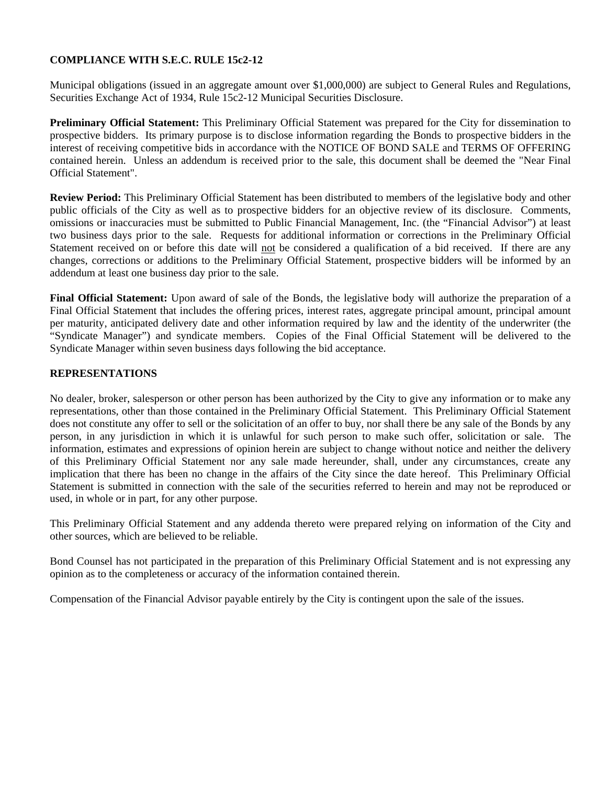# **COMPLIANCE WITH S.E.C. RULE 15c2-12**

Municipal obligations (issued in an aggregate amount over \$1,000,000) are subject to General Rules and Regulations, Securities Exchange Act of 1934, Rule 15c2-12 Municipal Securities Disclosure.

**Preliminary Official Statement:** This Preliminary Official Statement was prepared for the City for dissemination to prospective bidders. Its primary purpose is to disclose information regarding the Bonds to prospective bidders in the interest of receiving competitive bids in accordance with the NOTICE OF BOND SALE and TERMS OF OFFERING contained herein. Unless an addendum is received prior to the sale, this document shall be deemed the "Near Final Official Statement".

**Review Period:** This Preliminary Official Statement has been distributed to members of the legislative body and other public officials of the City as well as to prospective bidders for an objective review of its disclosure. Comments, omissions or inaccuracies must be submitted to Public Financial Management, Inc. (the "Financial Advisor") at least two business days prior to the sale. Requests for additional information or corrections in the Preliminary Official Statement received on or before this date will not be considered a qualification of a bid received. If there are any changes, corrections or additions to the Preliminary Official Statement, prospective bidders will be informed by an addendum at least one business day prior to the sale.

**Final Official Statement:** Upon award of sale of the Bonds, the legislative body will authorize the preparation of a Final Official Statement that includes the offering prices, interest rates, aggregate principal amount, principal amount per maturity, anticipated delivery date and other information required by law and the identity of the underwriter (the "Syndicate Manager") and syndicate members. Copies of the Final Official Statement will be delivered to the Syndicate Manager within seven business days following the bid acceptance.

### **REPRESENTATIONS**

No dealer, broker, salesperson or other person has been authorized by the City to give any information or to make any representations, other than those contained in the Preliminary Official Statement. This Preliminary Official Statement does not constitute any offer to sell or the solicitation of an offer to buy, nor shall there be any sale of the Bonds by any person, in any jurisdiction in which it is unlawful for such person to make such offer, solicitation or sale. The information, estimates and expressions of opinion herein are subject to change without notice and neither the delivery of this Preliminary Official Statement nor any sale made hereunder, shall, under any circumstances, create any implication that there has been no change in the affairs of the City since the date hereof. This Preliminary Official Statement is submitted in connection with the sale of the securities referred to herein and may not be reproduced or used, in whole or in part, for any other purpose.

This Preliminary Official Statement and any addenda thereto were prepared relying on information of the City and other sources, which are believed to be reliable.

Bond Counsel has not participated in the preparation of this Preliminary Official Statement and is not expressing any opinion as to the completeness or accuracy of the information contained therein.

Compensation of the Financial Advisor payable entirely by the City is contingent upon the sale of the issues.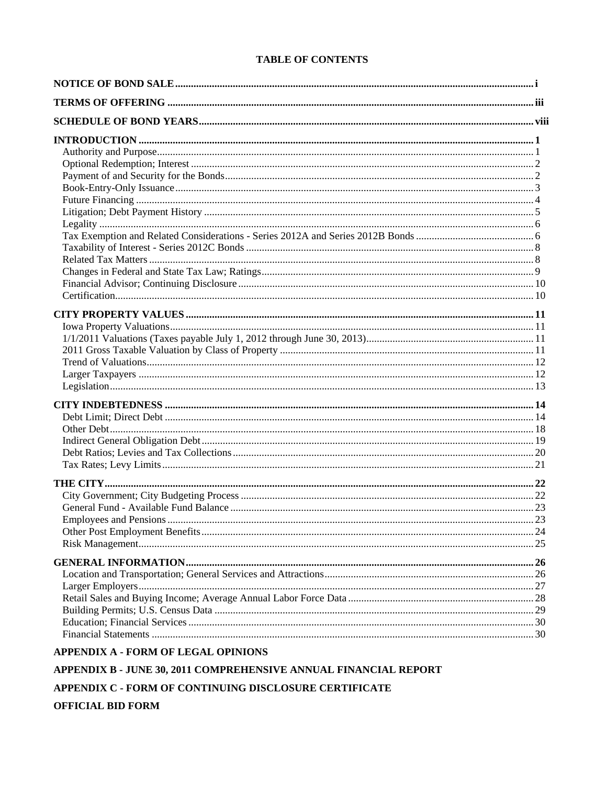# **TABLE OF CONTENTS**

| <b>APPENDIX A - FORM OF LEGAL OPINIONS</b>                       |  |
|------------------------------------------------------------------|--|
| APPENDIX B - JUNE 30, 2011 COMPREHENSIVE ANNUAL FINANCIAL REPORT |  |

APPENDIX C - FORM OF CONTINUING DISCLOSURE CERTIFICATE

**OFFICIAL BID FORM**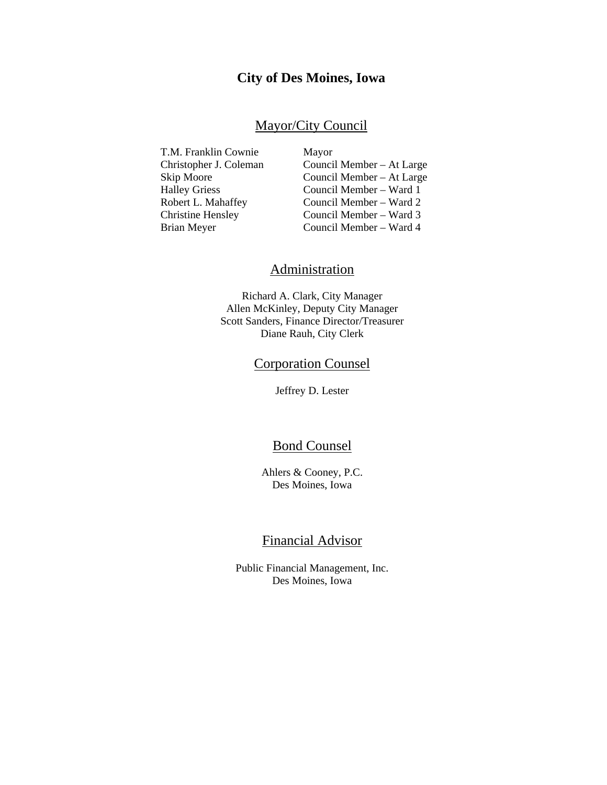# **City of Des Moines, Iowa**

# Mayor/City Council

T.M. Franklin Cownie Mayor

 Christopher J. Coleman Council Member – At Large Skip Moore Council Member – At Large Halley Griess Council Member – Ward 1 Robert L. Mahaffey Council Member – Ward 2 Christine Hensley Council Member – Ward 3 Brian Meyer Council Member – Ward 4

# **Administration**

Richard A. Clark, City Manager Allen McKinley, Deputy City Manager Scott Sanders, Finance Director/Treasurer Diane Rauh, City Clerk

# Corporation Counsel

Jeffrey D. Lester

# Bond Counsel

Ahlers & Cooney, P.C. Des Moines, Iowa

# Financial Advisor

Public Financial Management, Inc. Des Moines, Iowa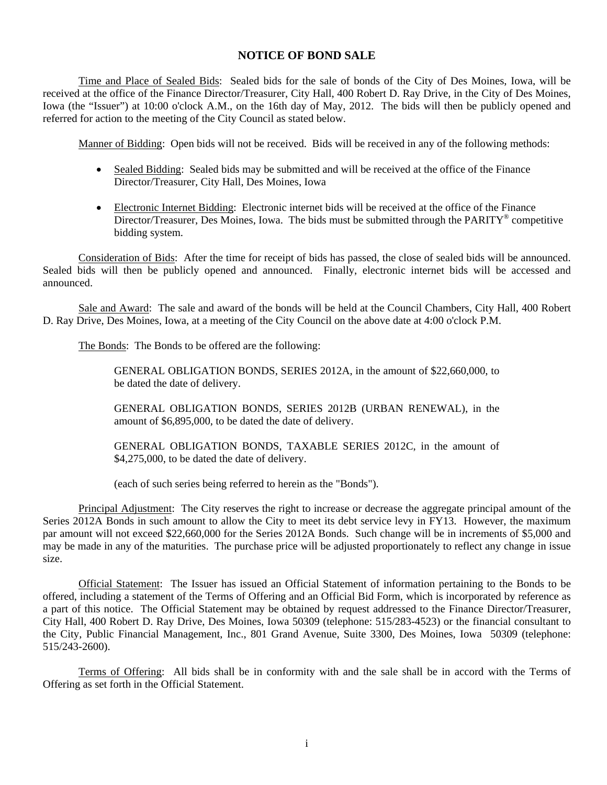# **NOTICE OF BOND SALE**

Time and Place of Sealed Bids: Sealed bids for the sale of bonds of the City of Des Moines, Iowa, will be received at the office of the Finance Director/Treasurer, City Hall, 400 Robert D. Ray Drive, in the City of Des Moines, Iowa (the "Issuer") at 10:00 o'clock A.M., on the 16th day of May, 2012. The bids will then be publicly opened and referred for action to the meeting of the City Council as stated below.

Manner of Bidding: Open bids will not be received. Bids will be received in any of the following methods:

- Sealed Bidding: Sealed bids may be submitted and will be received at the office of the Finance Director/Treasurer, City Hall, Des Moines, Iowa
- Electronic Internet Bidding: Electronic internet bids will be received at the office of the Finance Director/Treasurer, Des Moines, Iowa. The bids must be submitted through the PARITY® competitive bidding system.

Consideration of Bids: After the time for receipt of bids has passed, the close of sealed bids will be announced. Sealed bids will then be publicly opened and announced. Finally, electronic internet bids will be accessed and announced.

Sale and Award: The sale and award of the bonds will be held at the Council Chambers, City Hall, 400 Robert D. Ray Drive, Des Moines, Iowa, at a meeting of the City Council on the above date at 4:00 o'clock P.M.

The Bonds: The Bonds to be offered are the following:

GENERAL OBLIGATION BONDS, SERIES 2012A, in the amount of \$22,660,000, to be dated the date of delivery.

GENERAL OBLIGATION BONDS, SERIES 2012B (URBAN RENEWAL), in the amount of \$6,895,000, to be dated the date of delivery.

GENERAL OBLIGATION BONDS, TAXABLE SERIES 2012C, in the amount of \$4,275,000, to be dated the date of delivery.

(each of such series being referred to herein as the "Bonds").

Principal Adjustment: The City reserves the right to increase or decrease the aggregate principal amount of the Series 2012A Bonds in such amount to allow the City to meet its debt service levy in FY13. However, the maximum par amount will not exceed \$22,660,000 for the Series 2012A Bonds. Such change will be in increments of \$5,000 and may be made in any of the maturities. The purchase price will be adjusted proportionately to reflect any change in issue size.

Official Statement: The Issuer has issued an Official Statement of information pertaining to the Bonds to be offered, including a statement of the Terms of Offering and an Official Bid Form, which is incorporated by reference as a part of this notice. The Official Statement may be obtained by request addressed to the Finance Director/Treasurer, City Hall, 400 Robert D. Ray Drive, Des Moines, Iowa 50309 (telephone: 515/283-4523) or the financial consultant to the City, Public Financial Management, Inc., 801 Grand Avenue, Suite 3300, Des Moines, Iowa 50309 (telephone: 515/243-2600).

Terms of Offering: All bids shall be in conformity with and the sale shall be in accord with the Terms of Offering as set forth in the Official Statement.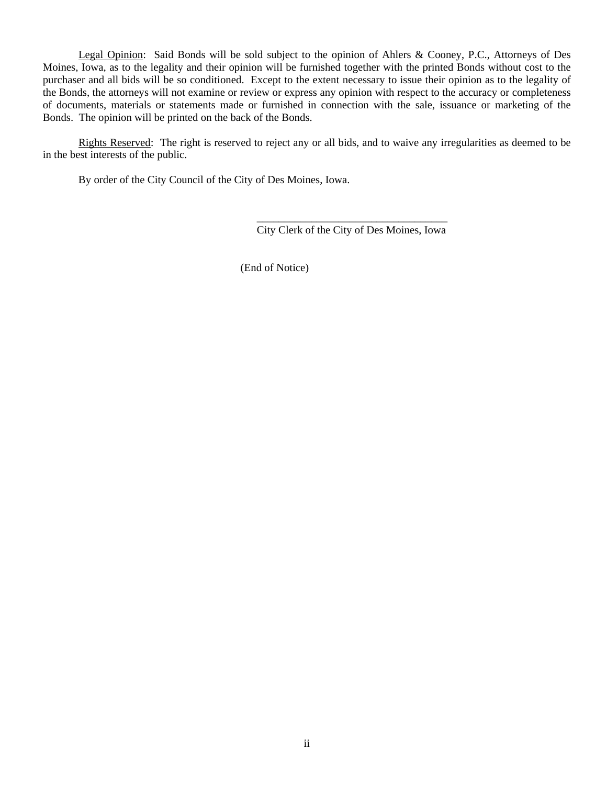Legal Opinion: Said Bonds will be sold subject to the opinion of Ahlers & Cooney, P.C., Attorneys of Des Moines, Iowa, as to the legality and their opinion will be furnished together with the printed Bonds without cost to the purchaser and all bids will be so conditioned. Except to the extent necessary to issue their opinion as to the legality of the Bonds, the attorneys will not examine or review or express any opinion with respect to the accuracy or completeness of documents, materials or statements made or furnished in connection with the sale, issuance or marketing of the Bonds. The opinion will be printed on the back of the Bonds.

Rights Reserved: The right is reserved to reject any or all bids, and to waive any irregularities as deemed to be in the best interests of the public.

By order of the City Council of the City of Des Moines, Iowa.

\_\_\_\_\_\_\_\_\_\_\_\_\_\_\_\_\_\_\_\_\_\_\_\_\_\_\_\_\_\_\_\_\_\_\_ City Clerk of the City of Des Moines, Iowa

(End of Notice)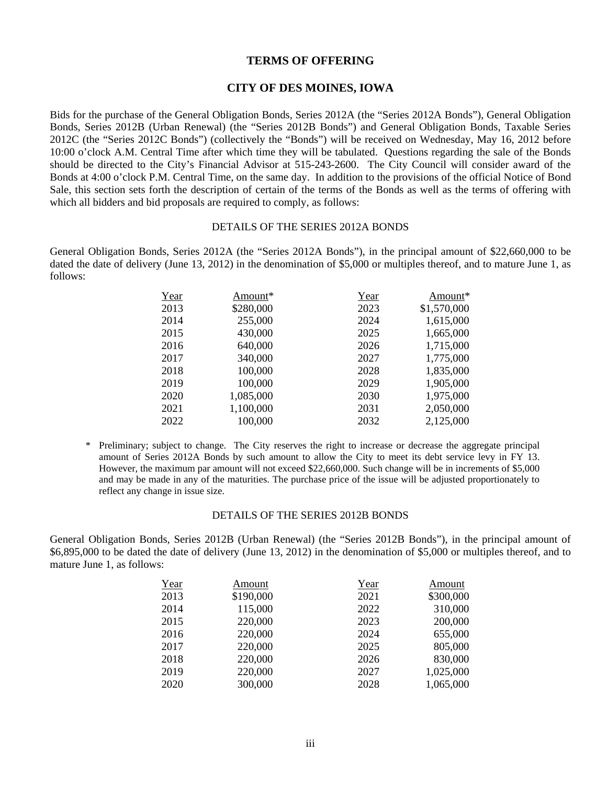#### **TERMS OF OFFERING**

#### **CITY OF DES MOINES, IOWA**

Bids for the purchase of the General Obligation Bonds, Series 2012A (the "Series 2012A Bonds"), General Obligation Bonds, Series 2012B (Urban Renewal) (the "Series 2012B Bonds") and General Obligation Bonds, Taxable Series 2012C (the "Series 2012C Bonds") (collectively the "Bonds") will be received on Wednesday, May 16, 2012 before 10:00 o'clock A.M. Central Time after which time they will be tabulated. Questions regarding the sale of the Bonds should be directed to the City's Financial Advisor at 515-243-2600. The City Council will consider award of the Bonds at 4:00 o'clock P.M. Central Time, on the same day. In addition to the provisions of the official Notice of Bond Sale, this section sets forth the description of certain of the terms of the Bonds as well as the terms of offering with which all bidders and bid proposals are required to comply, as follows:

#### DETAILS OF THE SERIES 2012A BONDS

General Obligation Bonds, Series 2012A (the "Series 2012A Bonds"), in the principal amount of \$22,660,000 to be dated the date of delivery (June 13, 2012) in the denomination of \$5,000 or multiples thereof, and to mature June 1, as follows:

| Year | Amount*   | Year | Amount*     |
|------|-----------|------|-------------|
| 2013 | \$280,000 | 2023 | \$1,570,000 |
| 2014 | 255,000   | 2024 | 1,615,000   |
| 2015 | 430,000   | 2025 | 1,665,000   |
| 2016 | 640,000   | 2026 | 1,715,000   |
| 2017 | 340,000   | 2027 | 1,775,000   |
| 2018 | 100,000   | 2028 | 1,835,000   |
| 2019 | 100,000   | 2029 | 1,905,000   |
| 2020 | 1,085,000 | 2030 | 1,975,000   |
| 2021 | 1,100,000 | 2031 | 2,050,000   |
| 2022 | 100,000   | 2032 | 2,125,000   |

\* Preliminary; subject to change. The City reserves the right to increase or decrease the aggregate principal amount of Series 2012A Bonds by such amount to allow the City to meet its debt service levy in FY 13. However, the maximum par amount will not exceed \$22,660,000. Such change will be in increments of \$5,000 and may be made in any of the maturities. The purchase price of the issue will be adjusted proportionately to reflect any change in issue size.

#### DETAILS OF THE SERIES 2012B BONDS

General Obligation Bonds, Series 2012B (Urban Renewal) (the "Series 2012B Bonds"), in the principal amount of \$6,895,000 to be dated the date of delivery (June 13, 2012) in the denomination of \$5,000 or multiples thereof, and to mature June 1, as follows:

| Year | Amount    | <u>Year</u> | Amount    |
|------|-----------|-------------|-----------|
| 2013 | \$190,000 | 2021        | \$300,000 |
| 2014 | 115,000   | 2022        | 310,000   |
| 2015 | 220,000   | 2023        | 200,000   |
| 2016 | 220,000   | 2024        | 655,000   |
| 2017 | 220,000   | 2025        | 805,000   |
| 2018 | 220,000   | 2026        | 830,000   |
| 2019 | 220,000   | 2027        | 1,025,000 |
| 2020 | 300,000   | 2028        | 1,065,000 |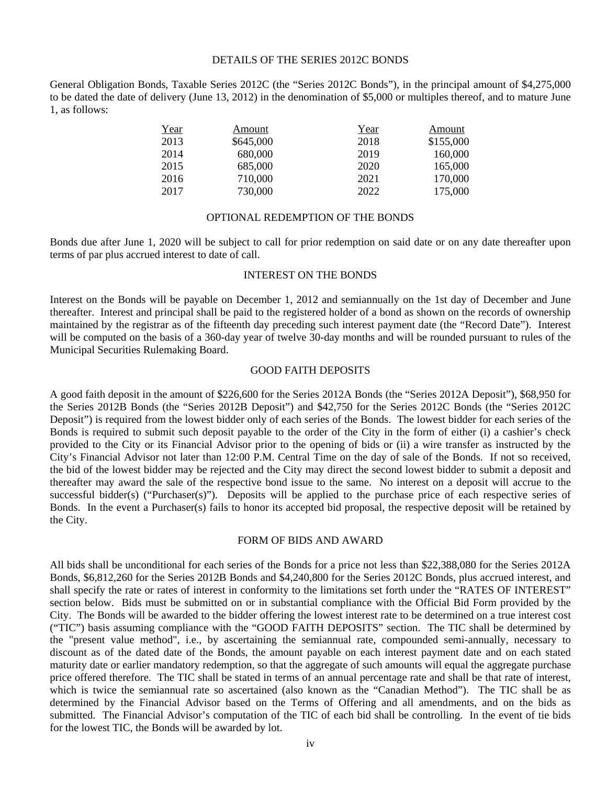#### DETAILS OF THE SERIES 2012C BONDS

General Obligation Bonds, Taxable Series 2012C (the "Series 2012C Bonds"), in the principal amount of \$4,275,000 to be dated the date of delivery (June 13, 2012) in the denomination of \$5,000 or multiples thereof, and to mature June 1, as follows:

| <u>Year</u> | Amount    | <u>Year</u> | Amount    |
|-------------|-----------|-------------|-----------|
| 2013        | \$645,000 | 2018        | \$155,000 |
| 2014        | 680,000   | 2019        | 160,000   |
| 2015        | 685,000   | 2020        | 165,000   |
| 2016        | 710,000   | 2021        | 170,000   |
| 2017        | 730,000   | 2022        | 175,000   |

#### OPTIONAL REDEMPTION OF THE BONDS

Bonds due after June 1, 2020 will be subject to call for prior redemption on said date or on any date thereafter upon terms of par plus accrued interest to date of call.

#### INTEREST ON THE BONDS

Interest on the Bonds will be payable on December 1, 2012 and semiannually on the 1st day of December and June thereafter. Interest and principal shall be paid to the registered holder of a bond as shown on the records of ownership maintained by the registrar as of the fifteenth day preceding such interest payment date (the "Record Date"). Interest will be computed on the basis of a 360-day year of twelve 30-day months and will be rounded pursuant to rules of the Municipal Securities Rulemaking Board.

#### GOOD FAITH DEPOSITS

A good faith deposit in the amount of \$226,600 for the Series 2012A Bonds (the "Series 2012A Deposit"), \$68,950 for the Series 2012B Bonds (the "Series 2012B Deposit") and \$42,750 for the Series 2012C Bonds (the "Series 2012C Deposit") is required from the lowest bidder only of each series of the Bonds. The lowest bidder for each series of the Bonds is required to submit such deposit payable to the order of the City in the form of either (i) a cashier's check provided to the City or its Financial Advisor prior to the opening of bids or (ii) a wire transfer as instructed by the City's Financial Advisor not later than 12:00 P.M. Central Time on the day of sale of the Bonds. If not so received, the bid of the lowest bidder may be rejected and the City may direct the second lowest bidder to submit a deposit and thereafter may award the sale of the respective bond issue to the same. No interest on a deposit will accrue to the successful bidder(s) ("Purchaser(s)"). Deposits will be applied to the purchase price of each respective series of Bonds. In the event a Purchaser(s) fails to honor its accepted bid proposal, the respective deposit will be retained by the City.

#### FORM OF BIDS AND AWARD

All bids shall be unconditional for each series of the Bonds for a price not less than \$22,388,080 for the Series 2012A Bonds, \$6,812,260 for the Series 2012B Bonds and \$4,240,800 for the Series 2012C Bonds, plus accrued interest, and shall specify the rate or rates of interest in conformity to the limitations set forth under the "RATES OF INTEREST" section below. Bids must be submitted on or in substantial compliance with the Official Bid Form provided by the City. The Bonds will be awarded to the bidder offering the lowest interest rate to be determined on a true interest cost ("TIC") basis assuming compliance with the "GOOD FAITH DEPOSITS" section. The TIC shall be determined by the "present value method", i.e., by ascertaining the semiannual rate, compounded semi-annually, necessary to discount as of the dated date of the Bonds, the amount payable on each interest payment date and on each stated maturity date or earlier mandatory redemption, so that the aggregate of such amounts will equal the aggregate purchase price offered therefore. The TIC shall be stated in terms of an annual percentage rate and shall be that rate of interest, which is twice the semiannual rate so ascertained (also known as the "Canadian Method"). The TIC shall be as determined by the Financial Advisor based on the Terms of Offering and all amendments, and on the bids as submitted. The Financial Advisor's computation of the TIC of each bid shall be controlling. In the event of tie bids for the lowest TIC, the Bonds will be awarded by lot.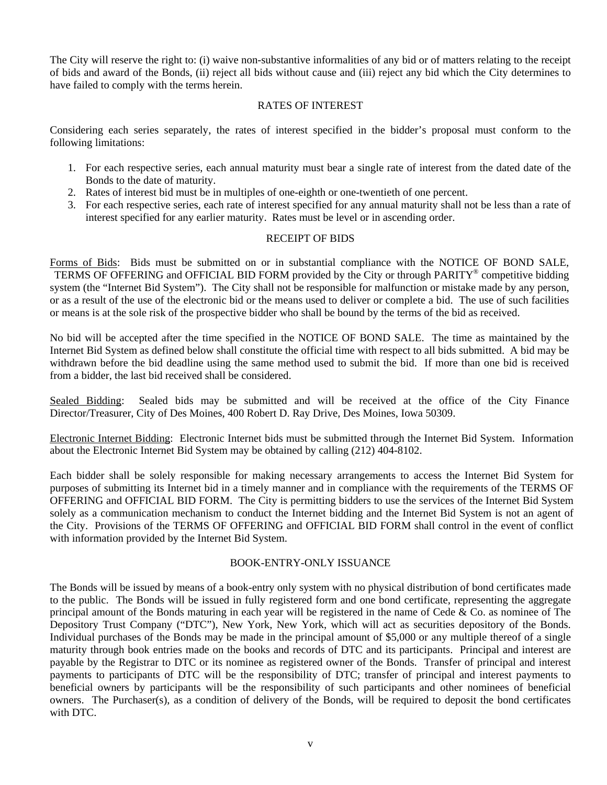The City will reserve the right to: (i) waive non-substantive informalities of any bid or of matters relating to the receipt of bids and award of the Bonds, (ii) reject all bids without cause and (iii) reject any bid which the City determines to have failed to comply with the terms herein.

#### RATES OF INTEREST

Considering each series separately, the rates of interest specified in the bidder's proposal must conform to the following limitations:

- 1. For each respective series, each annual maturity must bear a single rate of interest from the dated date of the Bonds to the date of maturity.
- 2. Rates of interest bid must be in multiples of one-eighth or one-twentieth of one percent.
- 3. For each respective series, each rate of interest specified for any annual maturity shall not be less than a rate of interest specified for any earlier maturity. Rates must be level or in ascending order.

### RECEIPT OF BIDS

Forms of Bids: Bids must be submitted on or in substantial compliance with the NOTICE OF BOND SALE, TERMS OF OFFERING and OFFICIAL BID FORM provided by the City or through PARITY® competitive bidding system (the "Internet Bid System"). The City shall not be responsible for malfunction or mistake made by any person, or as a result of the use of the electronic bid or the means used to deliver or complete a bid. The use of such facilities or means is at the sole risk of the prospective bidder who shall be bound by the terms of the bid as received.

No bid will be accepted after the time specified in the NOTICE OF BOND SALE. The time as maintained by the Internet Bid System as defined below shall constitute the official time with respect to all bids submitted. A bid may be withdrawn before the bid deadline using the same method used to submit the bid. If more than one bid is received from a bidder, the last bid received shall be considered.

Sealed Bidding: Sealed bids may be submitted and will be received at the office of the City Finance Director/Treasurer, City of Des Moines, 400 Robert D. Ray Drive, Des Moines, Iowa 50309.

Electronic Internet Bidding: Electronic Internet bids must be submitted through the Internet Bid System. Information about the Electronic Internet Bid System may be obtained by calling (212) 404-8102.

Each bidder shall be solely responsible for making necessary arrangements to access the Internet Bid System for purposes of submitting its Internet bid in a timely manner and in compliance with the requirements of the TERMS OF OFFERING and OFFICIAL BID FORM. The City is permitting bidders to use the services of the Internet Bid System solely as a communication mechanism to conduct the Internet bidding and the Internet Bid System is not an agent of the City. Provisions of the TERMS OF OFFERING and OFFICIAL BID FORM shall control in the event of conflict with information provided by the Internet Bid System.

#### BOOK-ENTRY-ONLY ISSUANCE

The Bonds will be issued by means of a book-entry only system with no physical distribution of bond certificates made to the public. The Bonds will be issued in fully registered form and one bond certificate, representing the aggregate principal amount of the Bonds maturing in each year will be registered in the name of Cede & Co. as nominee of The Depository Trust Company ("DTC"), New York, New York, which will act as securities depository of the Bonds. Individual purchases of the Bonds may be made in the principal amount of \$5,000 or any multiple thereof of a single maturity through book entries made on the books and records of DTC and its participants. Principal and interest are payable by the Registrar to DTC or its nominee as registered owner of the Bonds. Transfer of principal and interest payments to participants of DTC will be the responsibility of DTC; transfer of principal and interest payments to beneficial owners by participants will be the responsibility of such participants and other nominees of beneficial owners. The Purchaser(s), as a condition of delivery of the Bonds, will be required to deposit the bond certificates with DTC.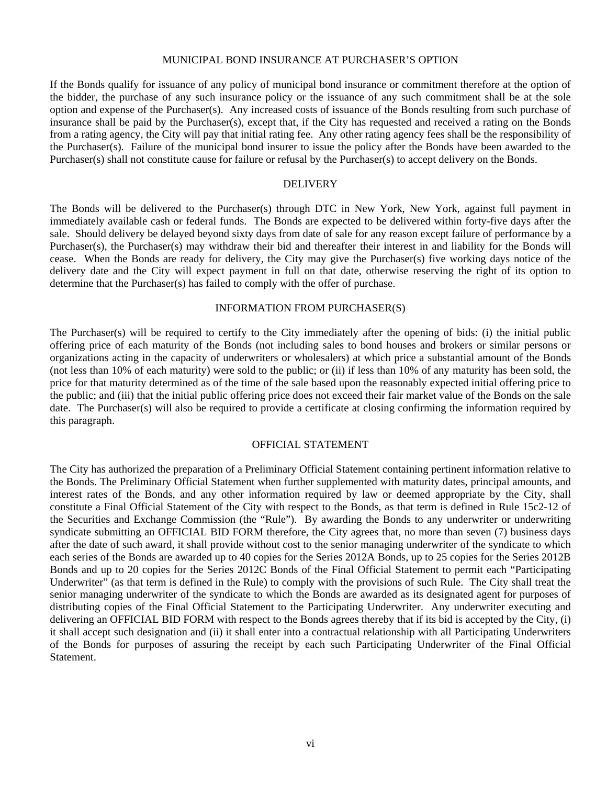#### MUNICIPAL BOND INSURANCE AT PURCHASER'S OPTION

If the Bonds qualify for issuance of any policy of municipal bond insurance or commitment therefore at the option of the bidder, the purchase of any such insurance policy or the issuance of any such commitment shall be at the sole option and expense of the Purchaser(s). Any increased costs of issuance of the Bonds resulting from such purchase of insurance shall be paid by the Purchaser(s), except that, if the City has requested and received a rating on the Bonds from a rating agency, the City will pay that initial rating fee. Any other rating agency fees shall be the responsibility of the Purchaser(s). Failure of the municipal bond insurer to issue the policy after the Bonds have been awarded to the Purchaser(s) shall not constitute cause for failure or refusal by the Purchaser(s) to accept delivery on the Bonds.

#### DELIVERY

The Bonds will be delivered to the Purchaser(s) through DTC in New York, New York, against full payment in immediately available cash or federal funds. The Bonds are expected to be delivered within forty-five days after the sale. Should delivery be delayed beyond sixty days from date of sale for any reason except failure of performance by a Purchaser(s), the Purchaser(s) may withdraw their bid and thereafter their interest in and liability for the Bonds will cease. When the Bonds are ready for delivery, the City may give the Purchaser(s) five working days notice of the delivery date and the City will expect payment in full on that date, otherwise reserving the right of its option to determine that the Purchaser(s) has failed to comply with the offer of purchase.

#### INFORMATION FROM PURCHASER(S)

The Purchaser(s) will be required to certify to the City immediately after the opening of bids: (i) the initial public offering price of each maturity of the Bonds (not including sales to bond houses and brokers or similar persons or organizations acting in the capacity of underwriters or wholesalers) at which price a substantial amount of the Bonds (not less than 10% of each maturity) were sold to the public; or (ii) if less than 10% of any maturity has been sold, the price for that maturity determined as of the time of the sale based upon the reasonably expected initial offering price to the public; and (iii) that the initial public offering price does not exceed their fair market value of the Bonds on the sale date. The Purchaser(s) will also be required to provide a certificate at closing confirming the information required by this paragraph.

#### OFFICIAL STATEMENT

The City has authorized the preparation of a Preliminary Official Statement containing pertinent information relative to the Bonds. The Preliminary Official Statement when further supplemented with maturity dates, principal amounts, and interest rates of the Bonds, and any other information required by law or deemed appropriate by the City, shall constitute a Final Official Statement of the City with respect to the Bonds, as that term is defined in Rule 15c2-12 of the Securities and Exchange Commission (the "Rule"). By awarding the Bonds to any underwriter or underwriting syndicate submitting an OFFICIAL BID FORM therefore, the City agrees that, no more than seven (7) business days after the date of such award, it shall provide without cost to the senior managing underwriter of the syndicate to which each series of the Bonds are awarded up to 40 copies for the Series 2012A Bonds, up to 25 copies for the Series 2012B Bonds and up to 20 copies for the Series 2012C Bonds of the Final Official Statement to permit each "Participating Underwriter" (as that term is defined in the Rule) to comply with the provisions of such Rule. The City shall treat the senior managing underwriter of the syndicate to which the Bonds are awarded as its designated agent for purposes of distributing copies of the Final Official Statement to the Participating Underwriter. Any underwriter executing and delivering an OFFICIAL BID FORM with respect to the Bonds agrees thereby that if its bid is accepted by the City, (i) it shall accept such designation and (ii) it shall enter into a contractual relationship with all Participating Underwriters of the Bonds for purposes of assuring the receipt by each such Participating Underwriter of the Final Official Statement.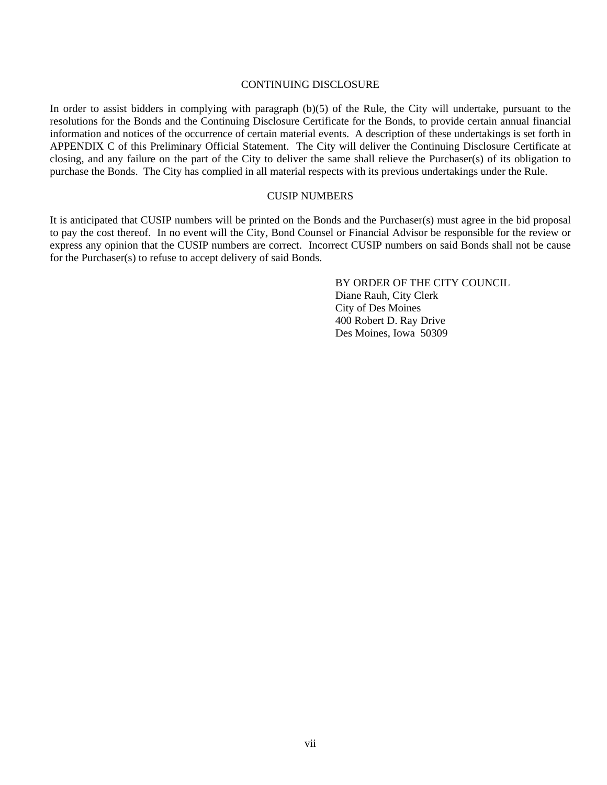#### CONTINUING DISCLOSURE

In order to assist bidders in complying with paragraph (b)(5) of the Rule, the City will undertake, pursuant to the resolutions for the Bonds and the Continuing Disclosure Certificate for the Bonds, to provide certain annual financial information and notices of the occurrence of certain material events. A description of these undertakings is set forth in APPENDIX C of this Preliminary Official Statement. The City will deliver the Continuing Disclosure Certificate at closing, and any failure on the part of the City to deliver the same shall relieve the Purchaser(s) of its obligation to purchase the Bonds. The City has complied in all material respects with its previous undertakings under the Rule.

#### CUSIP NUMBERS

It is anticipated that CUSIP numbers will be printed on the Bonds and the Purchaser(s) must agree in the bid proposal to pay the cost thereof. In no event will the City, Bond Counsel or Financial Advisor be responsible for the review or express any opinion that the CUSIP numbers are correct. Incorrect CUSIP numbers on said Bonds shall not be cause for the Purchaser(s) to refuse to accept delivery of said Bonds.

> BY ORDER OF THE CITY COUNCIL Diane Rauh, City Clerk City of Des Moines 400 Robert D. Ray Drive Des Moines, Iowa 50309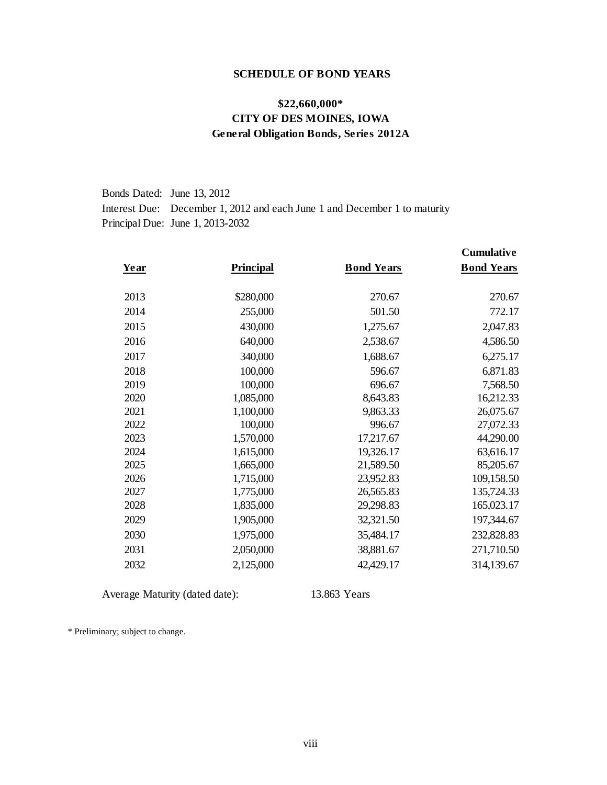#### **SCHEDULE OF BOND YEARS**

# **\$22,660,000\* CITY OF DES MOINES, IOWA General Obligation Bonds, Series 2012A**

Bonds Dated: June 13, 2012Interest Due: December 1, 2012 and each June 1 and December 1 to maturity Principal Due: June 1, 2013-2032

| Year | <b>Principal</b> | <b>Bond Years</b> | <b>Cumulative</b><br><b>Bond Years</b> |
|------|------------------|-------------------|----------------------------------------|
|      |                  |                   |                                        |
| 2013 | \$280,000        | 270.67            | 270.67                                 |
| 2014 | 255,000          | 501.50            | 772.17                                 |
| 2015 | 430,000          | 1,275.67          | 2,047.83                               |
| 2016 | 640,000          | 2,538.67          | 4,586.50                               |
| 2017 | 340,000          | 1,688.67          | 6,275.17                               |
| 2018 | 100,000          | 596.67            | 6,871.83                               |
| 2019 | 100,000          | 696.67            | 7,568.50                               |
| 2020 | 1,085,000        | 8,643.83          | 16,212.33                              |
| 2021 | 1,100,000        | 9,863.33          | 26,075.67                              |
| 2022 | 100,000          | 996.67            | 27,072.33                              |
| 2023 | 1,570,000        | 17,217.67         | 44,290.00                              |
| 2024 | 1,615,000        | 19,326.17         | 63,616.17                              |
| 2025 | 1,665,000        | 21,589.50         | 85,205.67                              |
| 2026 | 1,715,000        | 23,952.83         | 109,158.50                             |
| 2027 | 1,775,000        | 26,565.83         | 135,724.33                             |
| 2028 | 1,835,000        | 29,298.83         | 165,023.17                             |
| 2029 | 1,905,000        | 32,321.50         | 197,344.67                             |
| 2030 | 1,975,000        | 35,484.17         | 232,828.83                             |
| 2031 | 2,050,000        | 38,881.67         | 271,710.50                             |
| 2032 | 2,125,000        | 42,429.17         | 314,139.67                             |

Average Maturity (dated date): 13.863 Years

\* Preliminary; subject to change.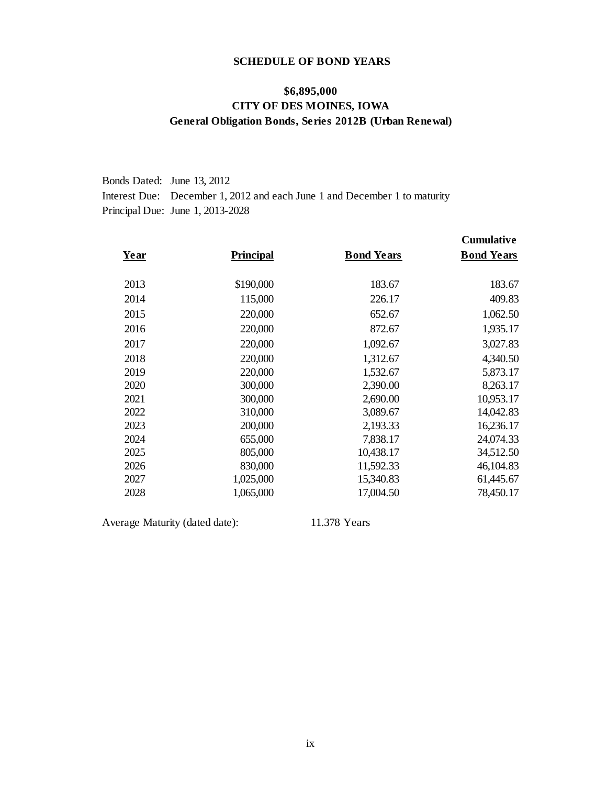# **SCHEDULE OF BOND YEARS**

# **\$6,895,000 CITY OF DES MOINES, IOWA General Obligation Bonds, Series 2012B (Urban Renewal)**

| Bonds Dated: June 13, 2012                                                |
|---------------------------------------------------------------------------|
| Interest Due: December 1, 2012 and each June 1 and December 1 to maturity |
| Principal Due: June 1, 2013-2028                                          |

| Year | <b>Principal</b> | <b>Bond Years</b> | <b>Cumulative</b><br><b>Bond Years</b> |
|------|------------------|-------------------|----------------------------------------|
| 2013 | \$190,000        | 183.67            | 183.67                                 |
| 2014 | 115,000          | 226.17            | 409.83                                 |
| 2015 | 220,000          | 652.67            | 1,062.50                               |
| 2016 | 220,000          | 872.67            | 1,935.17                               |
| 2017 | 220,000          | 1,092.67          | 3,027.83                               |
| 2018 | 220,000          | 1,312.67          | 4,340.50                               |
| 2019 | 220,000          | 1,532.67          | 5,873.17                               |
| 2020 | 300,000          | 2,390.00          | 8,263.17                               |
| 2021 | 300,000          | 2,690.00          | 10,953.17                              |
| 2022 | 310,000          | 3,089.67          | 14,042.83                              |
| 2023 | 200,000          | 2,193.33          | 16,236.17                              |
| 2024 | 655,000          | 7,838.17          | 24,074.33                              |
| 2025 | 805,000          | 10,438.17         | 34,512.50                              |
| 2026 | 830,000          | 11,592.33         | 46,104.83                              |
| 2027 | 1,025,000        | 15,340.83         | 61,445.67                              |
| 2028 | 1,065,000        | 17,004.50         | 78,450.17                              |

Average Maturity (dated date): 11.378 Years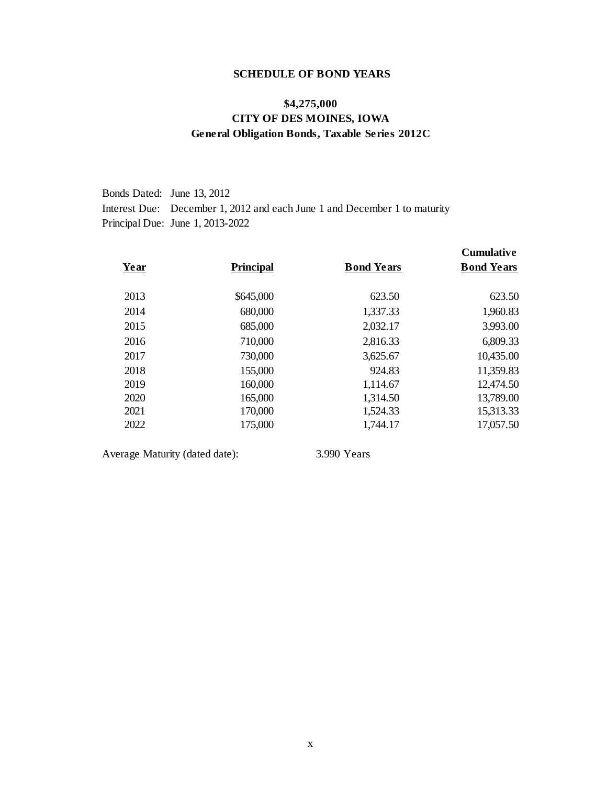#### **SCHEDULE OF BOND YEARS**

# **\$4,275,000 CITY OF DES MOINES, IOWA General Obligation Bonds, Taxable Series 2012C**

Bonds Dated: June 13, 2012Interest Due: December 1, 2012 and each June 1 and December 1 to maturity Principal Due: June 1, 2013-2022

| Year | <b>Principal</b> | <b>Bond Years</b> | <b>Cumulative</b><br><b>Bond Years</b> |
|------|------------------|-------------------|----------------------------------------|
| 2013 | \$645,000        | 623.50            | 623.50                                 |
| 2014 | 680,000          | 1,337.33          | 1,960.83                               |
| 2015 | 685,000          | 2,032.17          | 3,993.00                               |
| 2016 | 710,000          | 2,816.33          | 6,809.33                               |
| 2017 | 730,000          | 3,625.67          | 10,435.00                              |
| 2018 | 155,000          | 924.83            | 11,359.83                              |
| 2019 | 160,000          | 1,114.67          | 12,474.50                              |
| 2020 | 165,000          | 1,314.50          | 13,789.00                              |
| 2021 | 170,000          | 1,524.33          | 15,313.33                              |
| 2022 | 175,000          | 1,744.17          | 17,057.50                              |

Average Maturity (dated date): 3.990 Years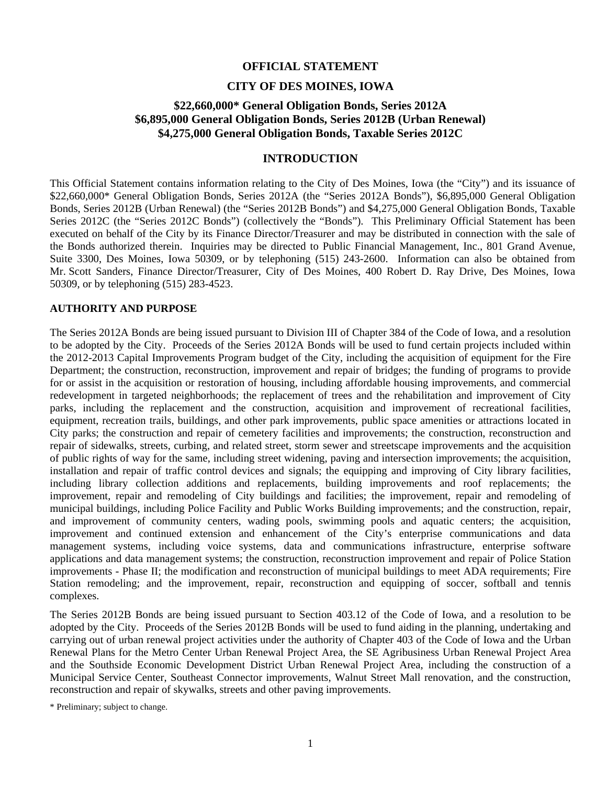#### **OFFICIAL STATEMENT**

#### **CITY OF DES MOINES, IOWA**

# **\$22,660,000\* General Obligation Bonds, Series 2012A \$6,895,000 General Obligation Bonds, Series 2012B (Urban Renewal) \$4,275,000 General Obligation Bonds, Taxable Series 2012C**

### **INTRODUCTION**

This Official Statement contains information relating to the City of Des Moines, Iowa (the "City") and its issuance of \$22,660,000\* General Obligation Bonds, Series 2012A (the "Series 2012A Bonds"), \$6,895,000 General Obligation Bonds, Series 2012B (Urban Renewal) (the "Series 2012B Bonds") and \$4,275,000 General Obligation Bonds, Taxable Series 2012C (the "Series 2012C Bonds") (collectively the "Bonds"). This Preliminary Official Statement has been executed on behalf of the City by its Finance Director/Treasurer and may be distributed in connection with the sale of the Bonds authorized therein. Inquiries may be directed to Public Financial Management, Inc., 801 Grand Avenue, Suite 3300, Des Moines, Iowa 50309, or by telephoning (515) 243-2600. Information can also be obtained from Mr. Scott Sanders, Finance Director/Treasurer, City of Des Moines, 400 Robert D. Ray Drive, Des Moines, Iowa 50309, or by telephoning (515) 283-4523.

#### **AUTHORITY AND PURPOSE**

The Series 2012A Bonds are being issued pursuant to Division III of Chapter 384 of the Code of Iowa, and a resolution to be adopted by the City. Proceeds of the Series 2012A Bonds will be used to fund certain projects included within the 2012-2013 Capital Improvements Program budget of the City, including the acquisition of equipment for the Fire Department; the construction, reconstruction, improvement and repair of bridges; the funding of programs to provide for or assist in the acquisition or restoration of housing, including affordable housing improvements, and commercial redevelopment in targeted neighborhoods; the replacement of trees and the rehabilitation and improvement of City parks, including the replacement and the construction, acquisition and improvement of recreational facilities, equipment, recreation trails, buildings, and other park improvements, public space amenities or attractions located in City parks; the construction and repair of cemetery facilities and improvements; the construction, reconstruction and repair of sidewalks, streets, curbing, and related street, storm sewer and streetscape improvements and the acquisition of public rights of way for the same, including street widening, paving and intersection improvements; the acquisition, installation and repair of traffic control devices and signals; the equipping and improving of City library facilities, including library collection additions and replacements, building improvements and roof replacements; the improvement, repair and remodeling of City buildings and facilities; the improvement, repair and remodeling of municipal buildings, including Police Facility and Public Works Building improvements; and the construction, repair, and improvement of community centers, wading pools, swimming pools and aquatic centers; the acquisition, improvement and continued extension and enhancement of the City's enterprise communications and data management systems, including voice systems, data and communications infrastructure, enterprise software applications and data management systems; the construction, reconstruction improvement and repair of Police Station improvements - Phase II; the modification and reconstruction of municipal buildings to meet ADA requirements; Fire Station remodeling; and the improvement, repair, reconstruction and equipping of soccer, softball and tennis complexes.

The Series 2012B Bonds are being issued pursuant to Section 403.12 of the Code of Iowa, and a resolution to be adopted by the City. Proceeds of the Series 2012B Bonds will be used to fund aiding in the planning, undertaking and carrying out of urban renewal project activities under the authority of Chapter 403 of the Code of Iowa and the Urban Renewal Plans for the Metro Center Urban Renewal Project Area, the SE Agribusiness Urban Renewal Project Area and the Southside Economic Development District Urban Renewal Project Area, including the construction of a Municipal Service Center, Southeast Connector improvements, Walnut Street Mall renovation, and the construction, reconstruction and repair of skywalks, streets and other paving improvements.

\* Preliminary; subject to change.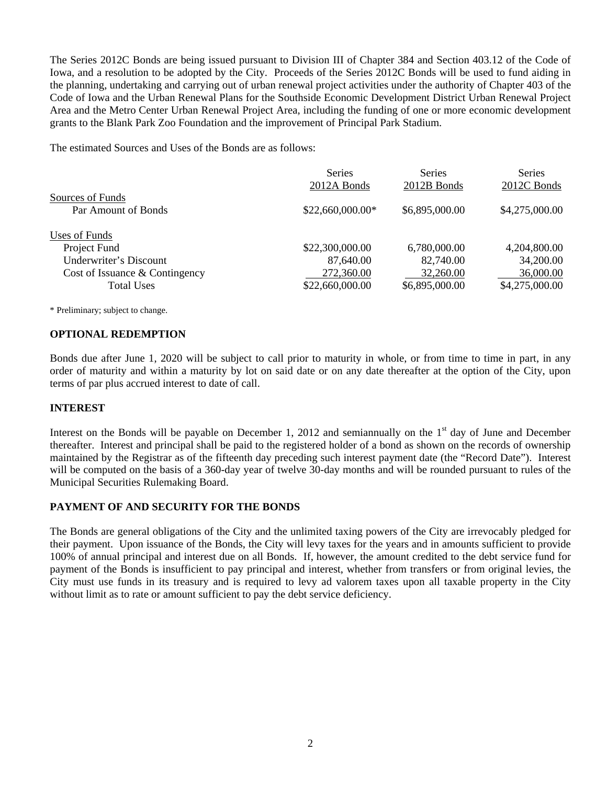The Series 2012C Bonds are being issued pursuant to Division III of Chapter 384 and Section 403.12 of the Code of Iowa, and a resolution to be adopted by the City. Proceeds of the Series 2012C Bonds will be used to fund aiding in the planning, undertaking and carrying out of urban renewal project activities under the authority of Chapter 403 of the Code of Iowa and the Urban Renewal Plans for the Southside Economic Development District Urban Renewal Project Area and the Metro Center Urban Renewal Project Area, including the funding of one or more economic development grants to the Blank Park Zoo Foundation and the improvement of Principal Park Stadium.

The estimated Sources and Uses of the Bonds are as follows:

|                                                                                                                | <b>Series</b><br>2012A Bonds                                  | <b>Series</b><br>2012B Bonds                             | <b>Series</b><br>2012C Bonds                             |
|----------------------------------------------------------------------------------------------------------------|---------------------------------------------------------------|----------------------------------------------------------|----------------------------------------------------------|
| Sources of Funds<br>Par Amount of Bonds                                                                        | \$22,660,000.00*                                              | \$6,895,000.00                                           | \$4,275,000.00                                           |
| Uses of Funds<br>Project Fund<br>Underwriter's Discount<br>Cost of Issuance & Contingency<br><b>Total Uses</b> | \$22,300,000.00<br>87,640.00<br>272,360.00<br>\$22,660,000.00 | 6,780,000.00<br>82,740.00<br>32,260.00<br>\$6,895,000.00 | 4,204,800.00<br>34,200.00<br>36,000.00<br>\$4,275,000.00 |

\* Preliminary; subject to change.

#### **OPTIONAL REDEMPTION**

Bonds due after June 1, 2020 will be subject to call prior to maturity in whole, or from time to time in part, in any order of maturity and within a maturity by lot on said date or on any date thereafter at the option of the City, upon terms of par plus accrued interest to date of call.

#### **INTEREST**

Interest on the Bonds will be payable on December 1, 2012 and semiannually on the  $1<sup>st</sup>$  day of June and December thereafter. Interest and principal shall be paid to the registered holder of a bond as shown on the records of ownership maintained by the Registrar as of the fifteenth day preceding such interest payment date (the "Record Date"). Interest will be computed on the basis of a 360-day year of twelve 30-day months and will be rounded pursuant to rules of the Municipal Securities Rulemaking Board.

# **PAYMENT OF AND SECURITY FOR THE BONDS**

The Bonds are general obligations of the City and the unlimited taxing powers of the City are irrevocably pledged for their payment. Upon issuance of the Bonds, the City will levy taxes for the years and in amounts sufficient to provide 100% of annual principal and interest due on all Bonds. If, however, the amount credited to the debt service fund for payment of the Bonds is insufficient to pay principal and interest, whether from transfers or from original levies, the City must use funds in its treasury and is required to levy ad valorem taxes upon all taxable property in the City without limit as to rate or amount sufficient to pay the debt service deficiency.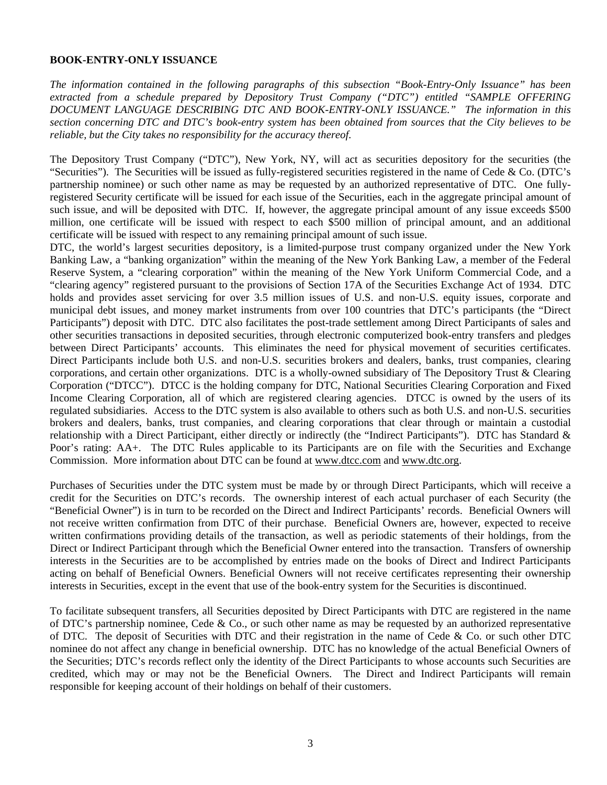#### **BOOK-ENTRY-ONLY ISSUANCE**

*The information contained in the following paragraphs of this subsection "Book-Entry-Only Issuance" has been extracted from a schedule prepared by Depository Trust Company ("DTC") entitled "SAMPLE OFFERING DOCUMENT LANGUAGE DESCRIBING DTC AND BOOK-ENTRY-ONLY ISSUANCE." The information in this section concerning DTC and DTC's book-entry system has been obtained from sources that the City believes to be reliable, but the City takes no responsibility for the accuracy thereof.* 

The Depository Trust Company ("DTC"), New York, NY, will act as securities depository for the securities (the "Securities"). The Securities will be issued as fully-registered securities registered in the name of Cede  $\&$  Co. (DTC's partnership nominee) or such other name as may be requested by an authorized representative of DTC. One fullyregistered Security certificate will be issued for each issue of the Securities, each in the aggregate principal amount of such issue, and will be deposited with DTC. If, however, the aggregate principal amount of any issue exceeds \$500 million, one certificate will be issued with respect to each \$500 million of principal amount, and an additional certificate will be issued with respect to any remaining principal amount of such issue.

DTC, the world's largest securities depository, is a limited-purpose trust company organized under the New York Banking Law, a "banking organization" within the meaning of the New York Banking Law, a member of the Federal Reserve System, a "clearing corporation" within the meaning of the New York Uniform Commercial Code, and a "clearing agency" registered pursuant to the provisions of Section 17A of the Securities Exchange Act of 1934. DTC holds and provides asset servicing for over 3.5 million issues of U.S. and non-U.S. equity issues, corporate and municipal debt issues, and money market instruments from over 100 countries that DTC's participants (the "Direct Participants") deposit with DTC. DTC also facilitates the post-trade settlement among Direct Participants of sales and other securities transactions in deposited securities, through electronic computerized book-entry transfers and pledges between Direct Participants' accounts. This eliminates the need for physical movement of securities certificates. Direct Participants include both U.S. and non-U.S. securities brokers and dealers, banks, trust companies, clearing corporations, and certain other organizations. DTC is a wholly-owned subsidiary of The Depository Trust & Clearing Corporation ("DTCC"). DTCC is the holding company for DTC, National Securities Clearing Corporation and Fixed Income Clearing Corporation, all of which are registered clearing agencies. DTCC is owned by the users of its regulated subsidiaries. Access to the DTC system is also available to others such as both U.S. and non-U.S. securities brokers and dealers, banks, trust companies, and clearing corporations that clear through or maintain a custodial relationship with a Direct Participant, either directly or indirectly (the "Indirect Participants"). DTC has Standard & Poor's rating: AA+. The DTC Rules applicable to its Participants are on file with the Securities and Exchange Commission. More information about DTC can be found at www.dtcc.com and www.dtc.org.

Purchases of Securities under the DTC system must be made by or through Direct Participants, which will receive a credit for the Securities on DTC's records. The ownership interest of each actual purchaser of each Security (the "Beneficial Owner") is in turn to be recorded on the Direct and Indirect Participants' records. Beneficial Owners will not receive written confirmation from DTC of their purchase. Beneficial Owners are, however, expected to receive written confirmations providing details of the transaction, as well as periodic statements of their holdings, from the Direct or Indirect Participant through which the Beneficial Owner entered into the transaction. Transfers of ownership interests in the Securities are to be accomplished by entries made on the books of Direct and Indirect Participants acting on behalf of Beneficial Owners. Beneficial Owners will not receive certificates representing their ownership interests in Securities, except in the event that use of the book-entry system for the Securities is discontinued.

To facilitate subsequent transfers, all Securities deposited by Direct Participants with DTC are registered in the name of DTC's partnership nominee, Cede & Co., or such other name as may be requested by an authorized representative of DTC. The deposit of Securities with DTC and their registration in the name of Cede & Co. or such other DTC nominee do not affect any change in beneficial ownership. DTC has no knowledge of the actual Beneficial Owners of the Securities; DTC's records reflect only the identity of the Direct Participants to whose accounts such Securities are credited, which may or may not be the Beneficial Owners. The Direct and Indirect Participants will remain responsible for keeping account of their holdings on behalf of their customers.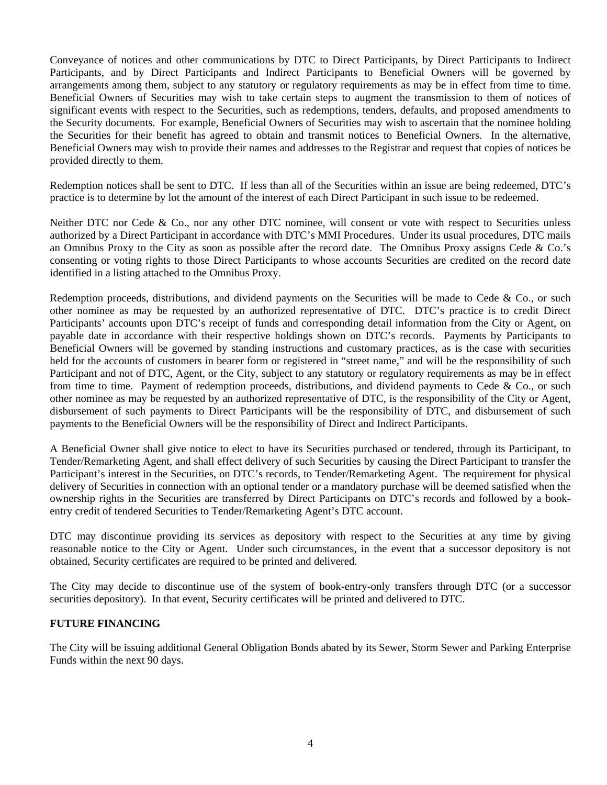Conveyance of notices and other communications by DTC to Direct Participants, by Direct Participants to Indirect Participants, and by Direct Participants and Indirect Participants to Beneficial Owners will be governed by arrangements among them, subject to any statutory or regulatory requirements as may be in effect from time to time. Beneficial Owners of Securities may wish to take certain steps to augment the transmission to them of notices of significant events with respect to the Securities, such as redemptions, tenders, defaults, and proposed amendments to the Security documents. For example, Beneficial Owners of Securities may wish to ascertain that the nominee holding the Securities for their benefit has agreed to obtain and transmit notices to Beneficial Owners. In the alternative, Beneficial Owners may wish to provide their names and addresses to the Registrar and request that copies of notices be provided directly to them.

Redemption notices shall be sent to DTC. If less than all of the Securities within an issue are being redeemed, DTC's practice is to determine by lot the amount of the interest of each Direct Participant in such issue to be redeemed.

Neither DTC nor Cede & Co., nor any other DTC nominee, will consent or vote with respect to Securities unless authorized by a Direct Participant in accordance with DTC's MMI Procedures. Under its usual procedures, DTC mails an Omnibus Proxy to the City as soon as possible after the record date. The Omnibus Proxy assigns Cede & Co.'s consenting or voting rights to those Direct Participants to whose accounts Securities are credited on the record date identified in a listing attached to the Omnibus Proxy.

Redemption proceeds, distributions, and dividend payments on the Securities will be made to Cede & Co., or such other nominee as may be requested by an authorized representative of DTC. DTC's practice is to credit Direct Participants' accounts upon DTC's receipt of funds and corresponding detail information from the City or Agent, on payable date in accordance with their respective holdings shown on DTC's records. Payments by Participants to Beneficial Owners will be governed by standing instructions and customary practices, as is the case with securities held for the accounts of customers in bearer form or registered in "street name," and will be the responsibility of such Participant and not of DTC, Agent, or the City, subject to any statutory or regulatory requirements as may be in effect from time to time. Payment of redemption proceeds, distributions, and dividend payments to Cede & Co., or such other nominee as may be requested by an authorized representative of DTC, is the responsibility of the City or Agent, disbursement of such payments to Direct Participants will be the responsibility of DTC, and disbursement of such payments to the Beneficial Owners will be the responsibility of Direct and Indirect Participants.

A Beneficial Owner shall give notice to elect to have its Securities purchased or tendered, through its Participant, to Tender/Remarketing Agent, and shall effect delivery of such Securities by causing the Direct Participant to transfer the Participant's interest in the Securities, on DTC's records, to Tender/Remarketing Agent. The requirement for physical delivery of Securities in connection with an optional tender or a mandatory purchase will be deemed satisfied when the ownership rights in the Securities are transferred by Direct Participants on DTC's records and followed by a bookentry credit of tendered Securities to Tender/Remarketing Agent's DTC account.

DTC may discontinue providing its services as depository with respect to the Securities at any time by giving reasonable notice to the City or Agent. Under such circumstances, in the event that a successor depository is not obtained, Security certificates are required to be printed and delivered.

The City may decide to discontinue use of the system of book-entry-only transfers through DTC (or a successor securities depository). In that event, Security certificates will be printed and delivered to DTC.

#### **FUTURE FINANCING**

The City will be issuing additional General Obligation Bonds abated by its Sewer, Storm Sewer and Parking Enterprise Funds within the next 90 days.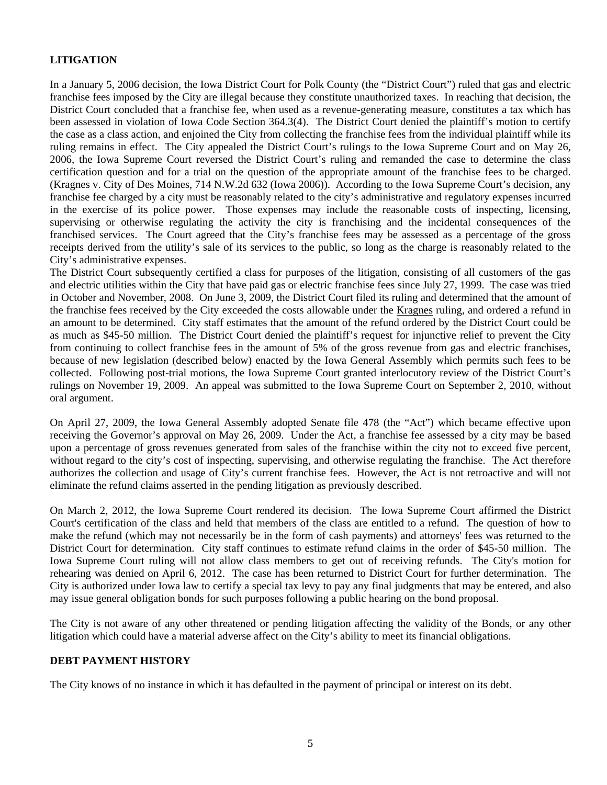# **LITIGATION**

In a January 5, 2006 decision, the Iowa District Court for Polk County (the "District Court") ruled that gas and electric franchise fees imposed by the City are illegal because they constitute unauthorized taxes. In reaching that decision, the District Court concluded that a franchise fee, when used as a revenue-generating measure, constitutes a tax which has been assessed in violation of Iowa Code Section 364.3(4). The District Court denied the plaintiff's motion to certify the case as a class action, and enjoined the City from collecting the franchise fees from the individual plaintiff while its ruling remains in effect. The City appealed the District Court's rulings to the Iowa Supreme Court and on May 26, 2006, the Iowa Supreme Court reversed the District Court's ruling and remanded the case to determine the class certification question and for a trial on the question of the appropriate amount of the franchise fees to be charged. (Kragnes v. City of Des Moines, 714 N.W.2d 632 (Iowa 2006)). According to the Iowa Supreme Court's decision, any franchise fee charged by a city must be reasonably related to the city's administrative and regulatory expenses incurred in the exercise of its police power. Those expenses may include the reasonable costs of inspecting, licensing, supervising or otherwise regulating the activity the city is franchising and the incidental consequences of the franchised services. The Court agreed that the City's franchise fees may be assessed as a percentage of the gross receipts derived from the utility's sale of its services to the public, so long as the charge is reasonably related to the City's administrative expenses.

The District Court subsequently certified a class for purposes of the litigation, consisting of all customers of the gas and electric utilities within the City that have paid gas or electric franchise fees since July 27, 1999. The case was tried in October and November, 2008. On June 3, 2009, the District Court filed its ruling and determined that the amount of the franchise fees received by the City exceeded the costs allowable under the Kragnes ruling, and ordered a refund in an amount to be determined. City staff estimates that the amount of the refund ordered by the District Court could be as much as \$45-50 million. The District Court denied the plaintiff's request for injunctive relief to prevent the City from continuing to collect franchise fees in the amount of 5% of the gross revenue from gas and electric franchises, because of new legislation (described below) enacted by the Iowa General Assembly which permits such fees to be collected. Following post-trial motions, the Iowa Supreme Court granted interlocutory review of the District Court's rulings on November 19, 2009. An appeal was submitted to the Iowa Supreme Court on September 2, 2010, without oral argument.

On April 27, 2009, the Iowa General Assembly adopted Senate file 478 (the "Act") which became effective upon receiving the Governor's approval on May 26, 2009. Under the Act, a franchise fee assessed by a city may be based upon a percentage of gross revenues generated from sales of the franchise within the city not to exceed five percent, without regard to the city's cost of inspecting, supervising, and otherwise regulating the franchise. The Act therefore authorizes the collection and usage of City's current franchise fees. However, the Act is not retroactive and will not eliminate the refund claims asserted in the pending litigation as previously described.

On March 2, 2012, the Iowa Supreme Court rendered its decision. The Iowa Supreme Court affirmed the District Court's certification of the class and held that members of the class are entitled to a refund. The question of how to make the refund (which may not necessarily be in the form of cash payments) and attorneys' fees was returned to the District Court for determination. City staff continues to estimate refund claims in the order of \$45-50 million. The Iowa Supreme Court ruling will not allow class members to get out of receiving refunds. The City's motion for rehearing was denied on April 6, 2012. The case has been returned to District Court for further determination. The City is authorized under Iowa law to certify a special tax levy to pay any final judgments that may be entered, and also may issue general obligation bonds for such purposes following a public hearing on the bond proposal.

The City is not aware of any other threatened or pending litigation affecting the validity of the Bonds, or any other litigation which could have a material adverse affect on the City's ability to meet its financial obligations.

#### **DEBT PAYMENT HISTORY**

The City knows of no instance in which it has defaulted in the payment of principal or interest on its debt.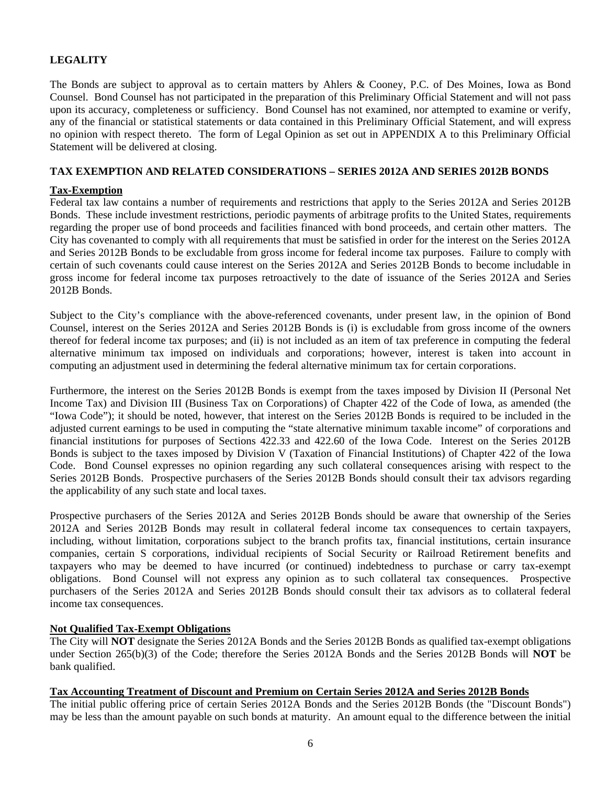# **LEGALITY**

The Bonds are subject to approval as to certain matters by Ahlers & Cooney, P.C. of Des Moines, Iowa as Bond Counsel. Bond Counsel has not participated in the preparation of this Preliminary Official Statement and will not pass upon its accuracy, completeness or sufficiency. Bond Counsel has not examined, nor attempted to examine or verify, any of the financial or statistical statements or data contained in this Preliminary Official Statement, and will express no opinion with respect thereto. The form of Legal Opinion as set out in APPENDIX A to this Preliminary Official Statement will be delivered at closing.

#### **TAX EXEMPTION AND RELATED CONSIDERATIONS – SERIES 2012A AND SERIES 2012B BONDS**

#### **Tax-Exemption**

Federal tax law contains a number of requirements and restrictions that apply to the Series 2012A and Series 2012B Bonds. These include investment restrictions, periodic payments of arbitrage profits to the United States, requirements regarding the proper use of bond proceeds and facilities financed with bond proceeds, and certain other matters. The City has covenanted to comply with all requirements that must be satisfied in order for the interest on the Series 2012A and Series 2012B Bonds to be excludable from gross income for federal income tax purposes. Failure to comply with certain of such covenants could cause interest on the Series 2012A and Series 2012B Bonds to become includable in gross income for federal income tax purposes retroactively to the date of issuance of the Series 2012A and Series 2012B Bonds.

Subject to the City's compliance with the above-referenced covenants, under present law, in the opinion of Bond Counsel, interest on the Series 2012A and Series 2012B Bonds is (i) is excludable from gross income of the owners thereof for federal income tax purposes; and (ii) is not included as an item of tax preference in computing the federal alternative minimum tax imposed on individuals and corporations; however, interest is taken into account in computing an adjustment used in determining the federal alternative minimum tax for certain corporations.

Furthermore, the interest on the Series 2012B Bonds is exempt from the taxes imposed by Division II (Personal Net Income Tax) and Division III (Business Tax on Corporations) of Chapter 422 of the Code of Iowa, as amended (the "Iowa Code"); it should be noted, however, that interest on the Series 2012B Bonds is required to be included in the adjusted current earnings to be used in computing the "state alternative minimum taxable income" of corporations and financial institutions for purposes of Sections 422.33 and 422.60 of the Iowa Code. Interest on the Series 2012B Bonds is subject to the taxes imposed by Division V (Taxation of Financial Institutions) of Chapter 422 of the Iowa Code. Bond Counsel expresses no opinion regarding any such collateral consequences arising with respect to the Series 2012B Bonds. Prospective purchasers of the Series 2012B Bonds should consult their tax advisors regarding the applicability of any such state and local taxes.

Prospective purchasers of the Series 2012A and Series 2012B Bonds should be aware that ownership of the Series 2012A and Series 2012B Bonds may result in collateral federal income tax consequences to certain taxpayers, including, without limitation, corporations subject to the branch profits tax, financial institutions, certain insurance companies, certain S corporations, individual recipients of Social Security or Railroad Retirement benefits and taxpayers who may be deemed to have incurred (or continued) indebtedness to purchase or carry tax-exempt obligations. Bond Counsel will not express any opinion as to such collateral tax consequences. Prospective purchasers of the Series 2012A and Series 2012B Bonds should consult their tax advisors as to collateral federal income tax consequences.

#### **Not Qualified Tax-Exempt Obligations**

The City will **NOT** designate the Series 2012A Bonds and the Series 2012B Bonds as qualified tax-exempt obligations under Section 265(b)(3) of the Code; therefore the Series 2012A Bonds and the Series 2012B Bonds will **NOT** be bank qualified.

#### **Tax Accounting Treatment of Discount and Premium on Certain Series 2012A and Series 2012B Bonds**

The initial public offering price of certain Series 2012A Bonds and the Series 2012B Bonds (the "Discount Bonds") may be less than the amount payable on such bonds at maturity. An amount equal to the difference between the initial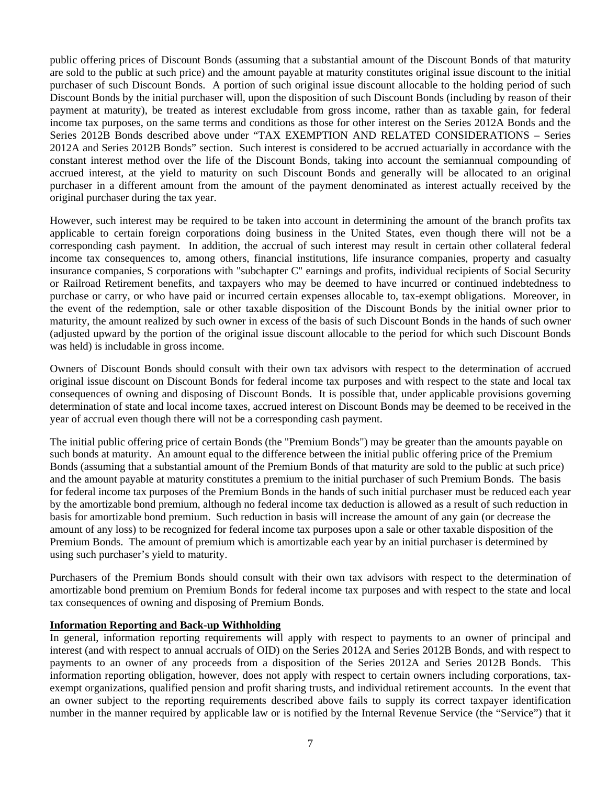public offering prices of Discount Bonds (assuming that a substantial amount of the Discount Bonds of that maturity are sold to the public at such price) and the amount payable at maturity constitutes original issue discount to the initial purchaser of such Discount Bonds. A portion of such original issue discount allocable to the holding period of such Discount Bonds by the initial purchaser will, upon the disposition of such Discount Bonds (including by reason of their payment at maturity), be treated as interest excludable from gross income, rather than as taxable gain, for federal income tax purposes, on the same terms and conditions as those for other interest on the Series 2012A Bonds and the Series 2012B Bonds described above under "TAX EXEMPTION AND RELATED CONSIDERATIONS – Series 2012A and Series 2012B Bonds" section. Such interest is considered to be accrued actuarially in accordance with the constant interest method over the life of the Discount Bonds, taking into account the semiannual compounding of accrued interest, at the yield to maturity on such Discount Bonds and generally will be allocated to an original purchaser in a different amount from the amount of the payment denominated as interest actually received by the original purchaser during the tax year.

However, such interest may be required to be taken into account in determining the amount of the branch profits tax applicable to certain foreign corporations doing business in the United States, even though there will not be a corresponding cash payment. In addition, the accrual of such interest may result in certain other collateral federal income tax consequences to, among others, financial institutions, life insurance companies, property and casualty insurance companies, S corporations with "subchapter C" earnings and profits, individual recipients of Social Security or Railroad Retirement benefits, and taxpayers who may be deemed to have incurred or continued indebtedness to purchase or carry, or who have paid or incurred certain expenses allocable to, tax-exempt obligations. Moreover, in the event of the redemption, sale or other taxable disposition of the Discount Bonds by the initial owner prior to maturity, the amount realized by such owner in excess of the basis of such Discount Bonds in the hands of such owner (adjusted upward by the portion of the original issue discount allocable to the period for which such Discount Bonds was held) is includable in gross income.

Owners of Discount Bonds should consult with their own tax advisors with respect to the determination of accrued original issue discount on Discount Bonds for federal income tax purposes and with respect to the state and local tax consequences of owning and disposing of Discount Bonds. It is possible that, under applicable provisions governing determination of state and local income taxes, accrued interest on Discount Bonds may be deemed to be received in the year of accrual even though there will not be a corresponding cash payment.

The initial public offering price of certain Bonds (the "Premium Bonds") may be greater than the amounts payable on such bonds at maturity. An amount equal to the difference between the initial public offering price of the Premium Bonds (assuming that a substantial amount of the Premium Bonds of that maturity are sold to the public at such price) and the amount payable at maturity constitutes a premium to the initial purchaser of such Premium Bonds. The basis for federal income tax purposes of the Premium Bonds in the hands of such initial purchaser must be reduced each year by the amortizable bond premium, although no federal income tax deduction is allowed as a result of such reduction in basis for amortizable bond premium. Such reduction in basis will increase the amount of any gain (or decrease the amount of any loss) to be recognized for federal income tax purposes upon a sale or other taxable disposition of the Premium Bonds. The amount of premium which is amortizable each year by an initial purchaser is determined by using such purchaser's yield to maturity.

Purchasers of the Premium Bonds should consult with their own tax advisors with respect to the determination of amortizable bond premium on Premium Bonds for federal income tax purposes and with respect to the state and local tax consequences of owning and disposing of Premium Bonds.

#### **Information Reporting and Back-up Withholding**

In general, information reporting requirements will apply with respect to payments to an owner of principal and interest (and with respect to annual accruals of OID) on the Series 2012A and Series 2012B Bonds, and with respect to payments to an owner of any proceeds from a disposition of the Series 2012A and Series 2012B Bonds. This information reporting obligation, however, does not apply with respect to certain owners including corporations, taxexempt organizations, qualified pension and profit sharing trusts, and individual retirement accounts. In the event that an owner subject to the reporting requirements described above fails to supply its correct taxpayer identification number in the manner required by applicable law or is notified by the Internal Revenue Service (the "Service") that it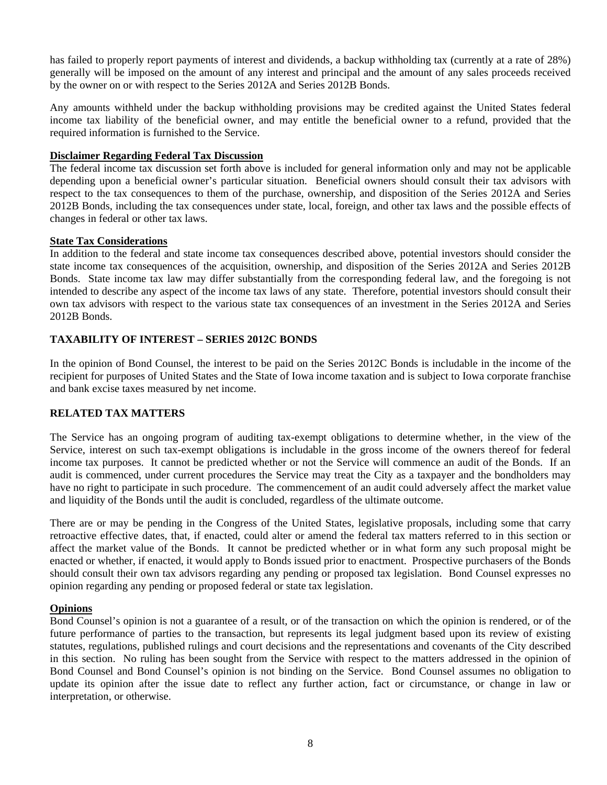has failed to properly report payments of interest and dividends, a backup withholding tax (currently at a rate of 28%) generally will be imposed on the amount of any interest and principal and the amount of any sales proceeds received by the owner on or with respect to the Series 2012A and Series 2012B Bonds.

Any amounts withheld under the backup withholding provisions may be credited against the United States federal income tax liability of the beneficial owner, and may entitle the beneficial owner to a refund, provided that the required information is furnished to the Service.

#### **Disclaimer Regarding Federal Tax Discussion**

The federal income tax discussion set forth above is included for general information only and may not be applicable depending upon a beneficial owner's particular situation. Beneficial owners should consult their tax advisors with respect to the tax consequences to them of the purchase, ownership, and disposition of the Series 2012A and Series 2012B Bonds, including the tax consequences under state, local, foreign, and other tax laws and the possible effects of changes in federal or other tax laws.

#### **State Tax Considerations**

In addition to the federal and state income tax consequences described above, potential investors should consider the state income tax consequences of the acquisition, ownership, and disposition of the Series 2012A and Series 2012B Bonds. State income tax law may differ substantially from the corresponding federal law, and the foregoing is not intended to describe any aspect of the income tax laws of any state. Therefore, potential investors should consult their own tax advisors with respect to the various state tax consequences of an investment in the Series 2012A and Series 2012B Bonds.

# **TAXABILITY OF INTEREST – SERIES 2012C BONDS**

In the opinion of Bond Counsel, the interest to be paid on the Series 2012C Bonds is includable in the income of the recipient for purposes of United States and the State of Iowa income taxation and is subject to Iowa corporate franchise and bank excise taxes measured by net income.

#### **RELATED TAX MATTERS**

The Service has an ongoing program of auditing tax-exempt obligations to determine whether, in the view of the Service, interest on such tax-exempt obligations is includable in the gross income of the owners thereof for federal income tax purposes. It cannot be predicted whether or not the Service will commence an audit of the Bonds. If an audit is commenced, under current procedures the Service may treat the City as a taxpayer and the bondholders may have no right to participate in such procedure. The commencement of an audit could adversely affect the market value and liquidity of the Bonds until the audit is concluded, regardless of the ultimate outcome.

There are or may be pending in the Congress of the United States, legislative proposals, including some that carry retroactive effective dates, that, if enacted, could alter or amend the federal tax matters referred to in this section or affect the market value of the Bonds. It cannot be predicted whether or in what form any such proposal might be enacted or whether, if enacted, it would apply to Bonds issued prior to enactment. Prospective purchasers of the Bonds should consult their own tax advisors regarding any pending or proposed tax legislation. Bond Counsel expresses no opinion regarding any pending or proposed federal or state tax legislation.

#### **Opinions**

Bond Counsel's opinion is not a guarantee of a result, or of the transaction on which the opinion is rendered, or of the future performance of parties to the transaction, but represents its legal judgment based upon its review of existing statutes, regulations, published rulings and court decisions and the representations and covenants of the City described in this section. No ruling has been sought from the Service with respect to the matters addressed in the opinion of Bond Counsel and Bond Counsel's opinion is not binding on the Service. Bond Counsel assumes no obligation to update its opinion after the issue date to reflect any further action, fact or circumstance, or change in law or interpretation, or otherwise.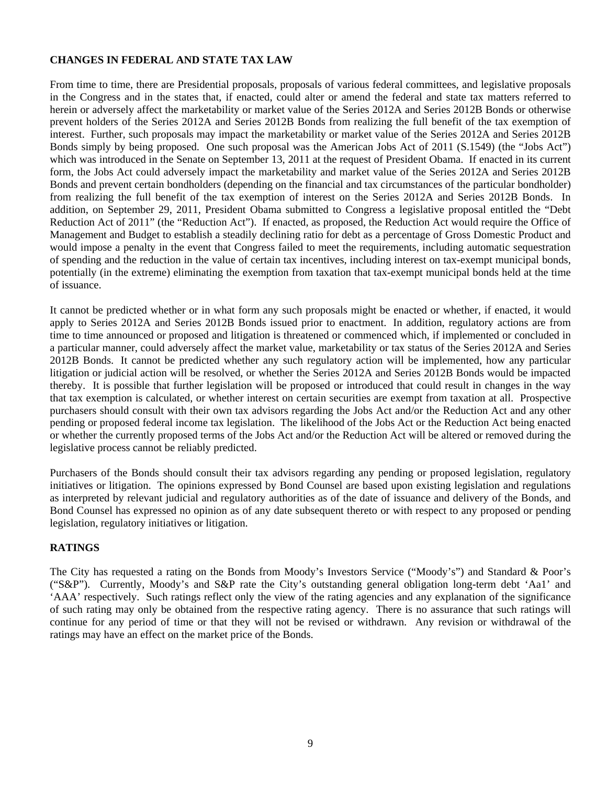# **CHANGES IN FEDERAL AND STATE TAX LAW**

From time to time, there are Presidential proposals, proposals of various federal committees, and legislative proposals in the Congress and in the states that, if enacted, could alter or amend the federal and state tax matters referred to herein or adversely affect the marketability or market value of the Series 2012A and Series 2012B Bonds or otherwise prevent holders of the Series 2012A and Series 2012B Bonds from realizing the full benefit of the tax exemption of interest. Further, such proposals may impact the marketability or market value of the Series 2012A and Series 2012B Bonds simply by being proposed. One such proposal was the American Jobs Act of 2011 (S.1549) (the "Jobs Act") which was introduced in the Senate on September 13, 2011 at the request of President Obama. If enacted in its current form, the Jobs Act could adversely impact the marketability and market value of the Series 2012A and Series 2012B Bonds and prevent certain bondholders (depending on the financial and tax circumstances of the particular bondholder) from realizing the full benefit of the tax exemption of interest on the Series 2012A and Series 2012B Bonds. In addition, on September 29, 2011, President Obama submitted to Congress a legislative proposal entitled the "Debt Reduction Act of 2011" (the "Reduction Act"). If enacted, as proposed, the Reduction Act would require the Office of Management and Budget to establish a steadily declining ratio for debt as a percentage of Gross Domestic Product and would impose a penalty in the event that Congress failed to meet the requirements, including automatic sequestration of spending and the reduction in the value of certain tax incentives, including interest on tax-exempt municipal bonds, potentially (in the extreme) eliminating the exemption from taxation that tax-exempt municipal bonds held at the time of issuance.

It cannot be predicted whether or in what form any such proposals might be enacted or whether, if enacted, it would apply to Series 2012A and Series 2012B Bonds issued prior to enactment. In addition, regulatory actions are from time to time announced or proposed and litigation is threatened or commenced which, if implemented or concluded in a particular manner, could adversely affect the market value, marketability or tax status of the Series 2012A and Series 2012B Bonds. It cannot be predicted whether any such regulatory action will be implemented, how any particular litigation or judicial action will be resolved, or whether the Series 2012A and Series 2012B Bonds would be impacted thereby. It is possible that further legislation will be proposed or introduced that could result in changes in the way that tax exemption is calculated, or whether interest on certain securities are exempt from taxation at all. Prospective purchasers should consult with their own tax advisors regarding the Jobs Act and/or the Reduction Act and any other pending or proposed federal income tax legislation. The likelihood of the Jobs Act or the Reduction Act being enacted or whether the currently proposed terms of the Jobs Act and/or the Reduction Act will be altered or removed during the legislative process cannot be reliably predicted.

Purchasers of the Bonds should consult their tax advisors regarding any pending or proposed legislation, regulatory initiatives or litigation. The opinions expressed by Bond Counsel are based upon existing legislation and regulations as interpreted by relevant judicial and regulatory authorities as of the date of issuance and delivery of the Bonds, and Bond Counsel has expressed no opinion as of any date subsequent thereto or with respect to any proposed or pending legislation, regulatory initiatives or litigation.

#### **RATINGS**

The City has requested a rating on the Bonds from Moody's Investors Service ("Moody's") and Standard & Poor's ("S&P"). Currently, Moody's and S&P rate the City's outstanding general obligation long-term debt 'Aa1' and 'AAA' respectively. Such ratings reflect only the view of the rating agencies and any explanation of the significance of such rating may only be obtained from the respective rating agency. There is no assurance that such ratings will continue for any period of time or that they will not be revised or withdrawn. Any revision or withdrawal of the ratings may have an effect on the market price of the Bonds.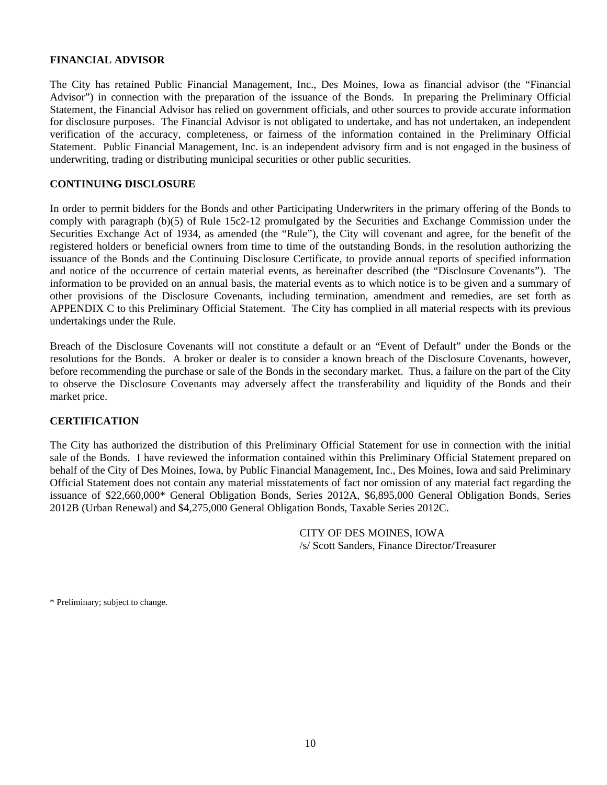#### **FINANCIAL ADVISOR**

The City has retained Public Financial Management, Inc., Des Moines, Iowa as financial advisor (the "Financial Advisor") in connection with the preparation of the issuance of the Bonds. In preparing the Preliminary Official Statement, the Financial Advisor has relied on government officials, and other sources to provide accurate information for disclosure purposes. The Financial Advisor is not obligated to undertake, and has not undertaken, an independent verification of the accuracy, completeness, or fairness of the information contained in the Preliminary Official Statement. Public Financial Management, Inc. is an independent advisory firm and is not engaged in the business of underwriting, trading or distributing municipal securities or other public securities.

#### **CONTINUING DISCLOSURE**

In order to permit bidders for the Bonds and other Participating Underwriters in the primary offering of the Bonds to comply with paragraph (b)(5) of Rule 15c2-12 promulgated by the Securities and Exchange Commission under the Securities Exchange Act of 1934, as amended (the "Rule"), the City will covenant and agree, for the benefit of the registered holders or beneficial owners from time to time of the outstanding Bonds, in the resolution authorizing the issuance of the Bonds and the Continuing Disclosure Certificate, to provide annual reports of specified information and notice of the occurrence of certain material events, as hereinafter described (the "Disclosure Covenants"). The information to be provided on an annual basis, the material events as to which notice is to be given and a summary of other provisions of the Disclosure Covenants, including termination, amendment and remedies, are set forth as APPENDIX C to this Preliminary Official Statement. The City has complied in all material respects with its previous undertakings under the Rule.

Breach of the Disclosure Covenants will not constitute a default or an "Event of Default" under the Bonds or the resolutions for the Bonds. A broker or dealer is to consider a known breach of the Disclosure Covenants, however, before recommending the purchase or sale of the Bonds in the secondary market. Thus, a failure on the part of the City to observe the Disclosure Covenants may adversely affect the transferability and liquidity of the Bonds and their market price.

#### **CERTIFICATION**

The City has authorized the distribution of this Preliminary Official Statement for use in connection with the initial sale of the Bonds. I have reviewed the information contained within this Preliminary Official Statement prepared on behalf of the City of Des Moines, Iowa, by Public Financial Management, Inc., Des Moines, Iowa and said Preliminary Official Statement does not contain any material misstatements of fact nor omission of any material fact regarding the issuance of \$22,660,000\* General Obligation Bonds, Series 2012A, \$6,895,000 General Obligation Bonds, Series 2012B (Urban Renewal) and \$4,275,000 General Obligation Bonds, Taxable Series 2012C.

> CITY OF DES MOINES, IOWA /s/ Scott Sanders, Finance Director/Treasurer

\* Preliminary; subject to change.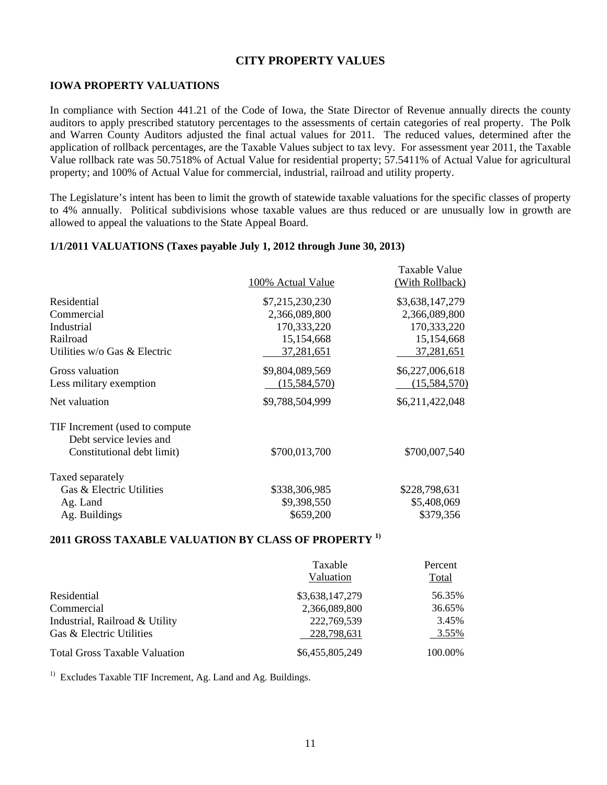## **CITY PROPERTY VALUES**

#### **IOWA PROPERTY VALUATIONS**

In compliance with Section 441.21 of the Code of Iowa, the State Director of Revenue annually directs the county auditors to apply prescribed statutory percentages to the assessments of certain categories of real property. The Polk and Warren County Auditors adjusted the final actual values for 2011. The reduced values, determined after the application of rollback percentages, are the Taxable Values subject to tax levy. For assessment year 2011, the Taxable Value rollback rate was 50.7518% of Actual Value for residential property; 57.5411% of Actual Value for agricultural property; and 100% of Actual Value for commercial, industrial, railroad and utility property.

The Legislature's intent has been to limit the growth of statewide taxable valuations for the specific classes of property to 4% annually. Political subdivisions whose taxable values are thus reduced or are unusually low in growth are allowed to appeal the valuations to the State Appeal Board.

#### **1/1/2011 VALUATIONS (Taxes payable July 1, 2012 through June 30, 2013)**

|                                | 100% Actual Value | Taxable Value<br>(With Rollback) |
|--------------------------------|-------------------|----------------------------------|
| Residential                    | \$7,215,230,230   | \$3,638,147,279                  |
| Commercial                     | 2,366,089,800     | 2,366,089,800                    |
| Industrial                     | 170,333,220       | 170,333,220                      |
| Railroad                       | 15,154,668        | 15,154,668                       |
| Utilities w/o Gas & Electric   | 37,281,651        | 37,281,651                       |
| Gross valuation                | \$9,804,089,569   | \$6,227,006,618                  |
| Less military exemption        | (15,584,570)      | (15,584,570)                     |
| Net valuation                  | \$9,788,504,999   | \$6,211,422,048                  |
| TIF Increment (used to compute |                   |                                  |
| Debt service levies and        |                   |                                  |
| Constitutional debt limit)     | \$700,013,700     | \$700,007,540                    |
| Taxed separately               |                   |                                  |
| Gas & Electric Utilities       | \$338,306,985     | \$228,798,631                    |
| Ag. Land                       | \$9,398,550       | \$5,408,069                      |
| Ag. Buildings                  | \$659,200         | \$379,356                        |

#### **2011 GROSS TAXABLE VALUATION BY CLASS OF PROPERTY 1)**

|                                      | Taxable<br>Valuation | Percent<br>Total |
|--------------------------------------|----------------------|------------------|
| Residential                          | \$3,638,147,279      | 56.35%           |
| Commercial                           | 2,366,089,800        | 36.65%           |
| Industrial, Railroad & Utility       | 222,769,539          | 3.45%            |
| Gas & Electric Utilities             | 228,798,631          | 3.55%            |
| <b>Total Gross Taxable Valuation</b> | \$6,455,805,249      | 100.00%          |

<sup>1)</sup> Excludes Taxable TIF Increment, Ag. Land and Ag. Buildings.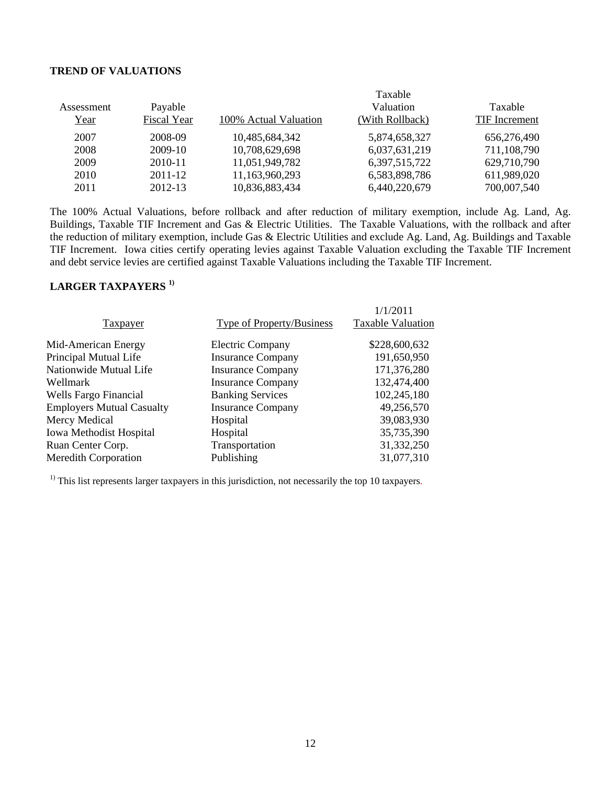#### **TREND OF VALUATIONS**

|            |             |                       | Taxable         |               |
|------------|-------------|-----------------------|-----------------|---------------|
| Assessment | Payable     |                       | Valuation       | Taxable       |
| Year       | Fiscal Year | 100% Actual Valuation | (With Rollback) | TIF Increment |
| 2007       | 2008-09     | 10,485,684,342        | 5,874,658,327   | 656,276,490   |
| 2008       | 2009-10     | 10,708,629,698        | 6,037,631,219   | 711,108,790   |
| 2009       | 2010-11     | 11,051,949,782        | 6,397,515,722   | 629,710,790   |
| 2010       | 2011-12     | 11,163,960,293        | 6,583,898,786   | 611,989,020   |
| 2011       | 2012-13     | 10,836,883,434        | 6,440,220,679   | 700,007,540   |

The 100% Actual Valuations, before rollback and after reduction of military exemption, include Ag. Land, Ag. Buildings, Taxable TIF Increment and Gas & Electric Utilities. The Taxable Valuations, with the rollback and after the reduction of military exemption, include Gas & Electric Utilities and exclude Ag. Land, Ag. Buildings and Taxable TIF Increment. Iowa cities certify operating levies against Taxable Valuation excluding the Taxable TIF Increment and debt service levies are certified against Taxable Valuations including the Taxable TIF Increment.

# **LARGER TAXPAYERS 1)**

| <b>Type of Property/Business</b><br><b>Taxpayer</b>          | 1/1/2011<br><b>Taxable Valuation</b> |
|--------------------------------------------------------------|--------------------------------------|
| Mid-American Energy<br><b>Electric Company</b>               | \$228,600,632                        |
| Principal Mutual Life<br><b>Insurance Company</b>            | 191,650,950                          |
| Nationwide Mutual Life<br><b>Insurance Company</b>           | 171,376,280                          |
| <b>Insurance Company</b><br>Wellmark                         | 132,474,400                          |
| Wells Fargo Financial<br><b>Banking Services</b>             | 102,245,180                          |
| <b>Employers Mutual Casualty</b><br><b>Insurance Company</b> | 49,256,570                           |
| Mercy Medical<br>Hospital                                    | 39,083,930                           |
| Iowa Methodist Hospital<br>Hospital                          | 35,735,390                           |
| Ruan Center Corp.<br>Transportation                          | 31,332,250                           |
| <b>Meredith Corporation</b><br>Publishing                    | 31,077,310                           |

 $<sup>1)</sup>$  This list represents larger taxpayers in this jurisdiction, not necessarily the top 10 taxpayers.</sup>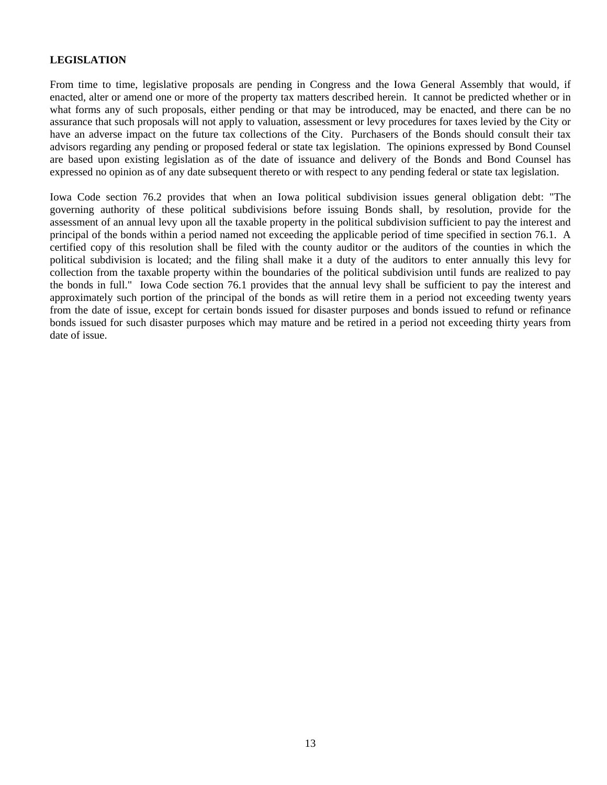# **LEGISLATION**

From time to time, legislative proposals are pending in Congress and the Iowa General Assembly that would, if enacted, alter or amend one or more of the property tax matters described herein. It cannot be predicted whether or in what forms any of such proposals, either pending or that may be introduced, may be enacted, and there can be no assurance that such proposals will not apply to valuation, assessment or levy procedures for taxes levied by the City or have an adverse impact on the future tax collections of the City. Purchasers of the Bonds should consult their tax advisors regarding any pending or proposed federal or state tax legislation. The opinions expressed by Bond Counsel are based upon existing legislation as of the date of issuance and delivery of the Bonds and Bond Counsel has expressed no opinion as of any date subsequent thereto or with respect to any pending federal or state tax legislation.

Iowa Code section 76.2 provides that when an Iowa political subdivision issues general obligation debt: "The governing authority of these political subdivisions before issuing Bonds shall, by resolution, provide for the assessment of an annual levy upon all the taxable property in the political subdivision sufficient to pay the interest and principal of the bonds within a period named not exceeding the applicable period of time specified in section 76.1. A certified copy of this resolution shall be filed with the county auditor or the auditors of the counties in which the political subdivision is located; and the filing shall make it a duty of the auditors to enter annually this levy for collection from the taxable property within the boundaries of the political subdivision until funds are realized to pay the bonds in full." Iowa Code section 76.1 provides that the annual levy shall be sufficient to pay the interest and approximately such portion of the principal of the bonds as will retire them in a period not exceeding twenty years from the date of issue, except for certain bonds issued for disaster purposes and bonds issued to refund or refinance bonds issued for such disaster purposes which may mature and be retired in a period not exceeding thirty years from date of issue.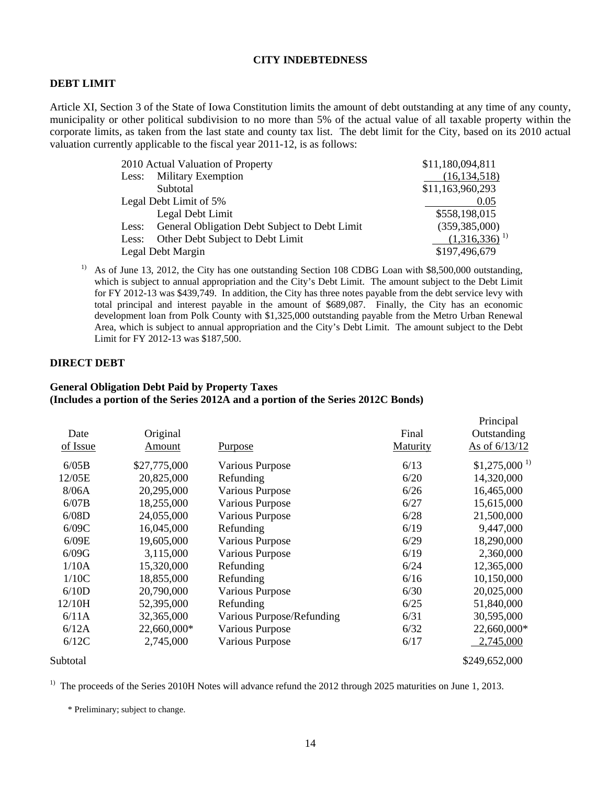#### **CITY INDEBTEDNESS**

#### **DEBT LIMIT**

Article XI, Section 3 of the State of Iowa Constitution limits the amount of debt outstanding at any time of any county, municipality or other political subdivision to no more than 5% of the actual value of all taxable property within the corporate limits, as taken from the last state and county tax list. The debt limit for the City, based on its 2010 actual valuation currently applicable to the fiscal year 2011-12, is as follows:

|       | 2010 Actual Valuation of Property             | \$11,180,094,811  |
|-------|-----------------------------------------------|-------------------|
|       | Less: Military Exemption                      | (16, 134, 518)    |
|       | Subtotal                                      | \$11,163,960,293  |
|       | Legal Debt Limit of 5%                        | 0.05              |
|       | Legal Debt Limit                              | \$558,198,015     |
| Less: | General Obligation Debt Subject to Debt Limit | (359, 385, 000)   |
| Less: | Other Debt Subject to Debt Limit              | $(1,316,336)^{1}$ |
|       | Legal Debt Margin                             | \$197,496,679     |

<sup>1)</sup> As of June 13, 2012, the City has one outstanding Section 108 CDBG Loan with \$8,500,000 outstanding, which is subject to annual appropriation and the City's Debt Limit. The amount subject to the Debt Limit for FY 2012-13 was \$439,749. In addition, the City has three notes payable from the debt service levy with total principal and interest payable in the amount of \$689,087. Finally, the City has an economic development loan from Polk County with \$1,325,000 outstanding payable from the Metro Urban Renewal Area, which is subject to annual appropriation and the City's Debt Limit. The amount subject to the Debt Limit for FY 2012-13 was \$187,500.

Principal

#### **DIRECT DEBT**

#### **General Obligation Debt Paid by Property Taxes (Includes a portion of the Series 2012A and a portion of the Series 2012C Bonds)**

| Date<br>of Issue | Original<br><u>Amount</u> | <u>Purpose</u>            | Final<br>Maturity | 1 milion par<br>Outstanding<br>As of 6/13/12 |
|------------------|---------------------------|---------------------------|-------------------|----------------------------------------------|
| 6/05B            | \$27,775,000              | <b>Various Purpose</b>    | 6/13              | $$1,275,000$ <sup>1)</sup>                   |
| 12/05E           | 20,825,000                | Refunding                 | 6/20              | 14,320,000                                   |
| 8/06A            | 20,295,000                | <b>Various Purpose</b>    | 6/26              | 16,465,000                                   |
| 6/07B            | 18,255,000                | <b>Various Purpose</b>    | 6/27              | 15,615,000                                   |
| 6/08D            | 24,055,000                | <b>Various Purpose</b>    | 6/28              | 21,500,000                                   |
| 6/09C            | 16,045,000                | Refunding                 | 6/19              | 9,447,000                                    |
| 6/09E            | 19,605,000                | Various Purpose           | 6/29              | 18,290,000                                   |
| 6/09G            | 3,115,000                 | <b>Various Purpose</b>    | 6/19              | 2,360,000                                    |
| 1/10A            | 15,320,000                | Refunding                 | 6/24              | 12,365,000                                   |
| 1/10C            | 18,855,000                | Refunding                 | 6/16              | 10,150,000                                   |
| 6/10D            | 20,790,000                | <b>Various Purpose</b>    | 6/30              | 20,025,000                                   |
| 12/10H           | 52,395,000                | Refunding                 | 6/25              | 51,840,000                                   |
| 6/11A            | 32,365,000                | Various Purpose/Refunding | 6/31              | 30,595,000                                   |
| 6/12A            | 22,660,000*               | <b>Various Purpose</b>    | 6/32              | 22,660,000*                                  |
| 6/12C            | 2,745,000                 | <b>Various Purpose</b>    | 6/17              | 2,745,000                                    |
| Subtotal         |                           |                           |                   | \$249,652,000                                |

<sup>1)</sup> The proceeds of the Series 2010H Notes will advance refund the 2012 through 2025 maturities on June 1, 2013.

\* Preliminary; subject to change.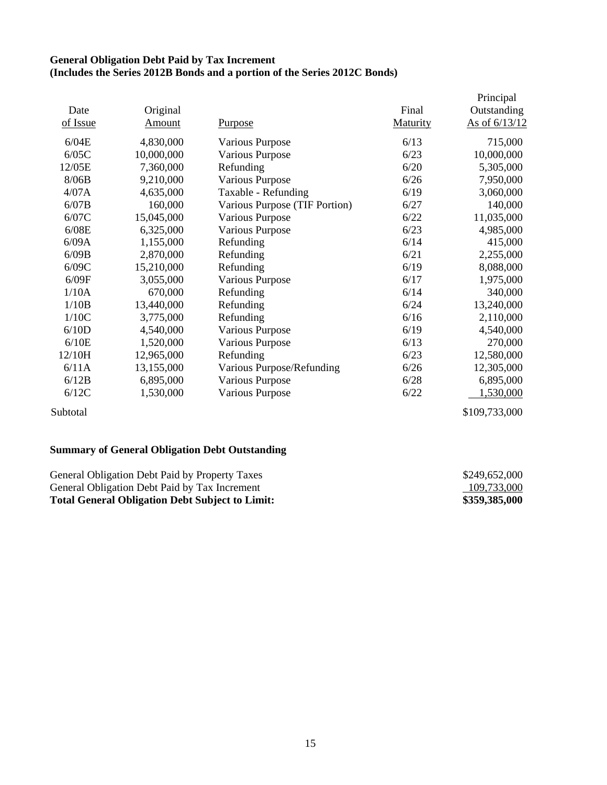### **General Obligation Debt Paid by Tax Increment (Includes the Series 2012B Bonds and a portion of the Series 2012C Bonds)**

|          |               |                               |          | Principal     |
|----------|---------------|-------------------------------|----------|---------------|
| Date     | Original      |                               | Final    | Outstanding   |
| of Issue | <u>Amount</u> | <u>Purpose</u>                | Maturity | As of 6/13/12 |
| 6/04E    | 4,830,000     | Various Purpose               | 6/13     | 715,000       |
| 6/05C    | 10,000,000    | <b>Various Purpose</b>        | 6/23     | 10,000,000    |
| 12/05E   | 7,360,000     | Refunding                     | 6/20     | 5,305,000     |
| 8/06B    | 9,210,000     | <b>Various Purpose</b>        | 6/26     | 7,950,000     |
| 4/07A    | 4,635,000     | Taxable - Refunding           | 6/19     | 3,060,000     |
| 6/07B    | 160,000       | Various Purpose (TIF Portion) | 6/27     | 140,000       |
| 6/07C    | 15,045,000    | <b>Various Purpose</b>        | 6/22     | 11,035,000    |
| 6/08E    | 6,325,000     | <b>Various Purpose</b>        | 6/23     | 4,985,000     |
| 6/09A    | 1,155,000     | Refunding                     | 6/14     | 415,000       |
| 6/09B    | 2,870,000     | Refunding                     | 6/21     | 2,255,000     |
| 6/09C    | 15,210,000    | Refunding                     | 6/19     | 8,088,000     |
| 6/09F    | 3,055,000     | <b>Various Purpose</b>        | 6/17     | 1,975,000     |
| 1/10A    | 670,000       | Refunding                     | 6/14     | 340,000       |
| 1/10B    | 13,440,000    | Refunding                     | 6/24     | 13,240,000    |
| 1/10C    | 3,775,000     | Refunding                     | 6/16     | 2,110,000     |
| 6/10D    | 4,540,000     | <b>Various Purpose</b>        | 6/19     | 4,540,000     |
| 6/10E    | 1,520,000     | <b>Various Purpose</b>        | 6/13     | 270,000       |
| 12/10H   | 12,965,000    | Refunding                     | 6/23     | 12,580,000    |
| 6/11A    | 13,155,000    | Various Purpose/Refunding     | 6/26     | 12,305,000    |
| 6/12B    | 6,895,000     | <b>Various Purpose</b>        | 6/28     | 6,895,000     |
| 6/12C    | 1,530,000     | Various Purpose               | 6/22     | 1,530,000     |
| Subtotal |               |                               |          | \$109,733,000 |

# **Summary of General Obligation Debt Outstanding**

| General Obligation Debt Paid by Property Taxes         | \$249,652,000 |
|--------------------------------------------------------|---------------|
| General Obligation Debt Paid by Tax Increment          | 109,733,000   |
| <b>Total General Obligation Debt Subject to Limit:</b> | \$359,385,000 |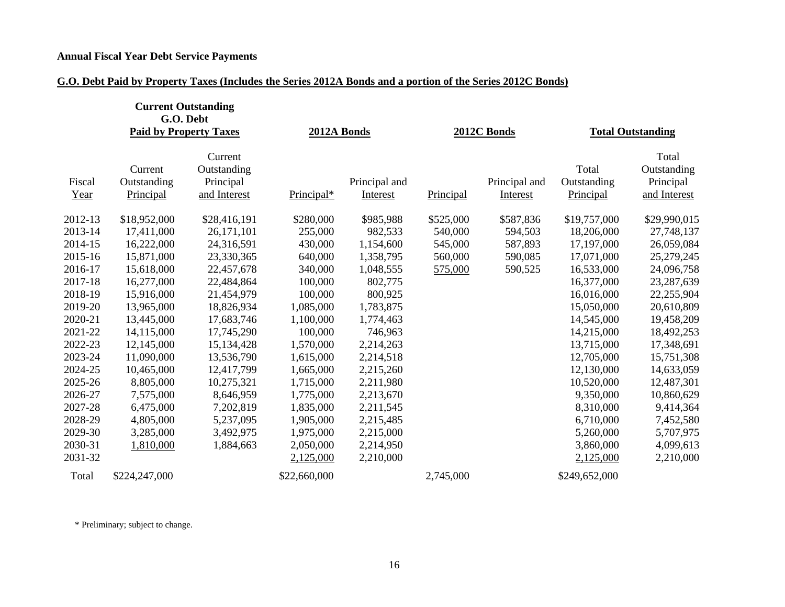# **Annual Fiscal Year Debt Service Payments**

# **G.O. Debt Paid by Property Taxes (Includes the Series 2012A Bonds and a portion of the Series 2012C Bonds)**

|                | <b>Current Outstanding</b><br>G.O. Debt<br><b>Paid by Property Taxes</b> |                                                     | 2012A Bonds  |                           |           | 2012C Bonds               |                                   | <b>Total Outstanding</b>                          |
|----------------|--------------------------------------------------------------------------|-----------------------------------------------------|--------------|---------------------------|-----------|---------------------------|-----------------------------------|---------------------------------------------------|
| Fiscal<br>Year | Current<br>Outstanding<br>Principal                                      | Current<br>Outstanding<br>Principal<br>and Interest | Principal*   | Principal and<br>Interest | Principal | Principal and<br>Interest | Total<br>Outstanding<br>Principal | Total<br>Outstanding<br>Principal<br>and Interest |
| 2012-13        | \$18,952,000                                                             | \$28,416,191                                        | \$280,000    | \$985,988                 | \$525,000 | \$587,836                 | \$19,757,000                      | \$29,990,015                                      |
| 2013-14        | 17,411,000                                                               | 26,171,101                                          | 255,000      | 982,533                   | 540,000   | 594,503                   | 18,206,000                        | 27,748,137                                        |
| 2014-15        | 16,222,000                                                               | 24,316,591                                          | 430,000      | 1,154,600                 | 545,000   | 587,893                   | 17,197,000                        | 26,059,084                                        |
| 2015-16        | 15,871,000                                                               | 23,330,365                                          | 640,000      | 1,358,795                 | 560,000   | 590,085                   | 17,071,000                        | 25,279,245                                        |
| 2016-17        | 15,618,000                                                               | 22,457,678                                          | 340,000      | 1,048,555                 | 575,000   | 590,525                   | 16,533,000                        | 24,096,758                                        |
| 2017-18        | 16,277,000                                                               | 22,484,864                                          | 100,000      | 802,775                   |           |                           | 16,377,000                        | 23,287,639                                        |
| 2018-19        | 15,916,000                                                               | 21,454,979                                          | 100,000      | 800,925                   |           |                           | 16,016,000                        | 22,255,904                                        |
| 2019-20        | 13,965,000                                                               | 18,826,934                                          | 1,085,000    | 1,783,875                 |           |                           | 15,050,000                        | 20,610,809                                        |
| 2020-21        | 13,445,000                                                               | 17,683,746                                          | 1,100,000    | 1,774,463                 |           |                           | 14,545,000                        | 19,458,209                                        |
| 2021-22        | 14,115,000                                                               | 17,745,290                                          | 100,000      | 746,963                   |           |                           | 14,215,000                        | 18,492,253                                        |
| 2022-23        | 12,145,000                                                               | 15,134,428                                          | 1,570,000    | 2,214,263                 |           |                           | 13,715,000                        | 17,348,691                                        |
| 2023-24        | 11,090,000                                                               | 13,536,790                                          | 1,615,000    | 2,214,518                 |           |                           | 12,705,000                        | 15,751,308                                        |
| 2024-25        | 10,465,000                                                               | 12,417,799                                          | 1,665,000    | 2,215,260                 |           |                           | 12,130,000                        | 14,633,059                                        |
| 2025-26        | 8,805,000                                                                | 10,275,321                                          | 1,715,000    | 2,211,980                 |           |                           | 10,520,000                        | 12,487,301                                        |
| 2026-27        | 7,575,000                                                                | 8,646,959                                           | 1,775,000    | 2,213,670                 |           |                           | 9,350,000                         | 10,860,629                                        |
| 2027-28        | 6,475,000                                                                | 7,202,819                                           | 1,835,000    | 2,211,545                 |           |                           | 8,310,000                         | 9,414,364                                         |
| 2028-29        | 4,805,000                                                                | 5,237,095                                           | 1,905,000    | 2,215,485                 |           |                           | 6,710,000                         | 7,452,580                                         |
| 2029-30        | 3,285,000                                                                | 3,492,975                                           | 1,975,000    | 2,215,000                 |           |                           | 5,260,000                         | 5,707,975                                         |
| 2030-31        | 1,810,000                                                                | 1,884,663                                           | 2,050,000    | 2,214,950                 |           |                           | 3,860,000                         | 4,099,613                                         |
| 2031-32        |                                                                          |                                                     | 2,125,000    | 2,210,000                 |           |                           | 2,125,000                         | 2,210,000                                         |
| Total          | \$224,247,000                                                            |                                                     | \$22,660,000 |                           | 2,745,000 |                           | \$249,652,000                     |                                                   |

\* Preliminary; subject to change.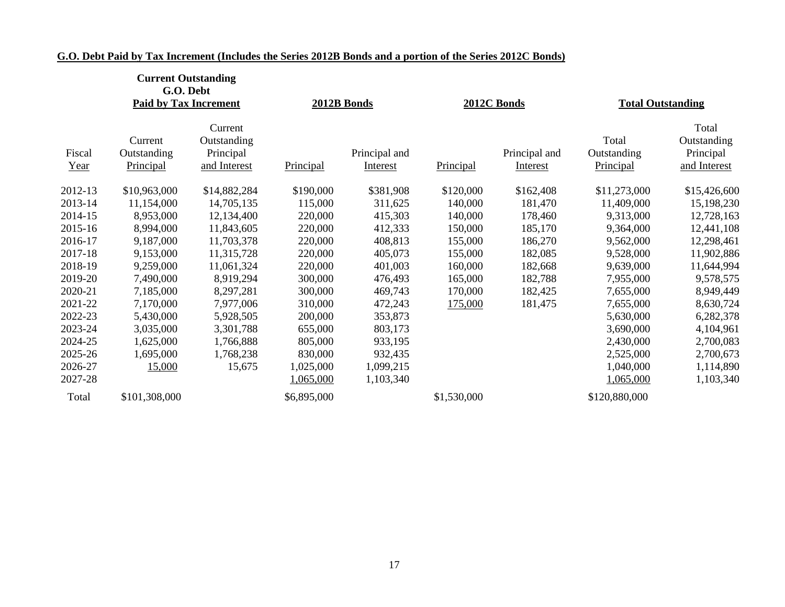|                | <b>Current Outstanding</b><br>G.O. Debt<br><b>Paid by Tax Increment</b> |                                                     |             | 2012B Bonds               |             | 2012C Bonds               | <b>Total Outstanding</b>          |                                                   |
|----------------|-------------------------------------------------------------------------|-----------------------------------------------------|-------------|---------------------------|-------------|---------------------------|-----------------------------------|---------------------------------------------------|
| Fiscal<br>Year | Current<br>Outstanding<br>Principal                                     | Current<br>Outstanding<br>Principal<br>and Interest | Principal   | Principal and<br>Interest | Principal   | Principal and<br>Interest | Total<br>Outstanding<br>Principal | Total<br>Outstanding<br>Principal<br>and Interest |
| 2012-13        | \$10,963,000                                                            | \$14,882,284                                        | \$190,000   | \$381,908                 | \$120,000   | \$162,408                 | \$11,273,000                      | \$15,426,600                                      |
| 2013-14        | 11,154,000                                                              | 14,705,135                                          | 115,000     | 311,625                   | 140,000     | 181,470                   | 11,409,000                        | 15,198,230                                        |
| 2014-15        | 8,953,000                                                               | 12,134,400                                          | 220,000     | 415,303                   | 140,000     | 178,460                   | 9,313,000                         | 12,728,163                                        |
| 2015-16        | 8,994,000                                                               | 11,843,605                                          | 220,000     | 412,333                   | 150,000     | 185,170                   | 9,364,000                         | 12,441,108                                        |
| 2016-17        | 9,187,000                                                               | 11,703,378                                          | 220,000     | 408,813                   | 155,000     | 186,270                   | 9,562,000                         | 12,298,461                                        |
| 2017-18        | 9,153,000                                                               | 11,315,728                                          | 220,000     | 405,073                   | 155,000     | 182,085                   | 9,528,000                         | 11,902,886                                        |
| 2018-19        | 9,259,000                                                               | 11,061,324                                          | 220,000     | 401,003                   | 160,000     | 182,668                   | 9,639,000                         | 11,644,994                                        |
| 2019-20        | 7,490,000                                                               | 8,919,294                                           | 300,000     | 476,493                   | 165,000     | 182,788                   | 7,955,000                         | 9,578,575                                         |
| 2020-21        | 7,185,000                                                               | 8,297,281                                           | 300,000     | 469,743                   | 170,000     | 182,425                   | 7,655,000                         | 8,949,449                                         |
| 2021-22        | 7,170,000                                                               | 7,977,006                                           | 310,000     | 472,243                   | 175,000     | 181,475                   | 7,655,000                         | 8,630,724                                         |
| 2022-23        | 5,430,000                                                               | 5,928,505                                           | 200,000     | 353,873                   |             |                           | 5,630,000                         | 6,282,378                                         |
| 2023-24        | 3,035,000                                                               | 3,301,788                                           | 655,000     | 803,173                   |             |                           | 3,690,000                         | 4,104,961                                         |
| 2024-25        | 1,625,000                                                               | 1,766,888                                           | 805,000     | 933,195                   |             |                           | 2,430,000                         | 2,700,083                                         |
| 2025-26        | 1,695,000                                                               | 1,768,238                                           | 830,000     | 932,435                   |             |                           | 2,525,000                         | 2,700,673                                         |
| 2026-27        | 15,000                                                                  | 15,675                                              | 1,025,000   | 1,099,215                 |             |                           | 1,040,000                         | 1,114,890                                         |
| 2027-28        |                                                                         |                                                     | 1,065,000   | 1,103,340                 |             |                           | 1,065,000                         | 1,103,340                                         |
| Total          | \$101,308,000                                                           |                                                     | \$6,895,000 |                           | \$1,530,000 |                           | \$120,880,000                     |                                                   |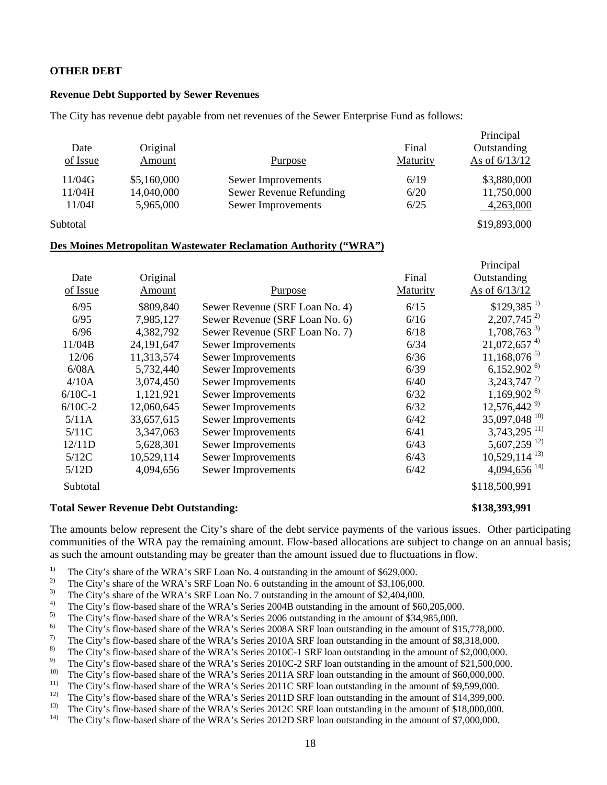#### **OTHER DEBT**

#### **Revenue Debt Supported by Sewer Revenues**

The City has revenue debt payable from net revenues of the Sewer Enterprise Fund as follows:

| Date<br>of Issue | Original<br>Amount | <b>Purpose</b>          | Final<br>Maturity | Principal<br>Outstanding<br>As of $6/13/12$ |
|------------------|--------------------|-------------------------|-------------------|---------------------------------------------|
| 11/04G           | \$5,160,000        | Sewer Improvements      | 6/19              | \$3,880,000                                 |
| 11/04H           | 14,040,000         | Sewer Revenue Refunding | 6/20              | 11,750,000                                  |
| 11/04I           | 5,965,000          | Sewer Improvements      | 6/25              | 4,263,000                                   |
| Subtotal         |                    |                         |                   | \$19,893,000                                |

#### **Des Moines Metropolitan Wastewater Reclamation Authority ("WRA")**

|           |              |                                |          | Principal                   |
|-----------|--------------|--------------------------------|----------|-----------------------------|
| Date      | Original     |                                | Final    | Outstanding                 |
| of Issue  | Amount       | <b>Purpose</b>                 | Maturity | As of 6/13/12               |
| 6/95      | \$809,840    | Sewer Revenue (SRF Loan No. 4) | 6/15     | $$129,385$ <sup>1)</sup>    |
| 6/95      | 7,985,127    | Sewer Revenue (SRF Loan No. 6) | 6/16     | $2,207,745^{2}$             |
| 6/96      | 4,382,792    | Sewer Revenue (SRF Loan No. 7) | 6/18     | $1,708,763^{3}$             |
| 11/04B    | 24, 191, 647 | Sewer Improvements             | 6/34     | $21,072,657$ <sup>4)</sup>  |
| 12/06     | 11,313,574   | Sewer Improvements             | 6/36     | $11,168,076^{5}$            |
| 6/08A     | 5,732,440    | Sewer Improvements             | 6/39     | $6,152,902^{6}$             |
| 4/10A     | 3,074,450    | Sewer Improvements             | 6/40     | $3,243,747$ <sup>7)</sup>   |
| $6/10C-1$ | 1,121,921    | Sewer Improvements             | 6/32     | $1,169,902^{8}$             |
| $6/10C-2$ | 12,060,645   | Sewer Improvements             | 6/32     | $12,576,442^{9}$            |
| 5/11A     | 33,657,615   | Sewer Improvements             | 6/42     | 35,097,048 <sup>10)</sup>   |
| 5/11C     | 3,347,063    | Sewer Improvements             | 6/41     | $3,743,295$ <sup>11)</sup>  |
| 12/11D    | 5,628,301    | Sewer Improvements             | 6/43     | 5,607,259 12)               |
| 5/12C     | 10,529,114   | Sewer Improvements             | 6/43     | $10,529,114$ <sup>13)</sup> |
| 5/12D     | 4,094,656    | Sewer Improvements             | 6/42     | $4,094,656$ <sup>14)</sup>  |
| Subtotal  |              |                                |          | \$118,500,991               |

#### **Total Sewer Revenue Debt Outstanding: \$138,393,991**

The amounts below represent the City's share of the debt service payments of the various issues. Other participating communities of the WRA pay the remaining amount. Flow-based allocations are subject to change on an annual basis; as such the amount outstanding may be greater than the amount issued due to fluctuations in flow.

- <sup>1)</sup> The City's share of the WRA's SRF Loan No. 4 outstanding in the amount of \$629,000.<br><sup>2)</sup> The City's share of the WRA's SRF Loan No. 6 outstanding in the amount of \$2,106,000.
- <sup>2)</sup> The City's share of the WRA's SRF Loan No. 6 outstanding in the amount of \$3,106,000.<br><sup>3)</sup> The City's share of the WRA's SRF Loan No. 7 outstanding in the amount of \$3,404,000.
- <sup>3)</sup> The City's share of the WRA's SRF Loan No. 7 outstanding in the amount of \$2,404,000.
- <sup>4)</sup> The City's flow-based share of the WRA's Series 2004B outstanding in the amount of \$60,205,000.<br><sup>5)</sup> The City's flow based share of the WPA's Series 2006 outstanding in the amount of \$34,985,000.
- <sup>5)</sup> The City's flow-based share of the WRA's Series 2006 outstanding in the amount of \$34,985,000.<br><sup>6)</sup> The City's flow based share of the WRA's Series 2008 A SPE leap outstanding in the amount of  $\mathbb{S}^*$
- <sup>6)</sup> The City's flow-based share of the WRA's Series 2008A SRF loan outstanding in the amount of \$15,778,000.<br><sup>7)</sup> The City's flow based share of the WRA's Series 2010A SRF loan outstanding in the amount of \$8,318,000.
- <sup>7)</sup> The City's flow-based share of the WRA's Series 2010A SRF loan outstanding in the amount of \$8,318,000.<br><sup>8)</sup> The City's flow based share of the WRA's Series 2010C 1 SRF loan outstanding in the amount of \$2,000,000
- <sup>8)</sup> The City's flow-based share of the WRA's Series 2010C-1 SRF loan outstanding in the amount of \$2,000,000.<br><sup>9)</sup> The City's flow based share of the WPA's Series 2010C-2 SPF loan outstanding in the amount of \$21,500,000
- <sup>9)</sup> The City's flow-based share of the WRA's Series 2010C-2 SRF loan outstanding in the amount of \$21,500,000.<br><sup>10)</sup> The City's flow heard share of the WDA's Series 2011A SDE loan outstanding in the amount of \$60,000,000
- <sup>10)</sup> The City's flow-based share of the WRA's Series 2011A SRF loan outstanding in the amount of \$60,000,000.<br><sup>11)</sup> The City's flow based share of the WRA's Series 2011C SRF loan outstanding in the amount of \$9,500,000.
- <sup>11)</sup> The City's flow-based share of the WRA's Series 2011C SRF loan outstanding in the amount of \$9,599,000.<br><sup>12)</sup> The City's flow based share of the WPA's Series 2011D SPF loan outstanding in the amount of \$14,399,000.
- <sup>12)</sup> The City's flow-based share of the WRA's Series 2011D SRF loan outstanding in the amount of \$14,399,000.<br><sup>13)</sup> The City's flow based share of the WPA's Series 2012C SPF loan outstanding in the amount of \$18,000,000.
- <sup>13)</sup> The City's flow-based share of the WRA's Series 2012C SRF loan outstanding in the amount of \$18,000,000.<br><sup>14)</sup> The City's flow based share of the WRA's Series 2012D SRF loan outstanding in the amount of \$7,000,000.
- 14) The City's flow-based share of the WRA's Series 2012D SRF loan outstanding in the amount of \$7,000,000.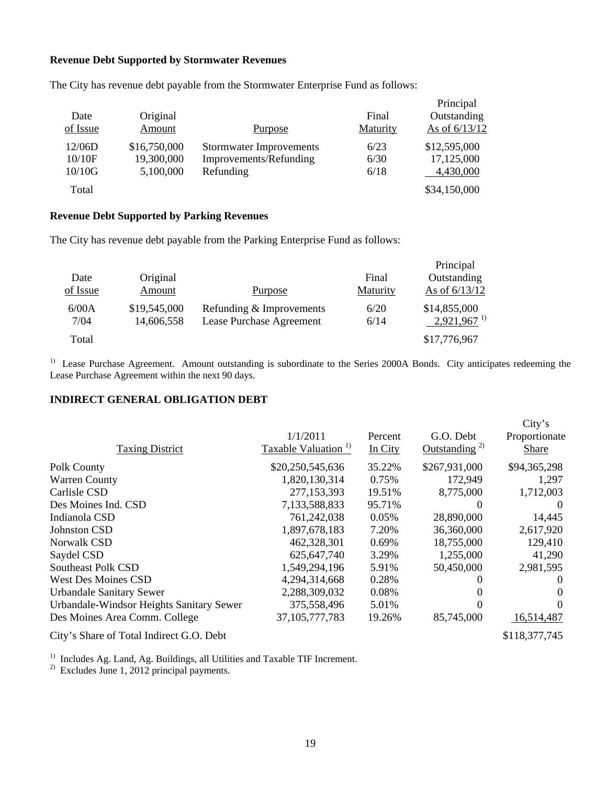#### **Revenue Debt Supported by Stormwater Revenues**

| Date<br>of Issue | Original<br>Amount | Purpose                        | Final<br>Maturity | Principal<br>Outstanding<br>As of 6/13/12 |
|------------------|--------------------|--------------------------------|-------------------|-------------------------------------------|
| 12/06D           | \$16,750,000       | <b>Stormwater Improvements</b> | 6/23              | \$12,595,000                              |
| 10/10F           | 19,300,000         | Improvements/Refunding         | 6/30              | 17,125,000                                |
| 10/10G           | 5,100,000          | Refunding                      | 6/18              | 4,430,000                                 |
| Total            |                    |                                |                   | \$34,150,000                              |

The City has revenue debt payable from the Stormwater Enterprise Fund as follows:

# **Revenue Debt Supported by Parking Revenues**

The City has revenue debt payable from the Parking Enterprise Fund as follows:

| Date<br>of Issue | Original<br>Amount         | <b>Purpose</b>                                       | Final<br>Maturity | Principal<br>Outstanding<br>As of $6/13/12$ |
|------------------|----------------------------|------------------------------------------------------|-------------------|---------------------------------------------|
| 6/00A<br>7/04    | \$19,545,000<br>14,606,558 | Refunding & Improvements<br>Lease Purchase Agreement | 6/20<br>6/14      | \$14,855,000<br>$2,921,967$ <sup>1)</sup>   |
| Total            |                            |                                                      |                   | \$17,776,967                                |

<sup>1)</sup> Lease Purchase Agreement. Amount outstanding is subordinate to the Series 2000A Bonds. City anticipates redeeming the Lease Purchase Agreement within the next 90 days.

### **INDIRECT GENERAL OBLIGATION DEBT**

| <b>Taxing District</b>                   | 1/1/2011<br>Taxable Valuation <sup>1)</sup> | Percent<br>In City | G.O. Debt<br>Outstanding <sup>2)</sup> | City's<br>Proportionate<br>Share |
|------------------------------------------|---------------------------------------------|--------------------|----------------------------------------|----------------------------------|
| Polk County                              | \$20,250,545,636                            | 35.22%             | \$267,931,000                          | \$94,365,298                     |
| <b>Warren County</b>                     | 1,820,130,314                               | 0.75%              | 172,949                                | 1,297                            |
| Carlisle CSD                             | 277,153,393                                 | 19.51%             | 8,775,000                              | 1,712,003                        |
| Des Moines Ind. CSD                      | 7,133,588,833                               | 95.71%             |                                        | $\theta$                         |
| Indianola CSD                            | 761,242,038                                 | 0.05%              | 28,890,000                             | 14,445                           |
| Johnston CSD                             | 1,897,678,183                               | 7.20%              | 36,360,000                             | 2,617,920                        |
| Norwalk CSD                              | 462,328,301                                 | 0.69%              | 18,755,000                             | 129,410                          |
| Saydel CSD                               | 625, 647, 740                               | 3.29%              | 1,255,000                              | 41,290                           |
| <b>Southeast Polk CSD</b>                | 1,549,294,196                               | 5.91%              | 50,450,000                             | 2,981,595                        |
| <b>West Des Moines CSD</b>               | 4,294,314,668                               | 0.28%              |                                        | $\theta$                         |
| <b>Urbandale Sanitary Sewer</b>          | 2,288,309,032                               | 0.08%              |                                        | $\Omega$                         |
| Urbandale-Windsor Heights Sanitary Sewer | 375,558,496                                 | 5.01%              |                                        | $\Omega$                         |
| Des Moines Area Comm. College            | 37, 105, 777, 783                           | 19.26%             | 85,745,000                             | 16,514,487                       |
| City's Share of Total Indirect G.O. Debt |                                             |                    |                                        | \$118,377,745                    |

<sup>1)</sup> Includes Ag. Land, Ag. Buildings, all Utilities and Taxable TIF Increment.

 $^{2)}$  Excludes June 1, 2012 principal payments.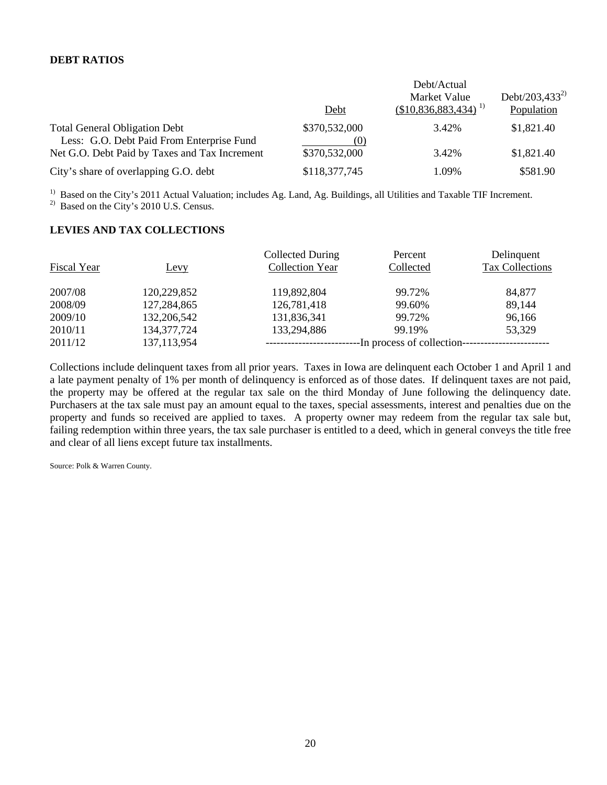## **DEBT RATIOS**

|                                                                                   | Debt                 | Debt/Actual<br>Market Value<br>$(\$10,836,883,434)^{1}$ | Debt/203,433 <sup>2)</sup><br>Population |
|-----------------------------------------------------------------------------------|----------------------|---------------------------------------------------------|------------------------------------------|
| <b>Total General Obligation Debt</b><br>Less: G.O. Debt Paid From Enterprise Fund | \$370,532,000<br>(0) | 3.42%                                                   | \$1,821.40                               |
| Net G.O. Debt Paid by Taxes and Tax Increment                                     | \$370,532,000        | 3.42%                                                   | \$1,821.40                               |
| City's share of overlapping G.O. debt                                             | \$118,377,745        | 1.09%                                                   | \$581.90                                 |

<sup>1)</sup> Based on the City's 2011 Actual Valuation; includes Ag. Land, Ag. Buildings, all Utilities and Taxable TIF Increment.

<sup>2)</sup> Based on the City's 2010 U.S. Census.

## **LEVIES AND TAX COLLECTIONS**

| Fiscal Year | Levy          | Collected During<br><b>Collection Year</b> | Percent<br>Collected       | Delinquent<br>Tax Collections |
|-------------|---------------|--------------------------------------------|----------------------------|-------------------------------|
| 2007/08     | 120,229,852   | 119,892,804                                | 99.72%                     | 84,877                        |
| 2008/09     | 127,284,865   | 126,781,418                                | 99.60%                     | 89,144                        |
| 2009/10     | 132,206,542   | 131,836,341                                | 99.72%                     | 96,166                        |
| 2010/11     | 134, 377, 724 | 133,294,886                                | 99.19%                     | 53,329                        |
| 2011/12     | 137, 113, 954 |                                            | -In process of collection- |                               |

Collections include delinquent taxes from all prior years. Taxes in Iowa are delinquent each October 1 and April 1 and a late payment penalty of 1% per month of delinquency is enforced as of those dates. If delinquent taxes are not paid, the property may be offered at the regular tax sale on the third Monday of June following the delinquency date. Purchasers at the tax sale must pay an amount equal to the taxes, special assessments, interest and penalties due on the property and funds so received are applied to taxes. A property owner may redeem from the regular tax sale but, failing redemption within three years, the tax sale purchaser is entitled to a deed, which in general conveys the title free and clear of all liens except future tax installments.

Source: Polk & Warren County.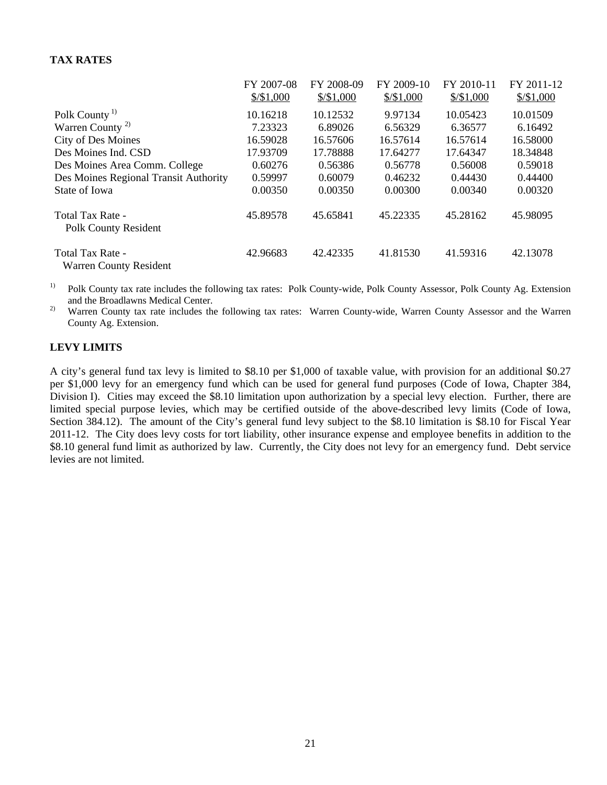# **TAX RATES**

|                                                   | FY 2007-08<br>$\frac{$}{\$}$ \\$1,000 | FY 2008-09<br>$\frac{$}{5,1,000}$ | FY 2009-10<br>$\frac{$}{5,000}$ | FY 2010-11<br>$\frac{$}{\$}$ \\$1,000 | FY 2011-12<br>$\frac{$}{\$}$ \ 51,000 |
|---------------------------------------------------|---------------------------------------|-----------------------------------|---------------------------------|---------------------------------------|---------------------------------------|
| Polk County <sup>1)</sup>                         | 10.16218                              | 10.12532                          | 9.97134                         | 10.05423                              | 10.01509                              |
| Warren County <sup>2)</sup>                       | 7.23323                               | 6.89026                           | 6.56329                         | 6.36577                               | 6.16492                               |
| <b>City of Des Moines</b>                         | 16.59028                              | 16.57606                          | 16.57614                        | 16.57614                              | 16.58000                              |
| Des Moines Ind. CSD                               | 17.93709                              | 17.78888                          | 17.64277                        | 17.64347                              | 18.34848                              |
| Des Moines Area Comm. College                     | 0.60276                               | 0.56386                           | 0.56778                         | 0.56008                               | 0.59018                               |
| Des Moines Regional Transit Authority             | 0.59997                               | 0.60079                           | 0.46232                         | 0.44430                               | 0.44400                               |
| State of Iowa                                     | 0.00350                               | 0.00350                           | 0.00300                         | 0.00340                               | 0.00320                               |
| Total Tax Rate -<br><b>Polk County Resident</b>   | 45.89578                              | 45.65841                          | 45.22335                        | 45.28162                              | 45.98095                              |
| Total Tax Rate -<br><b>Warren County Resident</b> | 42.96683                              | 42.42335                          | 41.81530                        | 41.59316                              | 42.13078                              |

<sup>1)</sup> Polk County tax rate includes the following tax rates: Polk County-wide, Polk County Assessor, Polk County Ag. Extension and the Broadlawns Medical Center.

<sup>2)</sup> Warren County tax rate includes the following tax rates: Warren County-wide, Warren County Assessor and the Warren County Ag. Extension.

#### **LEVY LIMITS**

A city's general fund tax levy is limited to \$8.10 per \$1,000 of taxable value, with provision for an additional \$0.27 per \$1,000 levy for an emergency fund which can be used for general fund purposes (Code of Iowa, Chapter 384, Division I). Cities may exceed the \$8.10 limitation upon authorization by a special levy election. Further, there are limited special purpose levies, which may be certified outside of the above-described levy limits (Code of Iowa, Section 384.12). The amount of the City's general fund levy subject to the \$8.10 limitation is \$8.10 for Fiscal Year 2011-12. The City does levy costs for tort liability, other insurance expense and employee benefits in addition to the \$8.10 general fund limit as authorized by law. Currently, the City does not levy for an emergency fund. Debt service levies are not limited.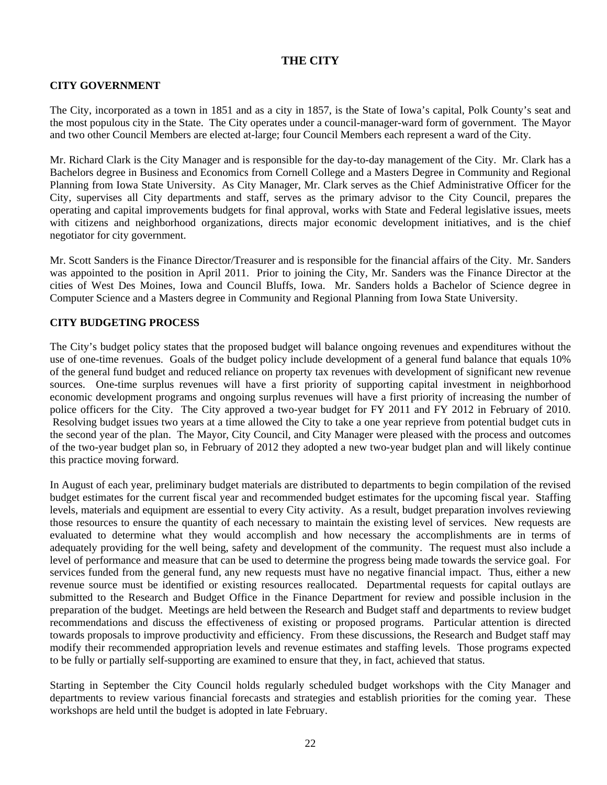# **THE CITY**

#### **CITY GOVERNMENT**

The City, incorporated as a town in 1851 and as a city in 1857, is the State of Iowa's capital, Polk County's seat and the most populous city in the State. The City operates under a council-manager-ward form of government. The Mayor and two other Council Members are elected at-large; four Council Members each represent a ward of the City.

Mr. Richard Clark is the City Manager and is responsible for the day-to-day management of the City. Mr. Clark has a Bachelors degree in Business and Economics from Cornell College and a Masters Degree in Community and Regional Planning from Iowa State University. As City Manager, Mr. Clark serves as the Chief Administrative Officer for the City, supervises all City departments and staff, serves as the primary advisor to the City Council, prepares the operating and capital improvements budgets for final approval, works with State and Federal legislative issues, meets with citizens and neighborhood organizations, directs major economic development initiatives, and is the chief negotiator for city government.

Mr. Scott Sanders is the Finance Director/Treasurer and is responsible for the financial affairs of the City. Mr. Sanders was appointed to the position in April 2011. Prior to joining the City, Mr. Sanders was the Finance Director at the cities of West Des Moines, Iowa and Council Bluffs, Iowa. Mr. Sanders holds a Bachelor of Science degree in Computer Science and a Masters degree in Community and Regional Planning from Iowa State University.

#### **CITY BUDGETING PROCESS**

The City's budget policy states that the proposed budget will balance ongoing revenues and expenditures without the use of one-time revenues. Goals of the budget policy include development of a general fund balance that equals 10% of the general fund budget and reduced reliance on property tax revenues with development of significant new revenue sources. One-time surplus revenues will have a first priority of supporting capital investment in neighborhood economic development programs and ongoing surplus revenues will have a first priority of increasing the number of police officers for the City. The City approved a two-year budget for FY 2011 and FY 2012 in February of 2010. Resolving budget issues two years at a time allowed the City to take a one year reprieve from potential budget cuts in the second year of the plan. The Mayor, City Council, and City Manager were pleased with the process and outcomes of the two-year budget plan so, in February of 2012 they adopted a new two-year budget plan and will likely continue this practice moving forward.

In August of each year, preliminary budget materials are distributed to departments to begin compilation of the revised budget estimates for the current fiscal year and recommended budget estimates for the upcoming fiscal year. Staffing levels, materials and equipment are essential to every City activity. As a result, budget preparation involves reviewing those resources to ensure the quantity of each necessary to maintain the existing level of services. New requests are evaluated to determine what they would accomplish and how necessary the accomplishments are in terms of adequately providing for the well being, safety and development of the community. The request must also include a level of performance and measure that can be used to determine the progress being made towards the service goal. For services funded from the general fund, any new requests must have no negative financial impact. Thus, either a new revenue source must be identified or existing resources reallocated. Departmental requests for capital outlays are submitted to the Research and Budget Office in the Finance Department for review and possible inclusion in the preparation of the budget. Meetings are held between the Research and Budget staff and departments to review budget recommendations and discuss the effectiveness of existing or proposed programs. Particular attention is directed towards proposals to improve productivity and efficiency. From these discussions, the Research and Budget staff may modify their recommended appropriation levels and revenue estimates and staffing levels. Those programs expected to be fully or partially self-supporting are examined to ensure that they, in fact, achieved that status.

Starting in September the City Council holds regularly scheduled budget workshops with the City Manager and departments to review various financial forecasts and strategies and establish priorities for the coming year. These workshops are held until the budget is adopted in late February.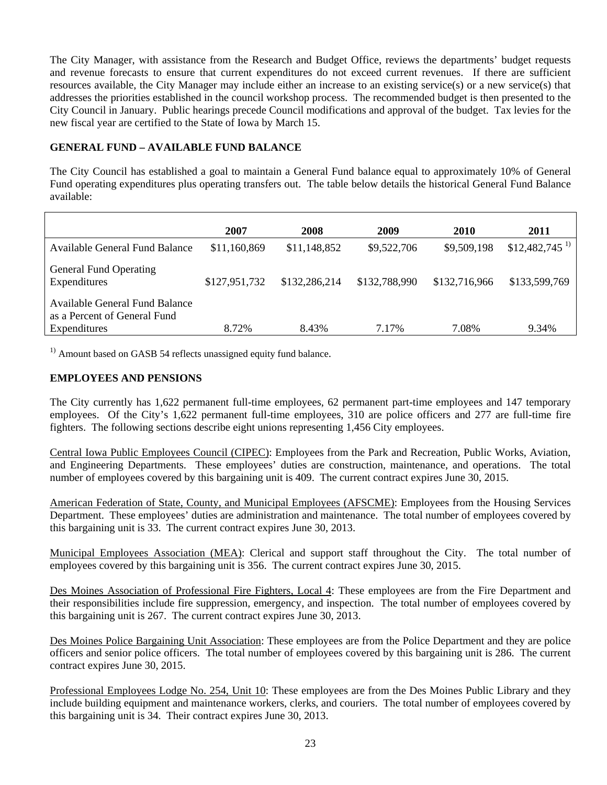The City Manager, with assistance from the Research and Budget Office, reviews the departments' budget requests and revenue forecasts to ensure that current expenditures do not exceed current revenues. If there are sufficient resources available, the City Manager may include either an increase to an existing service(s) or a new service(s) that addresses the priorities established in the council workshop process. The recommended budget is then presented to the City Council in January. Public hearings precede Council modifications and approval of the budget. Tax levies for the new fiscal year are certified to the State of Iowa by March 15.

# **GENERAL FUND – AVAILABLE FUND BALANCE**

The City Council has established a goal to maintain a General Fund balance equal to approximately 10% of General Fund operating expenditures plus operating transfers out. The table below details the historical General Fund Balance available:

| 2007          | 2008          | 2009          | 2010          | 2011                        |
|---------------|---------------|---------------|---------------|-----------------------------|
| \$11,160,869  | \$11,148,852  | \$9,522,706   | \$9,509,198   | $$12,482,745$ <sup>1)</sup> |
| \$127,951,732 | \$132,286,214 | \$132,788,990 | \$132,716,966 | \$133,599,769               |
|               |               | 7.17%         |               | 9.34%                       |
|               | 8.72%         | 8.43%         |               | 7.08%                       |

 $<sup>1)</sup>$  Amount based on GASB 54 reflects unassigned equity fund balance.</sup>

### **EMPLOYEES AND PENSIONS**

The City currently has 1,622 permanent full-time employees, 62 permanent part-time employees and 147 temporary employees. Of the City's 1,622 permanent full-time employees, 310 are police officers and 277 are full-time fire fighters. The following sections describe eight unions representing 1,456 City employees.

Central Iowa Public Employees Council (CIPEC): Employees from the Park and Recreation, Public Works, Aviation, and Engineering Departments. These employees' duties are construction, maintenance, and operations. The total number of employees covered by this bargaining unit is 409. The current contract expires June 30, 2015.

American Federation of State, County, and Municipal Employees (AFSCME): Employees from the Housing Services Department. These employees' duties are administration and maintenance. The total number of employees covered by this bargaining unit is 33. The current contract expires June 30, 2013.

Municipal Employees Association (MEA): Clerical and support staff throughout the City. The total number of employees covered by this bargaining unit is 356. The current contract expires June 30, 2015.

Des Moines Association of Professional Fire Fighters, Local 4: These employees are from the Fire Department and their responsibilities include fire suppression, emergency, and inspection. The total number of employees covered by this bargaining unit is 267. The current contract expires June 30, 2013.

Des Moines Police Bargaining Unit Association: These employees are from the Police Department and they are police officers and senior police officers. The total number of employees covered by this bargaining unit is 286. The current contract expires June 30, 2015.

Professional Employees Lodge No. 254, Unit 10: These employees are from the Des Moines Public Library and they include building equipment and maintenance workers, clerks, and couriers. The total number of employees covered by this bargaining unit is 34. Their contract expires June 30, 2013.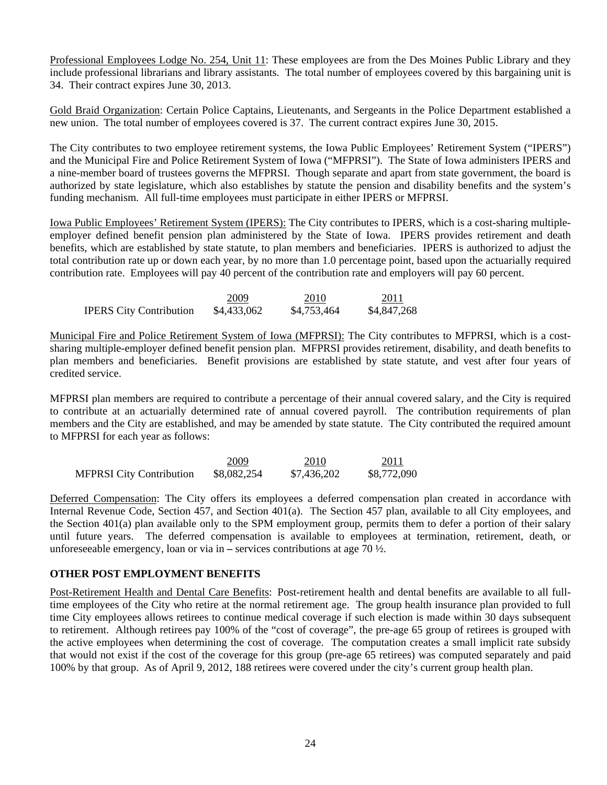Professional Employees Lodge No. 254, Unit 11: These employees are from the Des Moines Public Library and they include professional librarians and library assistants. The total number of employees covered by this bargaining unit is 34. Their contract expires June 30, 2013.

Gold Braid Organization: Certain Police Captains, Lieutenants, and Sergeants in the Police Department established a new union. The total number of employees covered is 37. The current contract expires June 30, 2015.

The City contributes to two employee retirement systems, the Iowa Public Employees' Retirement System ("IPERS") and the Municipal Fire and Police Retirement System of Iowa ("MFPRSI"). The State of Iowa administers IPERS and a nine-member board of trustees governs the MFPRSI. Though separate and apart from state government, the board is authorized by state legislature, which also establishes by statute the pension and disability benefits and the system's funding mechanism. All full-time employees must participate in either IPERS or MFPRSI.

Iowa Public Employees' Retirement System (IPERS): The City contributes to IPERS, which is a cost-sharing multipleemployer defined benefit pension plan administered by the State of Iowa. IPERS provides retirement and death benefits, which are established by state statute, to plan members and beneficiaries. IPERS is authorized to adjust the total contribution rate up or down each year, by no more than 1.0 percentage point, based upon the actuarially required contribution rate. Employees will pay 40 percent of the contribution rate and employers will pay 60 percent.

|                                | 2009        | 2010        | 2011        |
|--------------------------------|-------------|-------------|-------------|
| <b>IPERS City Contribution</b> | \$4,433,062 | \$4,753,464 | \$4,847,268 |

Municipal Fire and Police Retirement System of Iowa (MFPRSI): The City contributes to MFPRSI, which is a costsharing multiple-employer defined benefit pension plan. MFPRSI provides retirement, disability, and death benefits to plan members and beneficiaries. Benefit provisions are established by state statute, and vest after four years of credited service.

MFPRSI plan members are required to contribute a percentage of their annual covered salary, and the City is required to contribute at an actuarially determined rate of annual covered payroll. The contribution requirements of plan members and the City are established, and may be amended by state statute. The City contributed the required amount to MFPRSI for each year as follows:

|                                 | 2009        | 2010        | 2011        |
|---------------------------------|-------------|-------------|-------------|
| <b>MFPRSI</b> City Contribution | \$8,082,254 | \$7,436,202 | \$8,772,090 |

Deferred Compensation: The City offers its employees a deferred compensation plan created in accordance with Internal Revenue Code, Section 457, and Section 401(a). The Section 457 plan, available to all City employees, and the Section 401(a) plan available only to the SPM employment group, permits them to defer a portion of their salary until future years. The deferred compensation is available to employees at termination, retirement, death, or unforeseeable emergency, loan or via in **–** services contributions at age 70 ½.

#### **OTHER POST EMPLOYMENT BENEFITS**

Post-Retirement Health and Dental Care Benefits: Post-retirement health and dental benefits are available to all fulltime employees of the City who retire at the normal retirement age. The group health insurance plan provided to full time City employees allows retirees to continue medical coverage if such election is made within 30 days subsequent to retirement. Although retirees pay 100% of the "cost of coverage", the pre-age 65 group of retirees is grouped with the active employees when determining the cost of coverage. The computation creates a small implicit rate subsidy that would not exist if the cost of the coverage for this group (pre-age 65 retirees) was computed separately and paid 100% by that group. As of April 9, 2012, 188 retirees were covered under the city's current group health plan.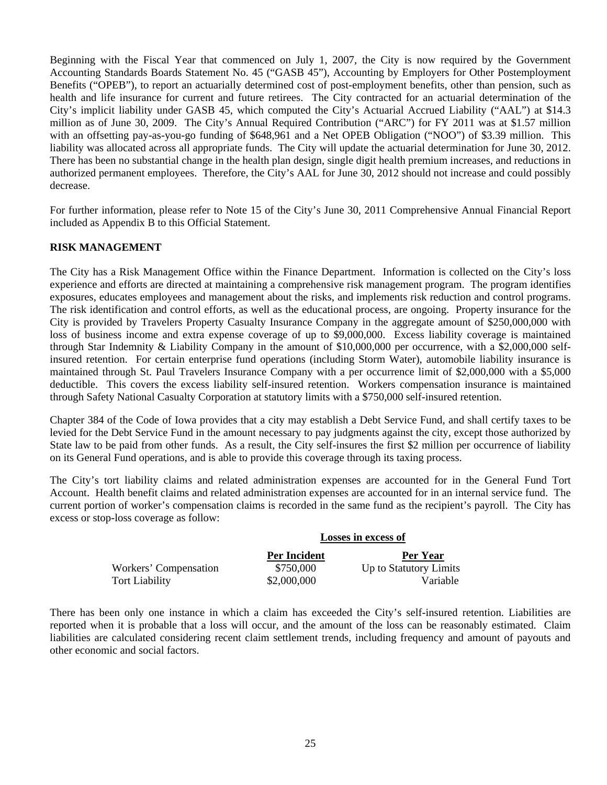Beginning with the Fiscal Year that commenced on July 1, 2007, the City is now required by the Government Accounting Standards Boards Statement No. 45 ("GASB 45"), Accounting by Employers for Other Postemployment Benefits ("OPEB"), to report an actuarially determined cost of post-employment benefits, other than pension, such as health and life insurance for current and future retirees. The City contracted for an actuarial determination of the City's implicit liability under GASB 45, which computed the City's Actuarial Accrued Liability ("AAL") at \$14.3 million as of June 30, 2009. The City's Annual Required Contribution ("ARC") for FY 2011 was at \$1.57 million with an offsetting pay-as-you-go funding of \$648,961 and a Net OPEB Obligation ("NOO") of \$3.39 million. This liability was allocated across all appropriate funds. The City will update the actuarial determination for June 30, 2012. There has been no substantial change in the health plan design, single digit health premium increases, and reductions in authorized permanent employees. Therefore, the City's AAL for June 30, 2012 should not increase and could possibly decrease.

For further information, please refer to Note 15 of the City's June 30, 2011 Comprehensive Annual Financial Report included as Appendix B to this Official Statement.

#### **RISK MANAGEMENT**

The City has a Risk Management Office within the Finance Department. Information is collected on the City's loss experience and efforts are directed at maintaining a comprehensive risk management program. The program identifies exposures, educates employees and management about the risks, and implements risk reduction and control programs. The risk identification and control efforts, as well as the educational process, are ongoing. Property insurance for the City is provided by Travelers Property Casualty Insurance Company in the aggregate amount of \$250,000,000 with loss of business income and extra expense coverage of up to \$9,000,000. Excess liability coverage is maintained through Star Indemnity & Liability Company in the amount of \$10,000,000 per occurrence, with a \$2,000,000 selfinsured retention. For certain enterprise fund operations (including Storm Water), automobile liability insurance is maintained through St. Paul Travelers Insurance Company with a per occurrence limit of \$2,000,000 with a \$5,000 deductible. This covers the excess liability self-insured retention. Workers compensation insurance is maintained through Safety National Casualty Corporation at statutory limits with a \$750,000 self-insured retention.

Chapter 384 of the Code of Iowa provides that a city may establish a Debt Service Fund, and shall certify taxes to be levied for the Debt Service Fund in the amount necessary to pay judgments against the city, except those authorized by State law to be paid from other funds. As a result, the City self-insures the first \$2 million per occurrence of liability on its General Fund operations, and is able to provide this coverage through its taxing process.

The City's tort liability claims and related administration expenses are accounted for in the General Fund Tort Account. Health benefit claims and related administration expenses are accounted for in an internal service fund. The current portion of worker's compensation claims is recorded in the same fund as the recipient's payroll. The City has excess or stop-loss coverage as follow:

|                       | Losses in excess of |                        |  |
|-----------------------|---------------------|------------------------|--|
|                       | <b>Per Incident</b> | Per Year               |  |
| Workers' Compensation | \$750,000           | Up to Statutory Limits |  |
| <b>Tort Liability</b> | \$2,000,000         | Variable               |  |

There has been only one instance in which a claim has exceeded the City's self-insured retention. Liabilities are reported when it is probable that a loss will occur, and the amount of the loss can be reasonably estimated. Claim liabilities are calculated considering recent claim settlement trends, including frequency and amount of payouts and other economic and social factors.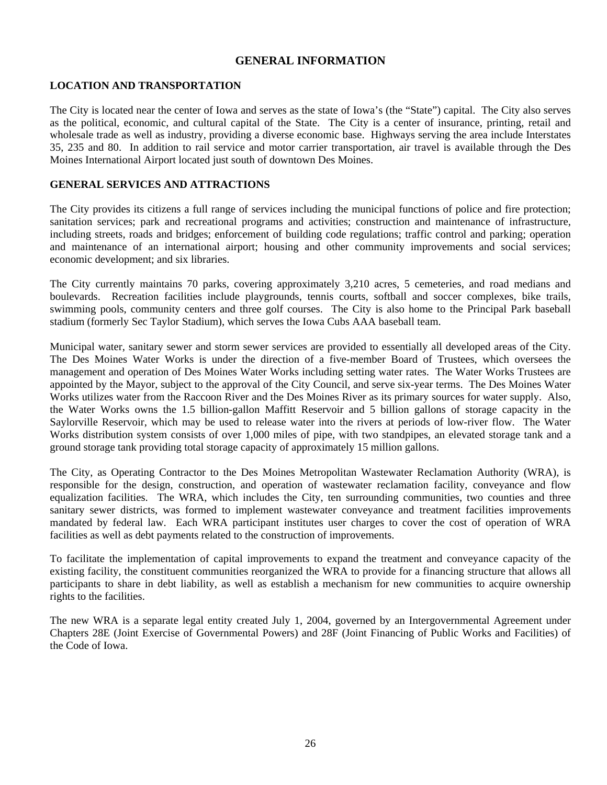# **GENERAL INFORMATION**

#### **LOCATION AND TRANSPORTATION**

The City is located near the center of Iowa and serves as the state of Iowa's (the "State") capital. The City also serves as the political, economic, and cultural capital of the State. The City is a center of insurance, printing, retail and wholesale trade as well as industry, providing a diverse economic base. Highways serving the area include Interstates 35, 235 and 80. In addition to rail service and motor carrier transportation, air travel is available through the Des Moines International Airport located just south of downtown Des Moines.

#### **GENERAL SERVICES AND ATTRACTIONS**

The City provides its citizens a full range of services including the municipal functions of police and fire protection; sanitation services; park and recreational programs and activities; construction and maintenance of infrastructure, including streets, roads and bridges; enforcement of building code regulations; traffic control and parking; operation and maintenance of an international airport; housing and other community improvements and social services; economic development; and six libraries.

The City currently maintains 70 parks, covering approximately 3,210 acres, 5 cemeteries, and road medians and boulevards. Recreation facilities include playgrounds, tennis courts, softball and soccer complexes, bike trails, swimming pools, community centers and three golf courses. The City is also home to the Principal Park baseball stadium (formerly Sec Taylor Stadium), which serves the Iowa Cubs AAA baseball team.

Municipal water, sanitary sewer and storm sewer services are provided to essentially all developed areas of the City. The Des Moines Water Works is under the direction of a five-member Board of Trustees, which oversees the management and operation of Des Moines Water Works including setting water rates. The Water Works Trustees are appointed by the Mayor, subject to the approval of the City Council, and serve six-year terms. The Des Moines Water Works utilizes water from the Raccoon River and the Des Moines River as its primary sources for water supply. Also, the Water Works owns the 1.5 billion-gallon Maffitt Reservoir and 5 billion gallons of storage capacity in the Saylorville Reservoir, which may be used to release water into the rivers at periods of low-river flow. The Water Works distribution system consists of over 1,000 miles of pipe, with two standpipes, an elevated storage tank and a ground storage tank providing total storage capacity of approximately 15 million gallons.

The City, as Operating Contractor to the Des Moines Metropolitan Wastewater Reclamation Authority (WRA), is responsible for the design, construction, and operation of wastewater reclamation facility, conveyance and flow equalization facilities. The WRA, which includes the City, ten surrounding communities, two counties and three sanitary sewer districts, was formed to implement wastewater conveyance and treatment facilities improvements mandated by federal law. Each WRA participant institutes user charges to cover the cost of operation of WRA facilities as well as debt payments related to the construction of improvements.

To facilitate the implementation of capital improvements to expand the treatment and conveyance capacity of the existing facility, the constituent communities reorganized the WRA to provide for a financing structure that allows all participants to share in debt liability, as well as establish a mechanism for new communities to acquire ownership rights to the facilities.

The new WRA is a separate legal entity created July 1, 2004, governed by an Intergovernmental Agreement under Chapters 28E (Joint Exercise of Governmental Powers) and 28F (Joint Financing of Public Works and Facilities) of the Code of Iowa.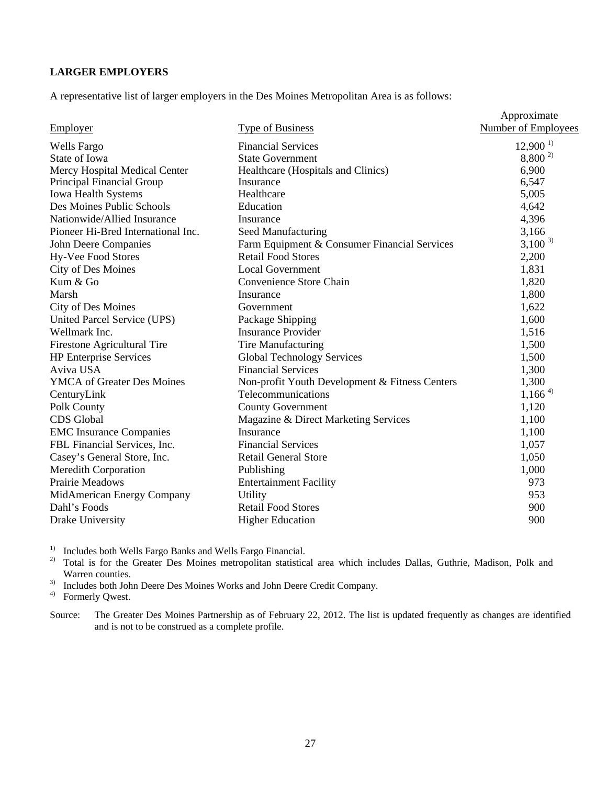# **LARGER EMPLOYERS**

A representative list of larger employers in the Des Moines Metropolitan Area is as follows:

|                                    |                                                | Approximate                |
|------------------------------------|------------------------------------------------|----------------------------|
| <b>Employer</b>                    | <b>Type of Business</b>                        | <b>Number of Employees</b> |
| <b>Wells Fargo</b>                 | <b>Financial Services</b>                      | $12,900^{1}$               |
| State of Iowa                      | <b>State Government</b>                        | $8,800^{2}$                |
| Mercy Hospital Medical Center      | Healthcare (Hospitals and Clinics)             | 6,900                      |
| Principal Financial Group          | Insurance                                      | 6,547                      |
| <b>Iowa Health Systems</b>         | Healthcare                                     | 5,005                      |
| Des Moines Public Schools          | Education                                      | 4,642                      |
| Nationwide/Allied Insurance        | Insurance                                      | 4,396                      |
| Pioneer Hi-Bred International Inc. | Seed Manufacturing                             | 3,166                      |
| John Deere Companies               | Farm Equipment & Consumer Financial Services   | $3,100^{3}$                |
| <b>Hy-Vee Food Stores</b>          | <b>Retail Food Stores</b>                      | 2,200                      |
| <b>City of Des Moines</b>          | <b>Local Government</b>                        | 1,831                      |
| Kum & Go                           | Convenience Store Chain                        | 1,820                      |
| Marsh                              | Insurance                                      | 1,800                      |
| City of Des Moines                 | Government                                     | 1,622                      |
| United Parcel Service (UPS)        | Package Shipping                               | 1,600                      |
| Wellmark Inc.                      | <b>Insurance Provider</b>                      | 1,516                      |
| Firestone Agricultural Tire        | <b>Tire Manufacturing</b>                      | 1,500                      |
| <b>HP</b> Enterprise Services      | <b>Global Technology Services</b>              | 1,500                      |
| Aviva USA                          | <b>Financial Services</b>                      | 1,300                      |
| <b>YMCA</b> of Greater Des Moines  | Non-profit Youth Development & Fitness Centers | 1,300                      |
| CenturyLink                        | Telecommunications                             | $1,166^{4}$                |
| Polk County                        | <b>County Government</b>                       | 1,120                      |
| <b>CDS</b> Global                  | Magazine & Direct Marketing Services           | 1,100                      |
| <b>EMC</b> Insurance Companies     | Insurance                                      | 1,100                      |
| FBL Financial Services, Inc.       | <b>Financial Services</b>                      | 1,057                      |
| Casey's General Store, Inc.        | <b>Retail General Store</b>                    | 1,050                      |
| <b>Meredith Corporation</b>        | Publishing                                     | 1,000                      |
| Prairie Meadows                    | <b>Entertainment Facility</b>                  | 973                        |
| MidAmerican Energy Company         | <b>Utility</b>                                 | 953                        |
| Dahl's Foods                       | <b>Retail Food Stores</b>                      | 900                        |
| Drake University                   | <b>Higher Education</b>                        | 900                        |

<sup>1)</sup> Includes both Wells Fargo Banks and Wells Fargo Financial.

<sup>2)</sup> Total is for the Greater Des Moines metropolitan statistical area which includes Dallas, Guthrie, Madison, Polk and Warren counties.

<sup>3)</sup> Includes both John Deere Des Moines Works and John Deere Credit Company.

4) Formerly Qwest.

Source: The Greater Des Moines Partnership as of February 22, 2012. The list is updated frequently as changes are identified and is not to be construed as a complete profile.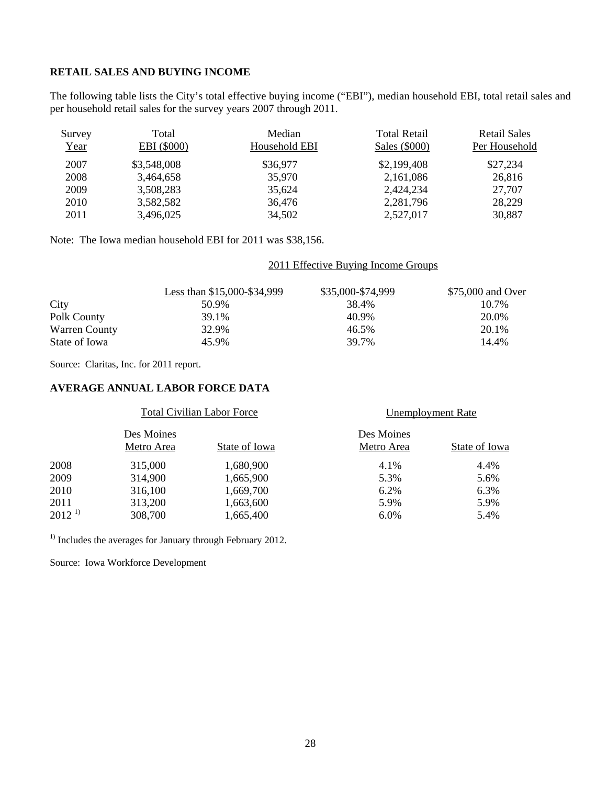# **RETAIL SALES AND BUYING INCOME**

The following table lists the City's total effective buying income ("EBI"), median household EBI, total retail sales and per household retail sales for the survey years 2007 through 2011.

| Survey<br>Year | Total<br>EBI (\$000) | Median<br>Household EBI | <b>Total Retail</b><br>Sales (\$000) | <b>Retail Sales</b><br>Per Household |
|----------------|----------------------|-------------------------|--------------------------------------|--------------------------------------|
| 2007           | \$3,548,008          | \$36,977                | \$2,199,408                          | \$27,234                             |
| 2008           | 3,464,658            | 35,970                  | 2,161,086                            | 26,816                               |
| 2009           | 3,508,283            | 35.624                  | 2,424,234                            | 27,707                               |
| 2010           | 3,582,582            | 36,476                  | 2,281,796                            | 28,229                               |
| 2011           | 3,496,025            | 34,502                  | 2,527,017                            | 30,887                               |

Note: The Iowa median household EBI for 2011 was \$38,156.

#### 2011 Effective Buying Income Groups

|                      | Less than \$15,000-\$34,999 | \$35,000-\$74,999 | \$75,000 and Over |
|----------------------|-----------------------------|-------------------|-------------------|
| City                 | 50.9%                       | 38.4%             | 10.7%             |
| Polk County          | 39.1%                       | 40.9%             | 20.0%             |
| <b>Warren County</b> | 32.9%                       | 46.5%             | 20.1%             |
| State of Iowa        | 45.9%                       | 39.7%             | 14.4%             |

Source: Claritas, Inc. for 2011 report.

# **AVERAGE ANNUAL LABOR FORCE DATA**

|             | <b>Total Civilian Labor Force</b> |               | Unemployment Rate        |               |
|-------------|-----------------------------------|---------------|--------------------------|---------------|
|             | Des Moines<br>Metro Area          | State of Iowa | Des Moines<br>Metro Area | State of Iowa |
| 2008        | 315,000                           | 1,680,900     | 4.1%                     | 4.4%          |
| 2009        | 314,900                           | 1,665,900     | 5.3%                     | 5.6%          |
| 2010        | 316,100                           | 1,669,700     | 6.2%                     | 6.3%          |
| 2011        | 313,200                           | 1,663,600     | 5.9%                     | 5.9%          |
| $2012^{11}$ | 308,700                           | 1,665,400     | 6.0%                     | 5.4%          |
|             |                                   |               |                          |               |

<sup>1)</sup> Includes the averages for January through February 2012.

Source: Iowa Workforce Development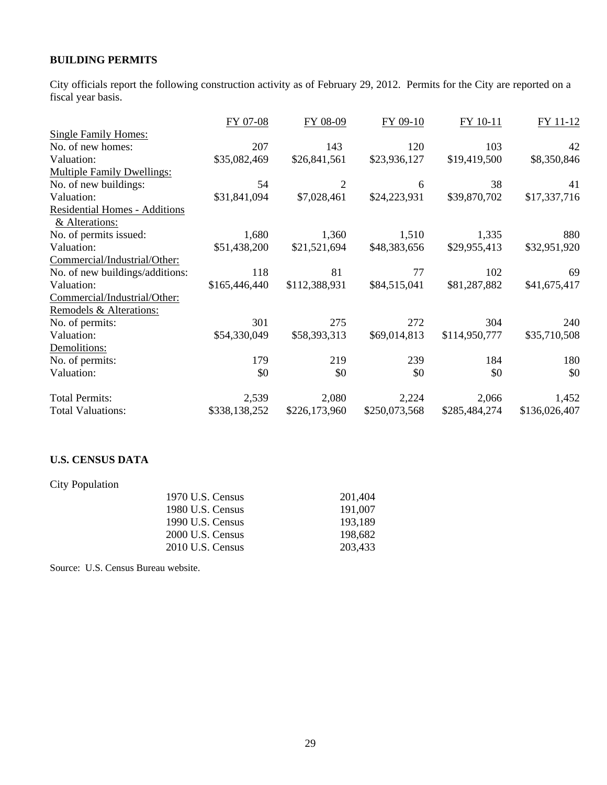# **BUILDING PERMITS**

City officials report the following construction activity as of February 29, 2012. Permits for the City are reported on a fiscal year basis.

|                                   | FY 07-08      | FY 08-09       | FY 09-10      | FY 10-11      | FY 11-12      |
|-----------------------------------|---------------|----------------|---------------|---------------|---------------|
| <b>Single Family Homes:</b>       |               |                |               |               |               |
| No. of new homes:                 | 207           | 143            | 120           | 103           | 42            |
| Valuation:                        | \$35,082,469  | \$26,841,561   | \$23,936,127  | \$19,419,500  | \$8,350,846   |
| <b>Multiple Family Dwellings:</b> |               |                |               |               |               |
| No. of new buildings:             | 54            | $\overline{2}$ | 6             | 38            | 41            |
| Valuation:                        | \$31,841,094  | \$7,028,461    | \$24,223,931  | \$39,870,702  | \$17,337,716  |
| Residential Homes - Additions     |               |                |               |               |               |
| & Alterations:                    |               |                |               |               |               |
| No. of permits issued:            | 1,680         | 1,360          | 1,510         | 1,335         | 880           |
| Valuation:                        | \$51,438,200  | \$21,521,694   | \$48,383,656  | \$29,955,413  | \$32,951,920  |
| Commercial/Industrial/Other:      |               |                |               |               |               |
| No. of new buildings/additions:   | 118           | 81             | 77            | 102           | 69            |
| Valuation:                        | \$165,446,440 | \$112,388,931  | \$84,515,041  | \$81,287,882  | \$41,675,417  |
| Commercial/Industrial/Other:      |               |                |               |               |               |
| Remodels & Alterations:           |               |                |               |               |               |
| No. of permits:                   | 301           | 275            | 272           | 304           | 240           |
| Valuation:                        | \$54,330,049  | \$58,393,313   | \$69,014,813  | \$114,950,777 | \$35,710,508  |
| Demolitions:                      |               |                |               |               |               |
| No. of permits:                   | 179           | 219            | 239           | 184           | 180           |
| Valuation:                        | \$0           | \$0            | \$0           | \$0           | \$0           |
| <b>Total Permits:</b>             | 2,539         | 2,080          | 2,224         | 2,066         | 1,452         |
| <b>Total Valuations:</b>          | \$338,138,252 | \$226,173,960  | \$250,073,568 | \$285,484,274 | \$136,026,407 |

# **U.S. CENSUS DATA**

City Population

| 1970 U.S. Census | 201.404 |
|------------------|---------|
| 1980 U.S. Census | 191.007 |
| 1990 U.S. Census | 193.189 |
| 2000 U.S. Census | 198.682 |
| 2010 U.S. Census | 203.433 |

Source: U.S. Census Bureau website.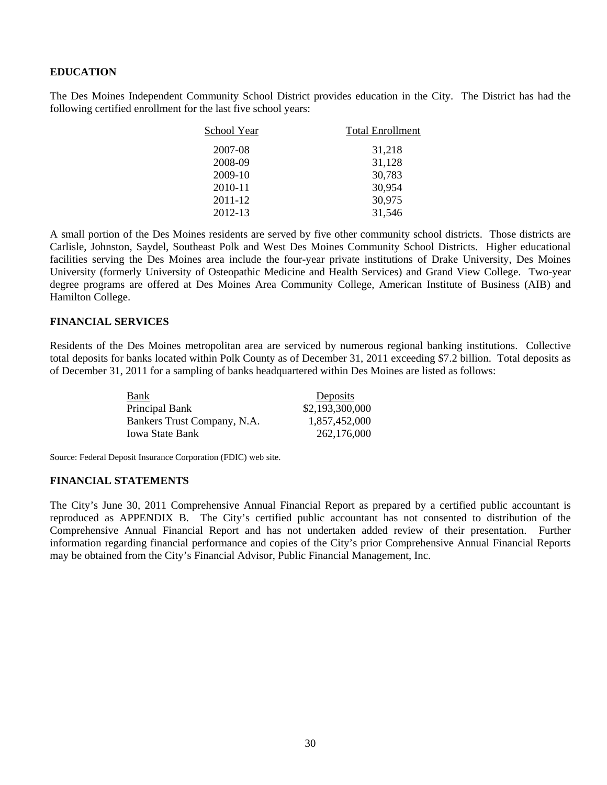#### **EDUCATION**

The Des Moines Independent Community School District provides education in the City. The District has had the following certified enrollment for the last five school years:

| School Year | <b>Total Enrollment</b> |  |
|-------------|-------------------------|--|
| 2007-08     | 31,218                  |  |
| 2008-09     | 31,128                  |  |
| 2009-10     | 30,783                  |  |
| 2010-11     | 30,954                  |  |
| 2011-12     | 30,975                  |  |
| 2012-13     | 31,546                  |  |

A small portion of the Des Moines residents are served by five other community school districts. Those districts are Carlisle, Johnston, Saydel, Southeast Polk and West Des Moines Community School Districts. Higher educational facilities serving the Des Moines area include the four-year private institutions of Drake University, Des Moines University (formerly University of Osteopathic Medicine and Health Services) and Grand View College. Two-year degree programs are offered at Des Moines Area Community College, American Institute of Business (AIB) and Hamilton College.

#### **FINANCIAL SERVICES**

Residents of the Des Moines metropolitan area are serviced by numerous regional banking institutions. Collective total deposits for banks located within Polk County as of December 31, 2011 exceeding \$7.2 billion. Total deposits as of December 31, 2011 for a sampling of banks headquartered within Des Moines are listed as follows:

| Bank                        | Deposits        |
|-----------------------------|-----------------|
| Principal Bank              | \$2,193,300,000 |
| Bankers Trust Company, N.A. | 1,857,452,000   |
| <b>Iowa State Bank</b>      | 262,176,000     |

Source: Federal Deposit Insurance Corporation (FDIC) web site.

#### **FINANCIAL STATEMENTS**

The City's June 30, 2011 Comprehensive Annual Financial Report as prepared by a certified public accountant is reproduced as APPENDIX B. The City's certified public accountant has not consented to distribution of the Comprehensive Annual Financial Report and has not undertaken added review of their presentation. Further information regarding financial performance and copies of the City's prior Comprehensive Annual Financial Reports may be obtained from the City's Financial Advisor, Public Financial Management, Inc.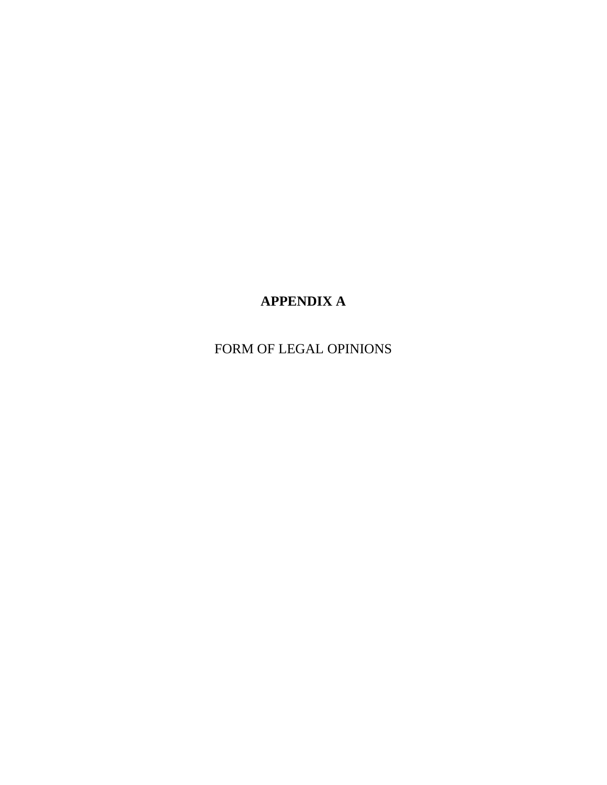# **APPENDIX A**

FORM OF LEGAL OPINIONS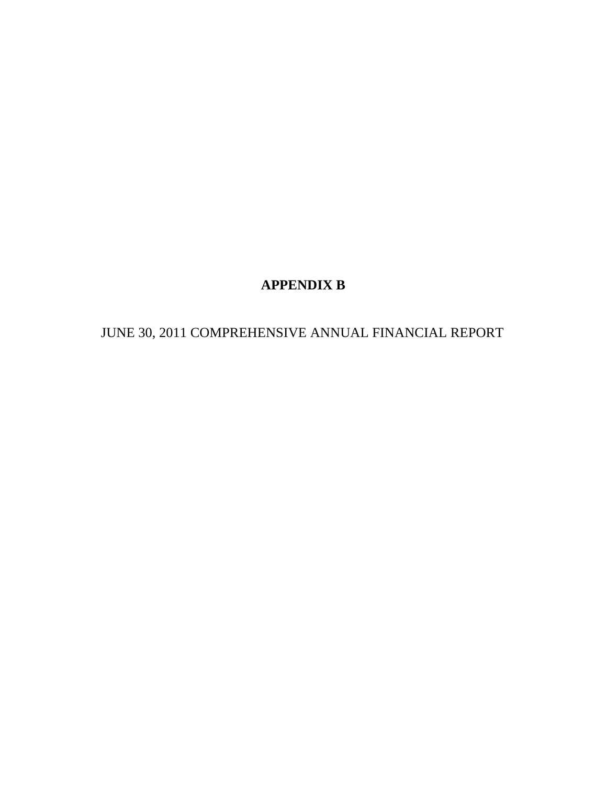# **APPENDIX B**

JUNE 30, 2011 COMPREHENSIVE ANNUAL FINANCIAL REPORT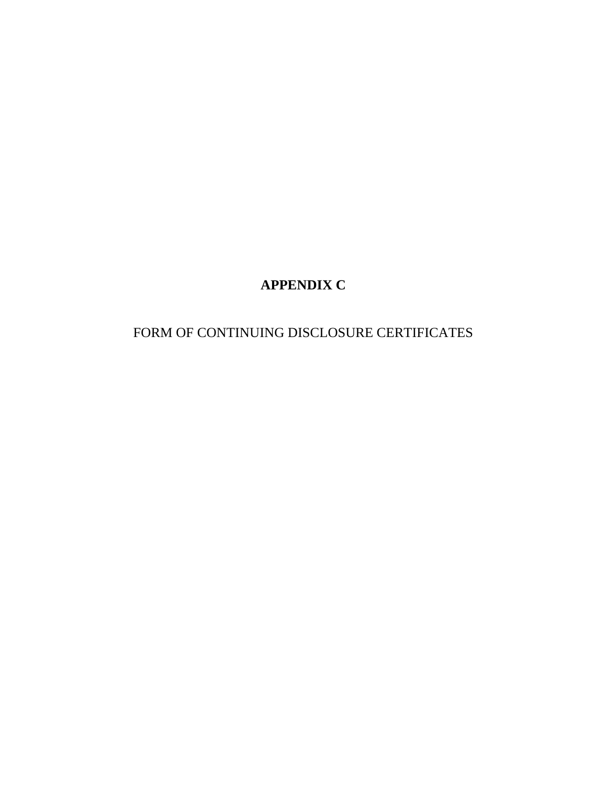# **APPENDIX C**

# FORM OF CONTINUING DISCLOSURE CERTIFICATES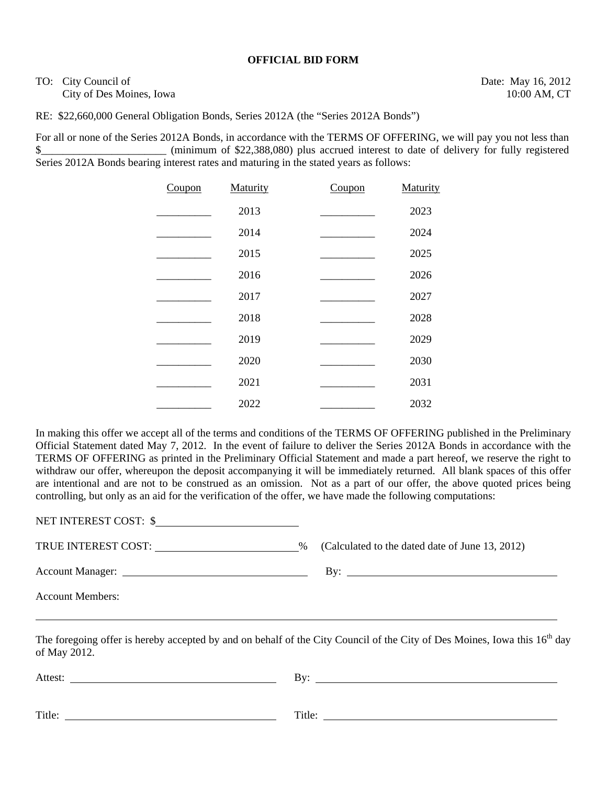#### **OFFICIAL BID FORM**

TO: City Council of Date: May 16, 2012 City of Des Moines, Iowa 10:00 AM, CT

RE: \$22,660,000 General Obligation Bonds, Series 2012A (the "Series 2012A Bonds")

For all or none of the Series 2012A Bonds, in accordance with the TERMS OF OFFERING, we will pay you not less than \$\_\_\_\_\_\_\_\_\_\_\_\_\_\_\_\_\_\_\_\_\_\_\_ (minimum of \$22,388,080) plus accrued interest to date of delivery for fully registered Series 2012A Bonds bearing interest rates and maturing in the stated years as follows:

| Coupon | Maturity | Coupon | Maturity |
|--------|----------|--------|----------|
|        | 2013     |        | 2023     |
|        | 2014     |        | 2024     |
|        | 2015     |        | 2025     |
|        | 2016     |        | 2026     |
|        | 2017     |        | 2027     |
|        | 2018     |        | 2028     |
|        | 2019     |        | 2029     |
|        | 2020     |        | 2030     |
|        | 2021     |        | 2031     |
|        | 2022     |        | 2032     |

In making this offer we accept all of the terms and conditions of the TERMS OF OFFERING published in the Preliminary Official Statement dated May 7, 2012. In the event of failure to deliver the Series 2012A Bonds in accordance with the TERMS OF OFFERING as printed in the Preliminary Official Statement and made a part hereof, we reserve the right to withdraw our offer, whereupon the deposit accompanying it will be immediately returned. All blank spaces of this offer are intentional and are not to be construed as an omission. Not as a part of our offer, the above quoted prices being controlling, but only as an aid for the verification of the offer, we have made the following computations:

NET INTEREST COST: \$

TRUE INTEREST COST: \_\_\_\_\_\_\_\_\_\_\_\_\_\_\_\_\_\_\_\_\_\_\_\_\_\_\_\_\_\_\_\_\_\_% (Calculated to the dated date of June 13, 2012)

Account Members:

Account Manager: By:

The foregoing offer is hereby accepted by and on behalf of the City Council of the City of Des Moines, Iowa this  $16<sup>th</sup>$  day of May 2012.

| Attest: | Bv:    |
|---------|--------|
| Title:  | Title: |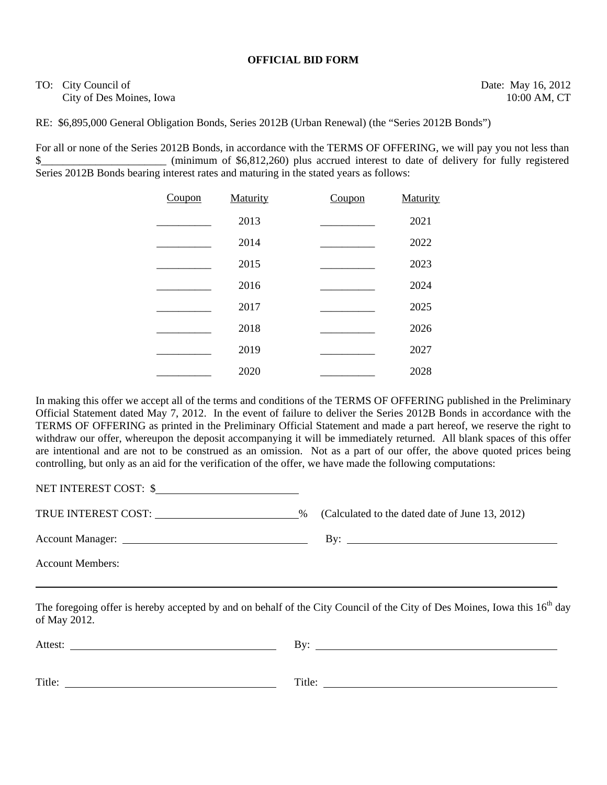#### **OFFICIAL BID FORM**

# TO: City Council of Date: May 16, 2012 City of Des Moines, Iowa 10:00 AM, CT

RE: \$6,895,000 General Obligation Bonds, Series 2012B (Urban Renewal) (the "Series 2012B Bonds")

For all or none of the Series 2012B Bonds, in accordance with the TERMS OF OFFERING, we will pay you not less than \$ (minimum of \$6,812,260) plus accrued interest to date of delivery for fully registered Series 2012B Bonds bearing interest rates and maturing in the stated years as follows:

| Coupon | Maturity | Coupon | Maturity |
|--------|----------|--------|----------|
|        | 2013     |        | 2021     |
|        | 2014     |        | 2022     |
|        | 2015     |        | 2023     |
|        | 2016     |        | 2024     |
|        | 2017     |        | 2025     |
|        | 2018     |        | 2026     |
|        | 2019     |        | 2027     |
|        | 2020     |        | 2028     |

In making this offer we accept all of the terms and conditions of the TERMS OF OFFERING published in the Preliminary Official Statement dated May 7, 2012. In the event of failure to deliver the Series 2012B Bonds in accordance with the TERMS OF OFFERING as printed in the Preliminary Official Statement and made a part hereof, we reserve the right to withdraw our offer, whereupon the deposit accompanying it will be immediately returned. All blank spaces of this offer are intentional and are not to be construed as an omission. Not as a part of our offer, the above quoted prices being controlling, but only as an aid for the verification of the offer, we have made the following computations:

NET INTEREST COST: \$

TRUE INTEREST COST: \_\_\_\_\_\_\_\_\_\_\_\_\_\_\_\_\_\_\_\_\_\_\_\_\_\_\_\_\_\_\_\_\_\_\_% (Calculated to the dated date of June 13, 2012)

Account Manager: By:

Account Members:

The foregoing offer is hereby accepted by and on behalf of the City Council of the City of Des Moines, Iowa this  $16<sup>th</sup>$  day of May 2012.

| Attest: | $\rm\,By:$ |  |
|---------|------------|--|
|         |            |  |
|         |            |  |
| Title:  | Title:     |  |